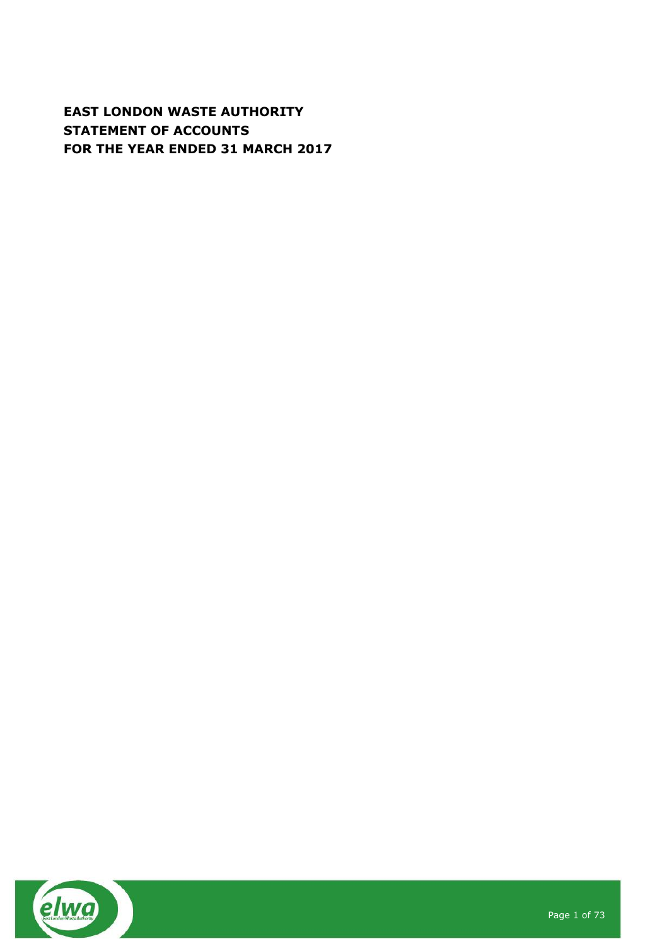# **EAST LONDON WASTE AUTHORITY STATEMENT OF ACCOUNTS FOR THE YEAR ENDED 31 MARCH 2017**

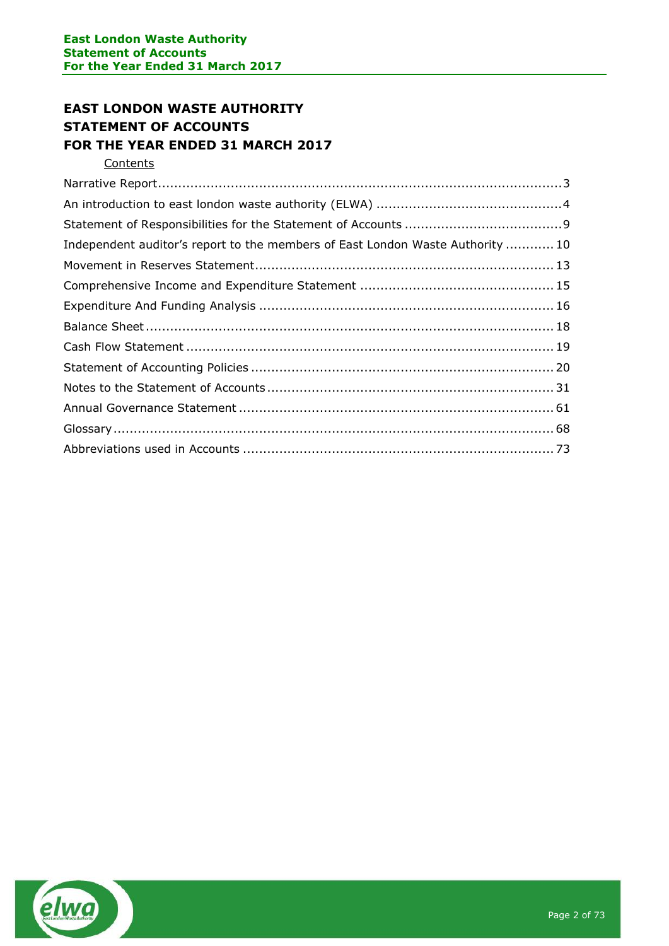# **EAST LONDON WASTE AUTHORITY STATEMENT OF ACCOUNTS FOR THE YEAR ENDED 31 MARCH 2017**

**Contents** 

| Independent auditor's report to the members of East London Waste Authority  10 |  |
|--------------------------------------------------------------------------------|--|
|                                                                                |  |
|                                                                                |  |
|                                                                                |  |
|                                                                                |  |
|                                                                                |  |
|                                                                                |  |
|                                                                                |  |
|                                                                                |  |
|                                                                                |  |
|                                                                                |  |

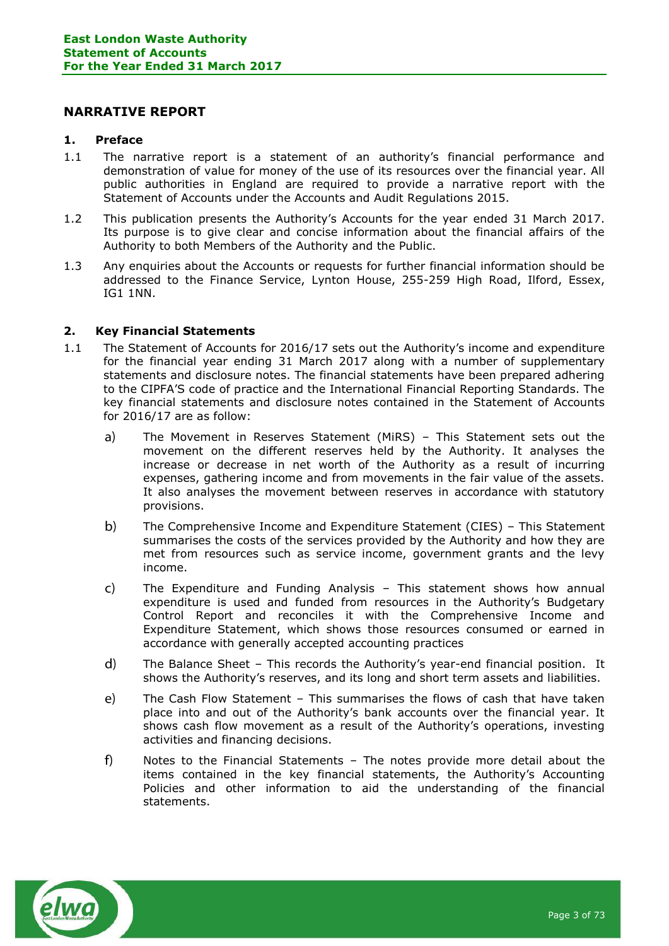## <span id="page-2-0"></span>**NARRATIVE REPORT**

#### **1. Preface**

- 1.1 The narrative report is a statement of an authority's financial performance and demonstration of value for money of the use of its resources over the financial year. All public authorities in England are required to provide a narrative report with the Statement of Accounts under the Accounts and Audit Regulations 2015.
- 1.2 This publication presents the Authority's Accounts for the year ended 31 March 2017. Its purpose is to give clear and concise information about the financial affairs of the Authority to both Members of the Authority and the Public.
- 1.3 Any enquiries about the Accounts or requests for further financial information should be addressed to the Finance Service, Lynton House, 255-259 High Road, Ilford, Essex, IG1 1NN.

#### **2. Key Financial Statements**

- 1.1 The Statement of Accounts for 2016/17 sets out the Authority's income and expenditure for the financial year ending 31 March 2017 along with a number of supplementary statements and disclosure notes. The financial statements have been prepared adhering to the CIPFA'S code of practice and the International Financial Reporting Standards. The key financial statements and disclosure notes contained in the Statement of Accounts for 2016/17 are as follow:
	- $a)$ The Movement in Reserves Statement (MiRS) – This Statement sets out the movement on the different reserves held by the Authority. It analyses the increase or decrease in net worth of the Authority as a result of incurring expenses, gathering income and from movements in the fair value of the assets. It also analyses the movement between reserves in accordance with statutory provisions.
	- $b)$ The Comprehensive Income and Expenditure Statement (CIES) – This Statement summarises the costs of the services provided by the Authority and how they are met from resources such as service income, government grants and the levy income.
	- $\mathsf{C}$ The Expenditure and Funding Analysis – This statement shows how annual expenditure is used and funded from resources in the Authority's Budgetary Control Report and reconciles it with the Comprehensive Income and Expenditure Statement, which shows those resources consumed or earned in accordance with generally accepted accounting practices
	- $\mathsf{d}$ The Balance Sheet – This records the Authority's year-end financial position. It shows the Authority's reserves, and its long and short term assets and liabilities.
	- $e)$ The Cash Flow Statement – This summarises the flows of cash that have taken place into and out of the Authority's bank accounts over the financial year. It shows cash flow movement as a result of the Authority's operations, investing activities and financing decisions.
	- Notes to the Financial Statements The notes provide more detail about the  $f$ items contained in the key financial statements, the Authority's Accounting Policies and other information to aid the understanding of the financial statements.

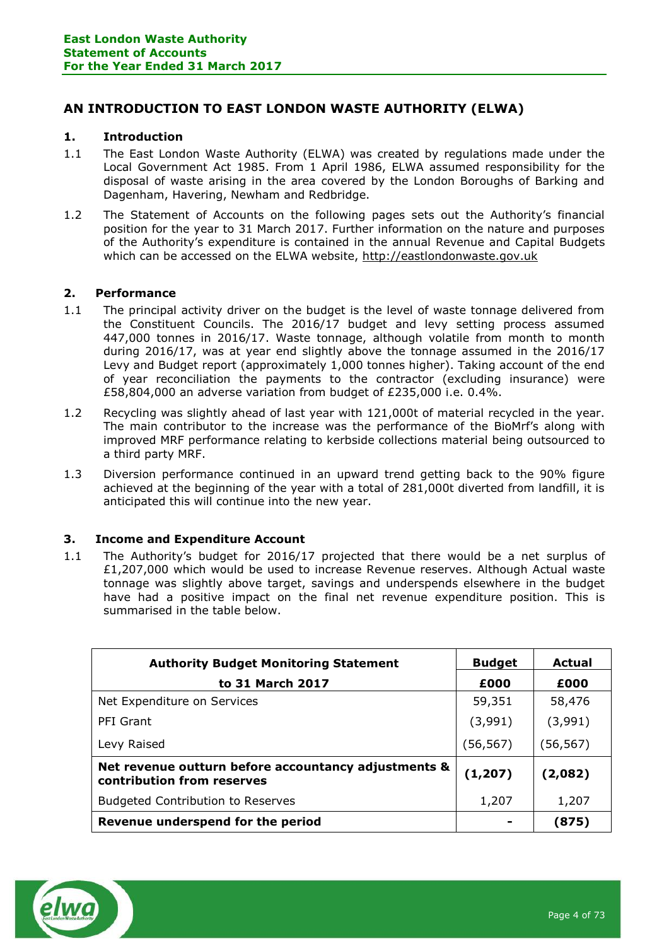## <span id="page-3-0"></span>**AN INTRODUCTION TO EAST LONDON WASTE AUTHORITY (ELWA)**

#### **1. Introduction**

- 1.1 The East London Waste Authority (ELWA) was created by regulations made under the Local Government Act 1985. From 1 April 1986, ELWA assumed responsibility for the disposal of waste arising in the area covered by the London Boroughs of Barking and Dagenham, Havering, Newham and Redbridge.
- 1.2 The Statement of Accounts on the following pages sets out the Authority's financial position for the year to 31 March 2017. Further information on the nature and purposes of the Authority's expenditure is contained in the annual Revenue and Capital Budgets which can be accessed on the ELWA website, [http://eastlondonwaste.gov.uk](http://eastlondonwaste.gov.uk/)

#### **2. Performance**

- 1.1 The principal activity driver on the budget is the level of waste tonnage delivered from the Constituent Councils. The 2016/17 budget and levy setting process assumed 447,000 tonnes in 2016/17. Waste tonnage, although volatile from month to month during 2016/17, was at year end slightly above the tonnage assumed in the 2016/17 Levy and Budget report (approximately 1,000 tonnes higher). Taking account of the end of year reconciliation the payments to the contractor (excluding insurance) were £58,804,000 an adverse variation from budget of £235,000 i.e. 0.4%.
- 1.2 Recycling was slightly ahead of last year with 121,000t of material recycled in the year. The main contributor to the increase was the performance of the BioMrf's along with improved MRF performance relating to kerbside collections material being outsourced to a third party MRF.
- 1.3 Diversion performance continued in an upward trend getting back to the 90% figure achieved at the beginning of the year with a total of 281,000t diverted from landfill, it is anticipated this will continue into the new year.

#### **3. Income and Expenditure Account**

1.1 The Authority's budget for 2016/17 projected that there would be a net surplus of £1,207,000 which would be used to increase Revenue reserves. Although Actual waste tonnage was slightly above target, savings and underspends elsewhere in the budget have had a positive impact on the final net revenue expenditure position. This is summarised in the table below.

| <b>Authority Budget Monitoring Statement</b>                                       | <b>Budget</b> | Actual    |
|------------------------------------------------------------------------------------|---------------|-----------|
| to 31 March 2017                                                                   | £000          | £000      |
| Net Expenditure on Services                                                        | 59,351        | 58,476    |
| PFI Grant                                                                          | (3,991)       | (3,991)   |
| Levy Raised                                                                        | (56, 567)     | (56, 567) |
| Net revenue outturn before accountancy adjustments &<br>contribution from reserves | (1, 207)      | (2,082)   |
| <b>Budgeted Contribution to Reserves</b>                                           | 1,207         | 1,207     |
| Revenue underspend for the period                                                  |               | (875)     |

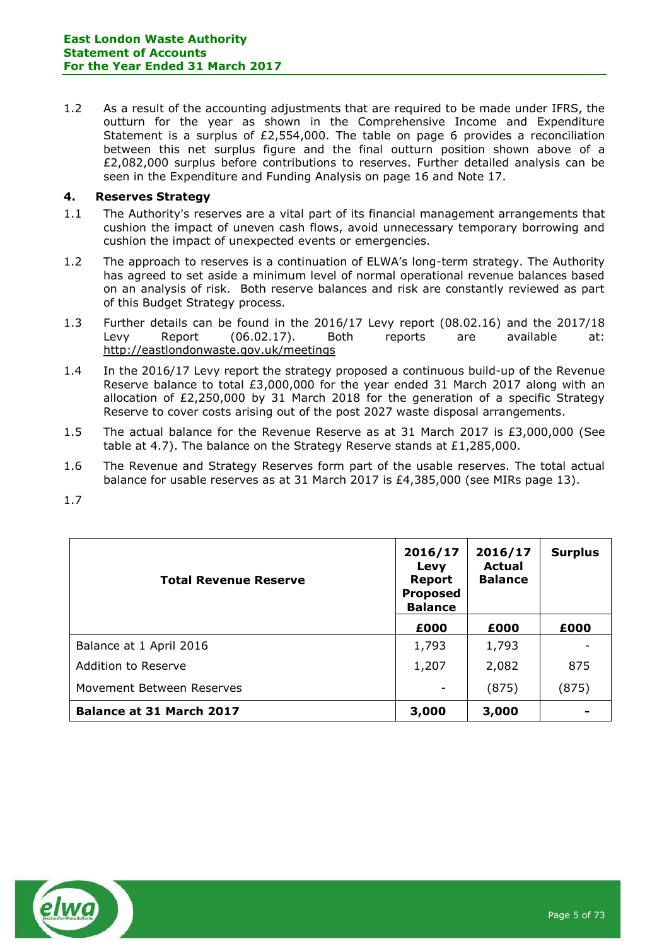1.2 As a result of the accounting adjustments that are required to be made under IFRS, the outturn for the year as shown in the Comprehensive Income and Expenditure Statement is a surplus of  $£2,554,000$ . The table on page 6 provides a reconciliation between this net surplus figure and the final outturn position shown above of a £2,082,000 surplus before contributions to reserves. Further detailed analysis can be seen in the Expenditure and Funding Analysis on page 16 and Note 17.

### **4. Reserves Strategy**

- 1.1 The Authority's reserves are a vital part of its financial management arrangements that cushion the impact of uneven cash flows, avoid unnecessary temporary borrowing and cushion the impact of unexpected events or emergencies.
- 1.2 The approach to reserves is a continuation of ELWA's long-term strategy. The Authority has agreed to set aside a minimum level of normal operational revenue balances based on an analysis of risk. Both reserve balances and risk are constantly reviewed as part of this Budget Strategy process.
- 1.3 Further details can be found in the 2016/17 Levy report (08.02.16) and the 2017/18 Levy Report (06.02.17). Both reports are available at: <http://eastlondonwaste.gov.uk/meetings>
- 1.4 In the 2016/17 Levy report the strategy proposed a continuous build-up of the Revenue Reserve balance to total £3,000,000 for the year ended 31 March 2017 along with an allocation of £2,250,000 by 31 March 2018 for the generation of a specific Strategy Reserve to cover costs arising out of the post 2027 waste disposal arrangements.
- 1.5 The actual balance for the Revenue Reserve as at 31 March 2017 is £3,000,000 (See table at 4.7). The balance on the Strategy Reserve stands at £1,285,000.
- 1.6 The Revenue and Strategy Reserves form part of the usable reserves. The total actual balance for usable reserves as at 31 March 2017 is £4,385,000 (see MIRs page 13).
- 1.7

| <b>Total Revenue Reserve</b> | 2016/17<br>Levy<br><b>Report</b><br><b>Proposed</b><br><b>Balance</b> | 2016/17<br><b>Actual</b><br><b>Balance</b> | <b>Surplus</b> |
|------------------------------|-----------------------------------------------------------------------|--------------------------------------------|----------------|
|                              | £000                                                                  | £000                                       | £000           |
| Balance at 1 April 2016      | 1,793                                                                 | 1,793                                      |                |
| <b>Addition to Reserve</b>   | 1,207                                                                 | 2,082                                      | 875            |
| Movement Between Reserves    |                                                                       | (875)                                      | (875)          |
| Balance at 31 March 2017     | 3,000                                                                 | 3,000                                      |                |

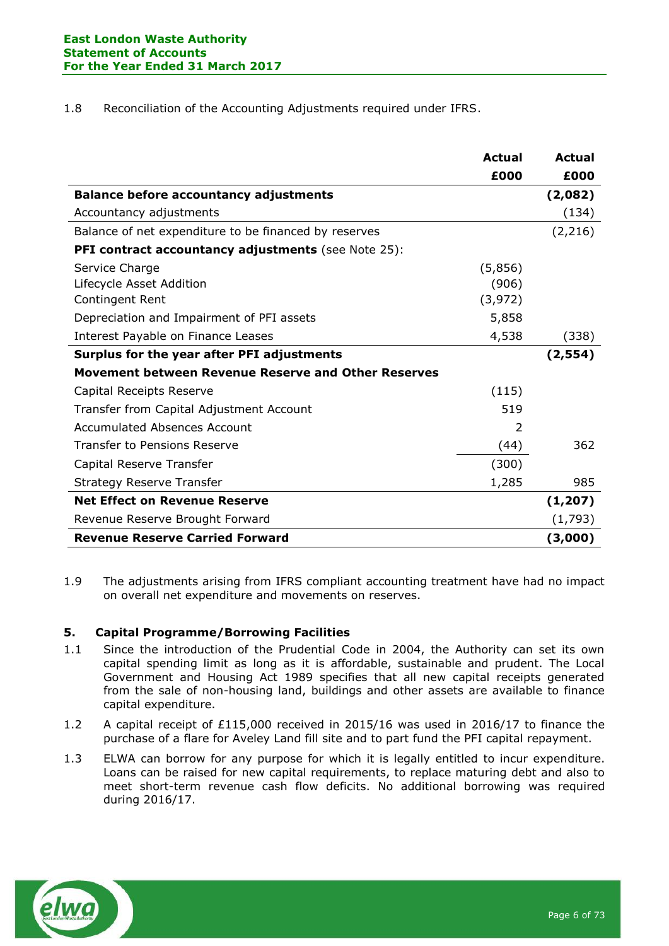1.8 Reconciliation of the Accounting Adjustments required under IFRS.

|                                                            | <b>Actual</b> | Actual   |
|------------------------------------------------------------|---------------|----------|
|                                                            | £000          | £000     |
| <b>Balance before accountancy adjustments</b>              |               | (2,082)  |
| Accountancy adjustments                                    |               | (134)    |
| Balance of net expenditure to be financed by reserves      |               | (2, 216) |
| <b>PFI contract accountancy adjustments</b> (see Note 25): |               |          |
| Service Charge                                             | (5,856)       |          |
| Lifecycle Asset Addition                                   | (906)         |          |
| Contingent Rent                                            | (3, 972)      |          |
| Depreciation and Impairment of PFI assets                  | 5,858         |          |
| Interest Payable on Finance Leases                         | 4,538         | (338)    |
| Surplus for the year after PFI adjustments                 |               | (2, 554) |
| Movement between Revenue Reserve and Other Reserves        |               |          |
| Capital Receipts Reserve                                   | (115)         |          |
| Transfer from Capital Adjustment Account                   | 519           |          |
| Accumulated Absences Account                               | $\mathcal{P}$ |          |
| <b>Transfer to Pensions Reserve</b>                        | (44)          | 362      |
| Capital Reserve Transfer                                   | (300)         |          |
| <b>Strategy Reserve Transfer</b>                           | 1,285         | 985      |
| <b>Net Effect on Revenue Reserve</b>                       |               | (1, 207) |
| Revenue Reserve Brought Forward                            |               | (1,793)  |
| <b>Revenue Reserve Carried Forward</b>                     |               | (3,000)  |

1.9 The adjustments arising from IFRS compliant accounting treatment have had no impact on overall net expenditure and movements on reserves.

#### **5. Capital Programme/Borrowing Facilities**

- 1.1 Since the introduction of the Prudential Code in 2004, the Authority can set its own capital spending limit as long as it is affordable, sustainable and prudent. The Local Government and Housing Act 1989 specifies that all new capital receipts generated from the sale of non-housing land, buildings and other assets are available to finance capital expenditure.
- 1.2 A capital receipt of £115,000 received in 2015/16 was used in 2016/17 to finance the purchase of a flare for Aveley Land fill site and to part fund the PFI capital repayment.
- 1.3 ELWA can borrow for any purpose for which it is legally entitled to incur expenditure. Loans can be raised for new capital requirements, to replace maturing debt and also to meet short-term revenue cash flow deficits. No additional borrowing was required during 2016/17.

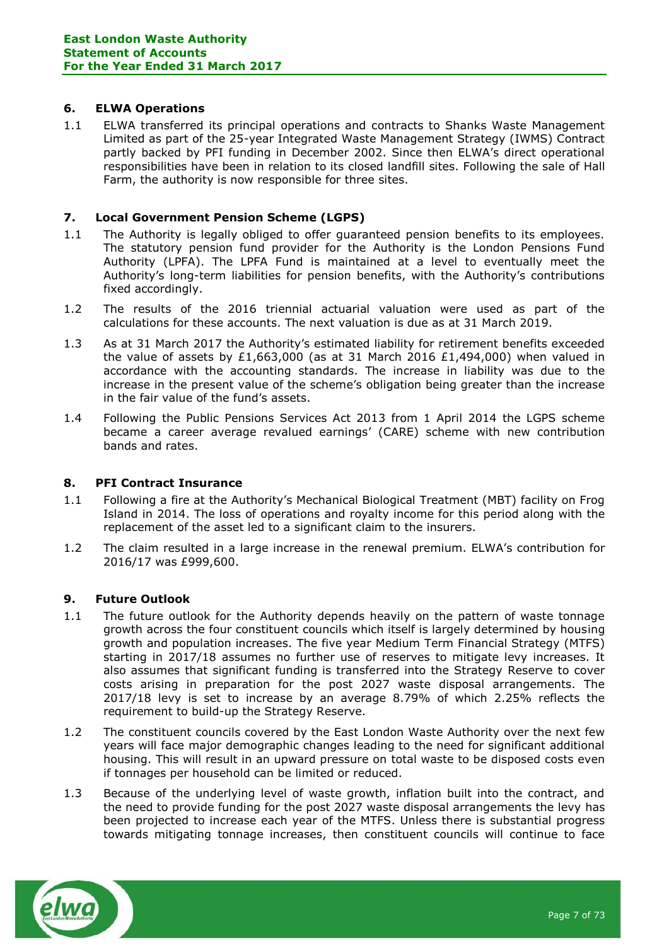### **6. ELWA Operations**

1.1 ELWA transferred its principal operations and contracts to Shanks Waste Management Limited as part of the 25-year Integrated Waste Management Strategy (IWMS) Contract partly backed by PFI funding in December 2002. Since then ELWA's direct operational responsibilities have been in relation to its closed landfill sites. Following the sale of Hall Farm, the authority is now responsible for three sites.

## **7. Local Government Pension Scheme (LGPS)**

- 1.1 The Authority is legally obliged to offer guaranteed pension benefits to its employees. The statutory pension fund provider for the Authority is the London Pensions Fund Authority (LPFA). The LPFA Fund is maintained at a level to eventually meet the Authority's long-term liabilities for pension benefits, with the Authority's contributions fixed accordingly.
- 1.2 The results of the 2016 triennial actuarial valuation were used as part of the calculations for these accounts. The next valuation is due as at 31 March 2019.
- 1.3 As at 31 March 2017 the Authority's estimated liability for retirement benefits exceeded the value of assets by £1,663,000 (as at 31 March 2016 £1,494,000) when valued in accordance with the accounting standards. The increase in liability was due to the increase in the present value of the scheme's obligation being greater than the increase in the fair value of the fund's assets.
- 1.4 Following the Public Pensions Services Act 2013 from 1 April 2014 the LGPS scheme became a career average revalued earnings' (CARE) scheme with new contribution bands and rates.

#### **8. PFI Contract Insurance**

- 1.1 Following a fire at the Authority's Mechanical Biological Treatment (MBT) facility on Frog Island in 2014. The loss of operations and royalty income for this period along with the replacement of the asset led to a significant claim to the insurers.
- 1.2 The claim resulted in a large increase in the renewal premium. ELWA's contribution for 2016/17 was £999,600.

#### **9. Future Outlook**

- 1.1 The future outlook for the Authority depends heavily on the pattern of waste tonnage growth across the four constituent councils which itself is largely determined by housing growth and population increases. The five year Medium Term Financial Strategy (MTFS) starting in 2017/18 assumes no further use of reserves to mitigate levy increases. It also assumes that significant funding is transferred into the Strategy Reserve to cover costs arising in preparation for the post 2027 waste disposal arrangements. The 2017/18 levy is set to increase by an average 8.79% of which 2.25% reflects the requirement to build-up the Strategy Reserve.
- 1.2 The constituent councils covered by the East London Waste Authority over the next few years will face major demographic changes leading to the need for significant additional housing. This will result in an upward pressure on total waste to be disposed costs even if tonnages per household can be limited or reduced.
- 1.3 Because of the underlying level of waste growth, inflation built into the contract, and the need to provide funding for the post 2027 waste disposal arrangements the levy has been projected to increase each year of the MTFS. Unless there is substantial progress towards mitigating tonnage increases, then constituent councils will continue to face

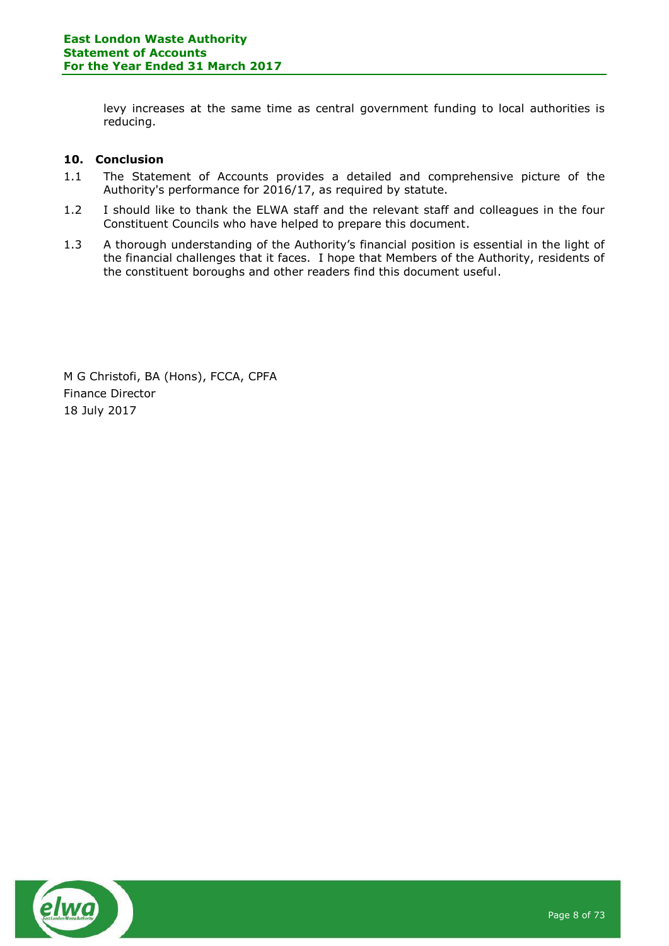levy increases at the same time as central government funding to local authorities is reducing.

## **10. Conclusion**

- 1.1 The Statement of Accounts provides a detailed and comprehensive picture of the Authority's performance for 2016/17, as required by statute.
- 1.2 I should like to thank the ELWA staff and the relevant staff and colleagues in the four Constituent Councils who have helped to prepare this document.
- 1.3 A thorough understanding of the Authority's financial position is essential in the light of the financial challenges that it faces. I hope that Members of the Authority, residents of the constituent boroughs and other readers find this document useful.

M G Christofi, BA (Hons), FCCA, CPFA Finance Director 18 July 2017

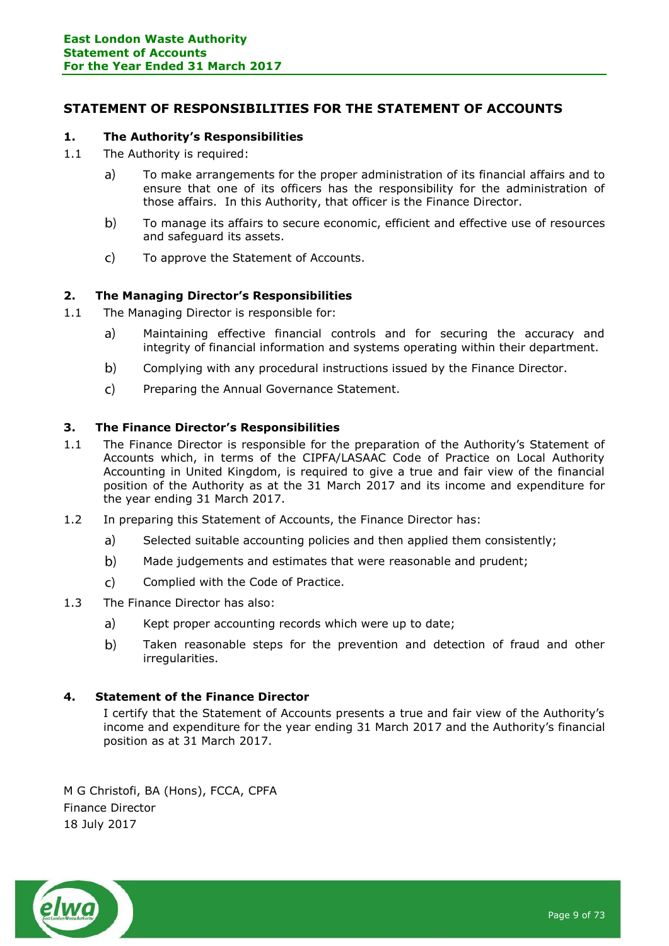## <span id="page-8-0"></span>**STATEMENT OF RESPONSIBILITIES FOR THE STATEMENT OF ACCOUNTS**

### **1. The Authority's Responsibilities**

- 1.1 The Authority is required:
	- To make arrangements for the proper administration of its financial affairs and to  $a)$ ensure that one of its officers has the responsibility for the administration of those affairs. In this Authority, that officer is the Finance Director.
	- $b)$ To manage its affairs to secure economic, efficient and effective use of resources and safeguard its assets.
	- $\mathsf{C}$ To approve the Statement of Accounts.

### **2. The Managing Director's Responsibilities**

- 1.1 The Managing Director is responsible for:
	- $a)$ Maintaining effective financial controls and for securing the accuracy and integrity of financial information and systems operating within their department.
	- $b)$ Complying with any procedural instructions issued by the Finance Director.
	- $\mathcal{C}$ Preparing the Annual Governance Statement.

#### **3. The Finance Director's Responsibilities**

- 1.1 The Finance Director is responsible for the preparation of the Authority's Statement of Accounts which, in terms of the CIPFA/LASAAC Code of Practice on Local Authority Accounting in United Kingdom, is required to give a true and fair view of the financial position of the Authority as at the 31 March 2017 and its income and expenditure for the year ending 31 March 2017.
- 1.2 In preparing this Statement of Accounts, the Finance Director has:
	- $a)$ Selected suitable accounting policies and then applied them consistently;
	- $b)$ Made judgements and estimates that were reasonable and prudent;
	- $\mathsf{C}$ Complied with the Code of Practice.
- 1.3 The Finance Director has also:
	- a) Kept proper accounting records which were up to date;
	- $b)$ Taken reasonable steps for the prevention and detection of fraud and other irregularities.

#### **4. Statement of the Finance Director**

I certify that the Statement of Accounts presents a true and fair view of the Authority's income and expenditure for the year ending 31 March 2017 and the Authority's financial position as at 31 March 2017.

M G Christofi, BA (Hons), FCCA, CPFA Finance Director 18 July 2017

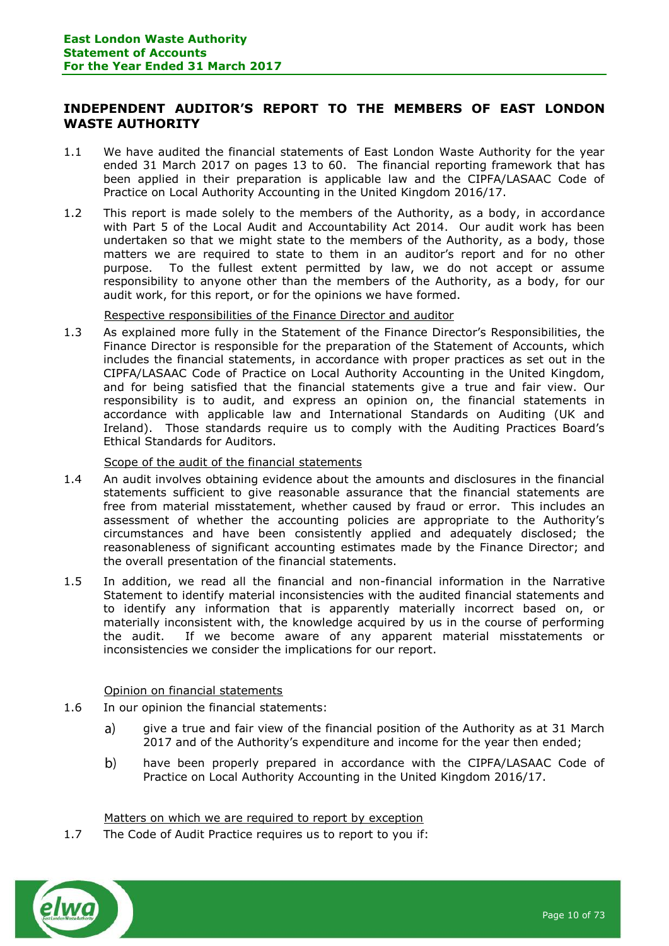## <span id="page-9-0"></span>**INDEPENDENT AUDITOR'S REPORT TO THE MEMBERS OF EAST LONDON WASTE AUTHORITY**

- 1.1 We have audited the financial statements of East London Waste Authority for the year ended 31 March 2017 on pages 13 to 60. The financial reporting framework that has been applied in their preparation is applicable law and the CIPFA/LASAAC Code of Practice on Local Authority Accounting in the United Kingdom 2016/17.
- 1.2 This report is made solely to the members of the Authority, as a body, in accordance with Part 5 of the Local Audit and Accountability Act 2014. Our audit work has been undertaken so that we might state to the members of the Authority, as a body, those matters we are required to state to them in an auditor's report and for no other purpose. To the fullest extent permitted by law, we do not accept or assume responsibility to anyone other than the members of the Authority, as a body, for our audit work, for this report, or for the opinions we have formed.

Respective responsibilities of the Finance Director and auditor

1.3 As explained more fully in the Statement of the Finance Director's Responsibilities, the Finance Director is responsible for the preparation of the Statement of Accounts, which includes the financial statements, in accordance with proper practices as set out in the CIPFA/LASAAC Code of Practice on Local Authority Accounting in the United Kingdom, and for being satisfied that the financial statements give a true and fair view. Our responsibility is to audit, and express an opinion on, the financial statements in accordance with applicable law and International Standards on Auditing (UK and Ireland). Those standards require us to comply with the Auditing Practices Board's Ethical Standards for Auditors.

#### Scope of the audit of the financial statements

- 1.4 An audit involves obtaining evidence about the amounts and disclosures in the financial statements sufficient to give reasonable assurance that the financial statements are free from material misstatement, whether caused by fraud or error. This includes an assessment of whether the accounting policies are appropriate to the Authority's circumstances and have been consistently applied and adequately disclosed; the reasonableness of significant accounting estimates made by the Finance Director; and the overall presentation of the financial statements.
- 1.5 In addition, we read all the financial and non-financial information in the Narrative Statement to identify material inconsistencies with the audited financial statements and to identify any information that is apparently materially incorrect based on, or materially inconsistent with, the knowledge acquired by us in the course of performing the audit. If we become aware of any apparent material misstatements or inconsistencies we consider the implications for our report.

Opinion on financial statements

- 1.6 In our opinion the financial statements:
	- a) give a true and fair view of the financial position of the Authority as at 31 March 2017 and of the Authority's expenditure and income for the year then ended;
	- $b)$ have been properly prepared in accordance with the CIPFA/LASAAC Code of Practice on Local Authority Accounting in the United Kingdom 2016/17.

Matters on which we are required to report by exception

1.7 The Code of Audit Practice requires us to report to you if:

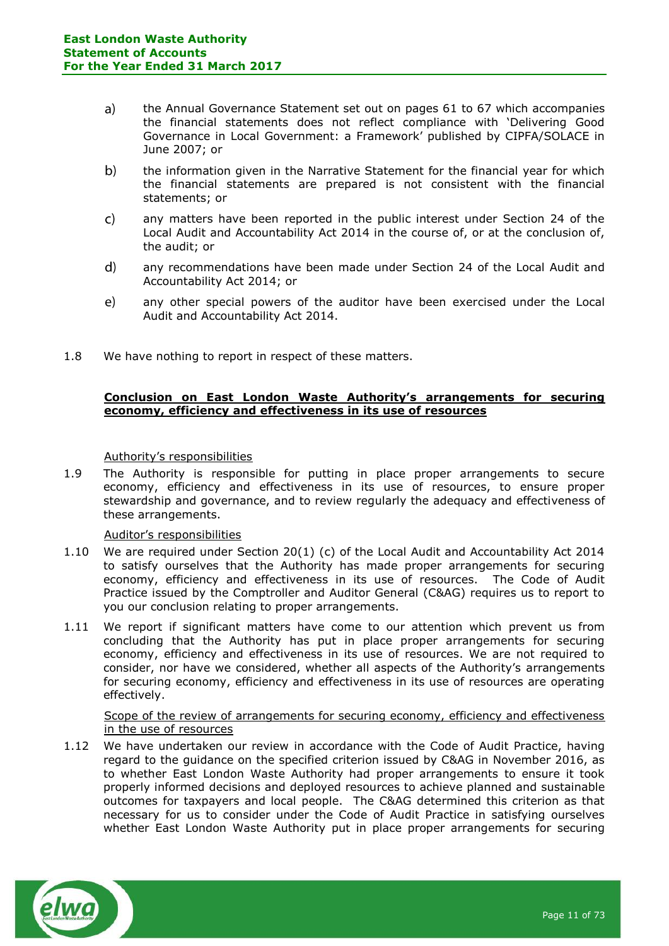- $a)$ the Annual Governance Statement set out on pages 61 to 67 which accompanies the financial statements does not reflect compliance with 'Delivering Good Governance in Local Government: a Framework' published by CIPFA/SOLACE in June 2007; or
- $b)$ the information given in the Narrative Statement for the financial year for which the financial statements are prepared is not consistent with the financial statements; or
- $\mathsf{C}$ any matters have been reported in the public interest under Section 24 of the Local Audit and Accountability Act 2014 in the course of, or at the conclusion of, the audit; or
- $\mathsf{d}$ any recommendations have been made under Section 24 of the Local Audit and Accountability Act 2014; or
- any other special powers of the auditor have been exercised under the Local  $e)$ Audit and Accountability Act 2014.
- 1.8 We have nothing to report in respect of these matters.

### **Conclusion on East London Waste Authority's arrangements for securing economy, efficiency and effectiveness in its use of resources**

#### Authority's responsibilities

1.9 The Authority is responsible for putting in place proper arrangements to secure economy, efficiency and effectiveness in its use of resources, to ensure proper stewardship and governance, and to review regularly the adequacy and effectiveness of these arrangements.

#### Auditor's responsibilities

- 1.10 We are required under Section 20(1) (c) of the Local Audit and Accountability Act 2014 to satisfy ourselves that the Authority has made proper arrangements for securing economy, efficiency and effectiveness in its use of resources. The Code of Audit Practice issued by the Comptroller and Auditor General (C&AG) requires us to report to you our conclusion relating to proper arrangements.
- 1.11 We report if significant matters have come to our attention which prevent us from concluding that the Authority has put in place proper arrangements for securing economy, efficiency and effectiveness in its use of resources. We are not required to consider, nor have we considered, whether all aspects of the Authority's arrangements for securing economy, efficiency and effectiveness in its use of resources are operating effectively.

#### Scope of the review of arrangements for securing economy, efficiency and effectiveness in the use of resources

1.12 We have undertaken our review in accordance with the Code of Audit Practice, having regard to the guidance on the specified criterion issued by C&AG in November 2016, as to whether East London Waste Authority had proper arrangements to ensure it took properly informed decisions and deployed resources to achieve planned and sustainable outcomes for taxpayers and local people. The C&AG determined this criterion as that necessary for us to consider under the Code of Audit Practice in satisfying ourselves whether East London Waste Authority put in place proper arrangements for securing

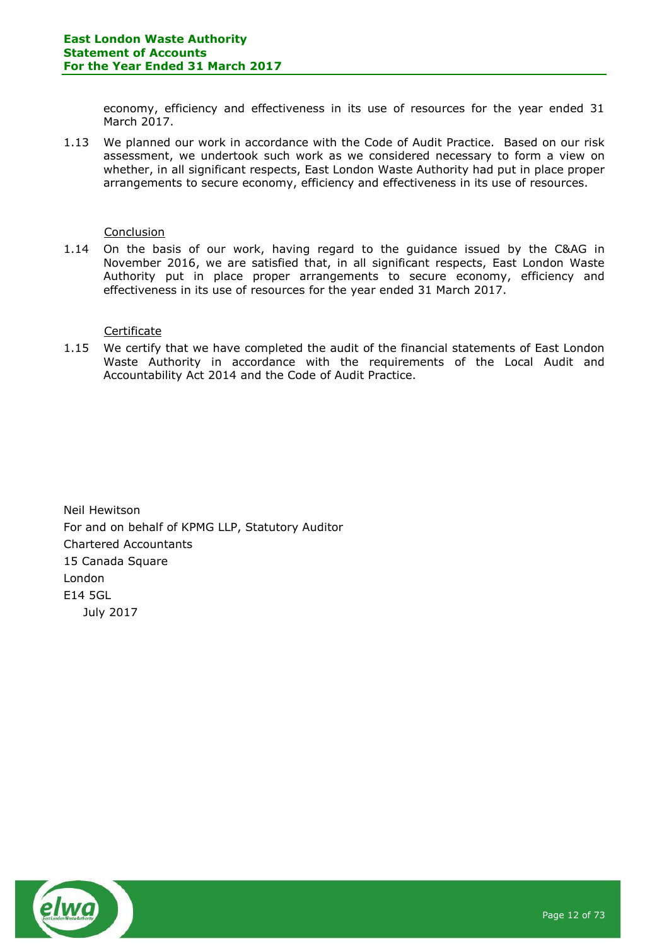economy, efficiency and effectiveness in its use of resources for the year ended 31 March 2017.

1.13 We planned our work in accordance with the Code of Audit Practice. Based on our risk assessment, we undertook such work as we considered necessary to form a view on whether, in all significant respects, East London Waste Authority had put in place proper arrangements to secure economy, efficiency and effectiveness in its use of resources.

#### **Conclusion**

1.14 On the basis of our work, having regard to the guidance issued by the C&AG in November 2016, we are satisfied that, in all significant respects, East London Waste Authority put in place proper arrangements to secure economy, efficiency and effectiveness in its use of resources for the year ended 31 March 2017.

#### Certificate

1.15 We certify that we have completed the audit of the financial statements of East London Waste Authority in accordance with the requirements of the Local Audit and Accountability Act 2014 and the Code of Audit Practice.

Neil Hewitson For and on behalf of KPMG LLP, Statutory Auditor Chartered Accountants 15 Canada Square London E14 5GL July 2017

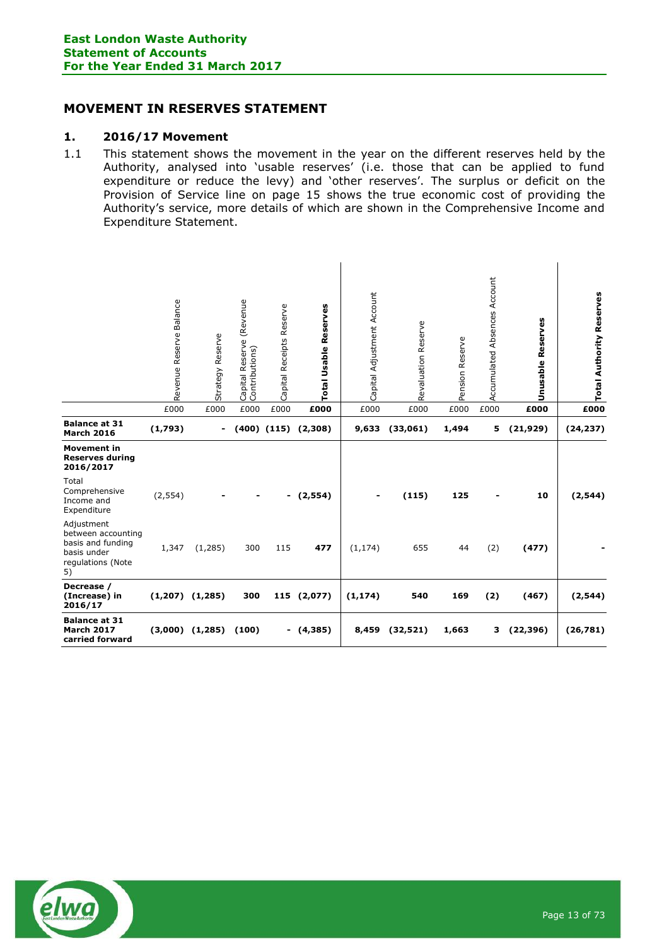## <span id="page-12-0"></span>**MOVEMENT IN RESERVES STATEMENT**

### **1. 2016/17 Movement**

1.1 This statement shows the movement in the year on the different reserves held by the Authority, analysed into 'usable reserves' (i.e. those that can be applied to fund expenditure or reduce the levy) and 'other reserves'. The surplus or deficit on the Provision of Service line on page 15 shows the true economic cost of providing the Authority's service, more details of which are shown in the Comprehensive Income and Expenditure Statement.

|                                                                                                 | Revenue Reserve Balance | Strategy Reserve    | (Revenue<br>Reserve<br>Capital Reserve<br>Contributions) | Capital Receipts Reserve | Total Usable Reserves     | Capital Adjustment Account | Revaluation Reserve | Pension Reserve | Accumulated Absences Account | <b>Unusable Reserves</b> | <b>Total Authority Reserves</b> |
|-------------------------------------------------------------------------------------------------|-------------------------|---------------------|----------------------------------------------------------|--------------------------|---------------------------|----------------------------|---------------------|-----------------|------------------------------|--------------------------|---------------------------------|
|                                                                                                 | £000                    | £000                | £000                                                     | £000                     | £000                      | £000                       | £000                | £000            | £000                         | £000                     | £000                            |
| <b>Balance at 31</b><br><b>March 2016</b>                                                       | (1,793)                 | $\blacksquare$      |                                                          |                          | $(400)$ $(115)$ $(2,308)$ | 9,633                      | (33,061)            | 1,494           | 5                            | (21, 929)                | (24, 237)                       |
| <b>Movement in</b><br><b>Reserves during</b><br>2016/2017                                       |                         |                     |                                                          |                          |                           |                            |                     |                 |                              |                          |                                 |
| Total<br>Comprehensive<br>Income and<br>Expenditure                                             | (2, 554)                |                     |                                                          | $\blacksquare$           | (2, 554)                  |                            | (115)               | 125             |                              | 10                       | (2, 544)                        |
| Adjustment<br>between accounting<br>basis and funding<br>basis under<br>regulations (Note<br>5) | 1,347                   | (1,285)             | 300                                                      | 115                      | 477                       | (1, 174)                   | 655                 | 44              | (2)                          | (477)                    |                                 |
| Decrease /<br>(Increase) in<br>2016/17                                                          |                         | $(1,207)$ $(1,285)$ | 300                                                      |                          | 115 (2,077)               | (1, 174)                   | 540                 | 169             | (2)                          | (467)                    | (2, 544)                        |
| <b>Balance at 31</b><br><b>March 2017</b><br>carried forward                                    |                         | $(3,000)$ $(1,285)$ | (100)                                                    | ۰.                       | (4,385)                   | 8,459                      | (32, 521)           | 1,663           | з                            | (22, 396)                | (26, 781)                       |

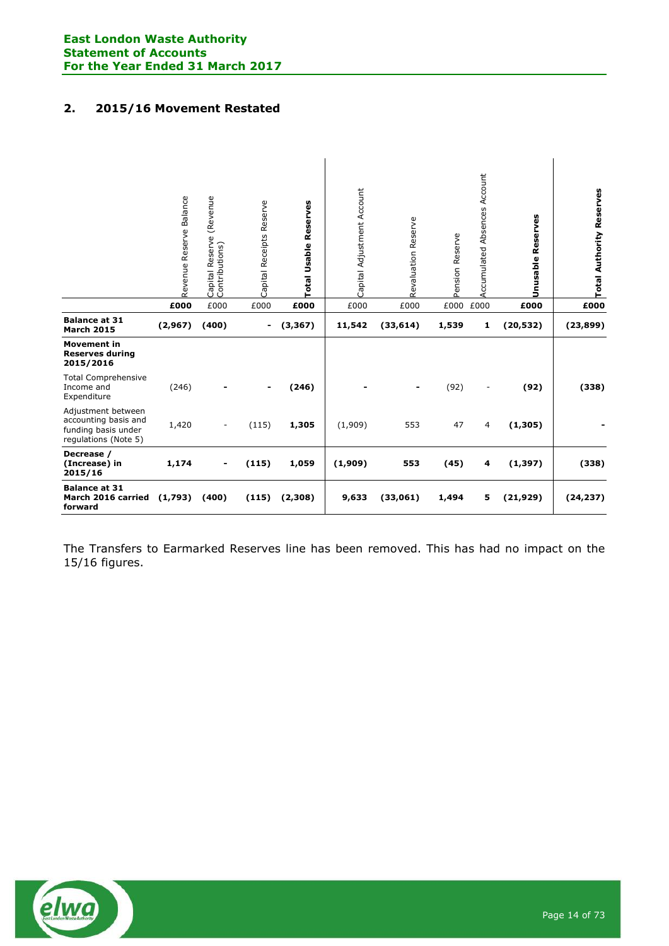# **2. 2015/16 Movement Restated**

|                                                                                           | Revenue Reserve Balance | Capital Reserve (Revenue<br>Contributions) | Capital Receipts Reserve | <b>Total Usable Reserves</b> | Capital Adjustment Account | Revaluation Reserve | Pension Reserve | <b>Accumulated Absences Account</b> | Reserves<br>Unusable | <b>Total Authority Reserves</b> |
|-------------------------------------------------------------------------------------------|-------------------------|--------------------------------------------|--------------------------|------------------------------|----------------------------|---------------------|-----------------|-------------------------------------|----------------------|---------------------------------|
|                                                                                           | £000                    | £000                                       | £000                     | £000                         | £000                       | £000                | £000            | £000                                | £000                 | £000                            |
| <b>Balance at 31</b><br><b>March 2015</b>                                                 | (2,967)                 | (400)                                      | -                        | (3, 367)                     | 11,542                     | (33, 614)           | 1,539           | 1                                   | (20, 532)            | (23, 899)                       |
| <b>Movement in</b><br><b>Reserves during</b><br>2015/2016                                 |                         |                                            |                          |                              |                            |                     |                 |                                     |                      |                                 |
| <b>Total Comprehensive</b><br>Income and<br>Expenditure                                   | (246)                   |                                            |                          | (246)                        |                            |                     | (92)            |                                     | (92)                 | (338)                           |
| Adjustment between<br>accounting basis and<br>funding basis under<br>regulations (Note 5) | 1,420                   |                                            | (115)                    | 1,305                        | (1,909)                    | 553                 | 47              | 4                                   | (1, 305)             |                                 |
| Decrease /<br>(Increase) in<br>2015/16                                                    | 1,174                   |                                            | (115)                    | 1,059                        | (1,909)                    | 553                 | (45)            | 4                                   | (1, 397)             | (338)                           |
| <b>Balance at 31</b><br>March 2016 carried (1,793)<br>forward                             |                         | (400)                                      | (115)                    | (2,308)                      | 9,633                      | (33,061)            | 1,494           | 5                                   | (21, 929)            | (24, 237)                       |

The Transfers to Earmarked Reserves line has been removed. This has had no impact on the 15/16 figures.

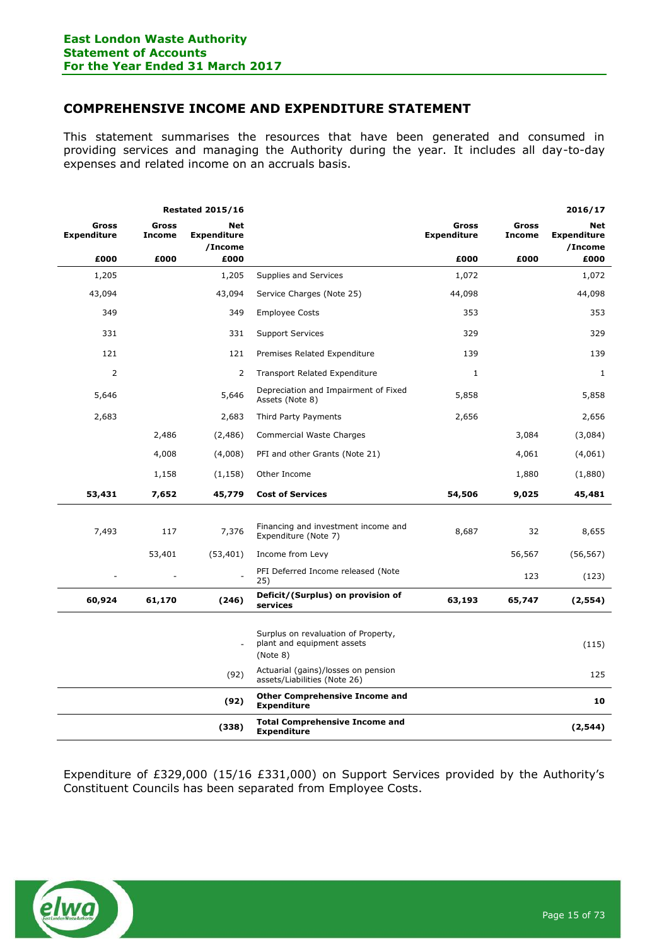## <span id="page-14-0"></span>**COMPREHENSIVE INCOME AND EXPENDITURE STATEMENT**

This statement summarises the resources that have been generated and consumed in providing services and managing the Authority during the year. It includes all day-to-day expenses and related income on an accruals basis.

| <b>Restated 2015/16</b>     |                        |                                      |                                                                               |                             |                        | 2016/17                              |
|-----------------------------|------------------------|--------------------------------------|-------------------------------------------------------------------------------|-----------------------------|------------------------|--------------------------------------|
| Gross<br><b>Expenditure</b> | Gross<br><b>Income</b> | Net<br><b>Expenditure</b><br>/Income |                                                                               | Gross<br><b>Expenditure</b> | Gross<br><b>Income</b> | Net<br><b>Expenditure</b><br>/Income |
| £000                        | £000                   | £000                                 |                                                                               | £000                        | £000                   | £000                                 |
| 1,205                       |                        | 1,205                                | Supplies and Services                                                         | 1,072                       |                        | 1,072                                |
| 43,094                      |                        | 43,094                               | Service Charges (Note 25)                                                     | 44,098                      |                        | 44,098                               |
| 349                         |                        | 349                                  | <b>Employee Costs</b>                                                         | 353                         |                        | 353                                  |
| 331                         |                        | 331                                  | <b>Support Services</b>                                                       | 329                         |                        | 329                                  |
| 121                         |                        | 121                                  | Premises Related Expenditure                                                  | 139                         |                        | 139                                  |
| 2                           |                        | 2                                    | <b>Transport Related Expenditure</b>                                          | $\mathbf{1}$                |                        | 1                                    |
| 5,646                       |                        | 5,646                                | Depreciation and Impairment of Fixed<br>Assets (Note 8)                       | 5,858                       |                        | 5,858                                |
| 2,683                       |                        | 2,683                                | Third Party Payments                                                          | 2,656                       |                        | 2,656                                |
|                             | 2,486                  | (2,486)                              | Commercial Waste Charges                                                      |                             | 3,084                  | (3,084)                              |
|                             | 4,008                  | (4,008)                              | PFI and other Grants (Note 21)                                                |                             | 4,061                  | (4,061)                              |
|                             | 1,158                  | (1, 158)                             | Other Income                                                                  |                             | 1,880                  | (1,880)                              |
| 53,431                      | 7,652                  | 45,779                               | <b>Cost of Services</b>                                                       | 54,506                      | 9,025                  | 45,481                               |
|                             |                        |                                      |                                                                               |                             |                        |                                      |
| 7,493                       | 117                    | 7,376                                | Financing and investment income and<br>Expenditure (Note 7)                   | 8,687                       | 32                     | 8,655                                |
|                             | 53,401                 | (53, 401)                            | Income from Levy                                                              |                             | 56,567                 | (56, 567)                            |
|                             |                        |                                      | PFI Deferred Income released (Note<br>25)                                     |                             | 123                    | (123)                                |
| 60,924                      | 61,170                 | (246)                                | Deficit/(Surplus) on provision of<br>services                                 | 63,193                      | 65,747                 | (2, 554)                             |
|                             |                        |                                      |                                                                               |                             |                        |                                      |
|                             |                        |                                      | Surplus on revaluation of Property,<br>plant and equipment assets<br>(Note 8) |                             |                        | (115)                                |
|                             |                        | (92)                                 | Actuarial (gains)/losses on pension<br>assets/Liabilities (Note 26)           |                             |                        | 125                                  |
|                             |                        | (92)                                 | <b>Other Comprehensive Income and</b><br><b>Expenditure</b>                   |                             |                        | 10                                   |
|                             |                        | (338)                                | <b>Total Comprehensive Income and</b><br><b>Expenditure</b>                   |                             |                        | (2, 544)                             |

Expenditure of £329,000 (15/16 £331,000) on Support Services provided by the Authority's Constituent Councils has been separated from Employee Costs.

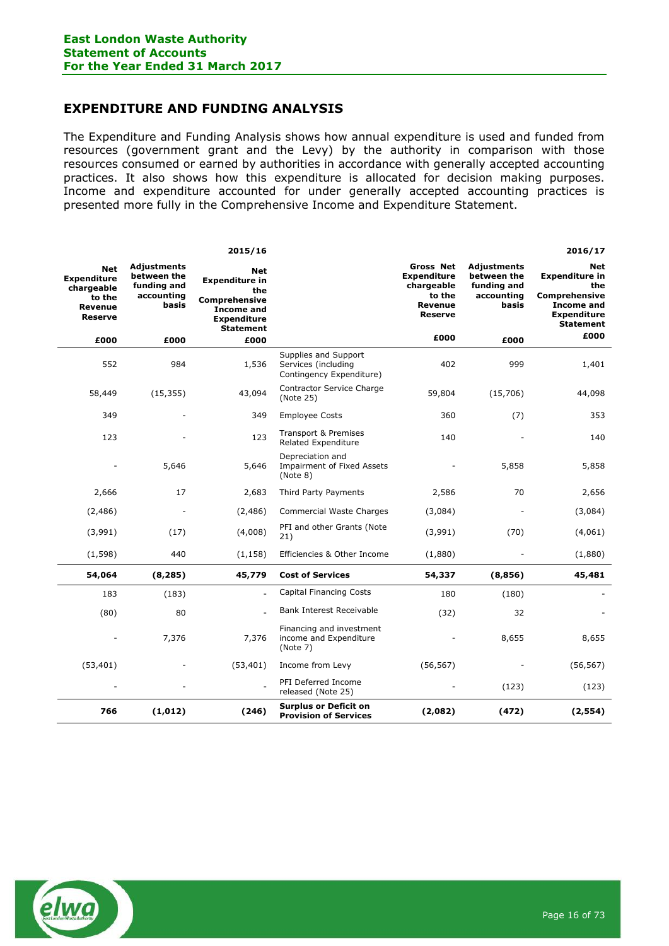## <span id="page-15-0"></span>**EXPENDITURE AND FUNDING ANALYSIS**

The Expenditure and Funding Analysis shows how annual expenditure is used and funded from resources (government grant and the Levy) by the authority in comparison with those resources consumed or earned by authorities in accordance with generally accepted accounting practices. It also shows how this expenditure is allocated for decision making purposes. Income and expenditure accounted for under generally accepted accounting practices is presented more fully in the Comprehensive Income and Expenditure Statement.

|                                                                                       |                                                                  | 2015/16                                                                                                                    |                                                                         |                                                                                             |                                                                  | 2016/17                                                                                                                    |
|---------------------------------------------------------------------------------------|------------------------------------------------------------------|----------------------------------------------------------------------------------------------------------------------------|-------------------------------------------------------------------------|---------------------------------------------------------------------------------------------|------------------------------------------------------------------|----------------------------------------------------------------------------------------------------------------------------|
| <b>Net</b><br><b>Expenditure</b><br>chargeable<br>to the<br>Revenue<br><b>Reserve</b> | Adjustments<br>between the<br>funding and<br>accounting<br>basis | <b>Net</b><br><b>Expenditure in</b><br>the<br>Comprehensive<br><b>Income and</b><br><b>Expenditure</b><br><b>Statement</b> |                                                                         | <b>Gross Net</b><br><b>Expenditure</b><br>chargeable<br>to the<br>Revenue<br><b>Reserve</b> | Adjustments<br>between the<br>funding and<br>accounting<br>basis | Net<br><b>Expenditure in</b><br>the<br><b>Comprehensive</b><br><b>Income and</b><br><b>Expenditure</b><br><b>Statement</b> |
| £000                                                                                  | £000                                                             | £000                                                                                                                       |                                                                         | £000                                                                                        | £000                                                             | £000                                                                                                                       |
| 552                                                                                   | 984                                                              | 1,536                                                                                                                      | Supplies and Support<br>Services (including<br>Contingency Expenditure) | 402                                                                                         | 999                                                              | 1,401                                                                                                                      |
| 58,449                                                                                | (15, 355)                                                        | 43,094                                                                                                                     | Contractor Service Charge<br>(Note 25)                                  | 59,804                                                                                      | (15,706)                                                         | 44,098                                                                                                                     |
| 349                                                                                   |                                                                  | 349                                                                                                                        | <b>Employee Costs</b>                                                   | 360                                                                                         | (7)                                                              | 353                                                                                                                        |
| 123                                                                                   |                                                                  | 123                                                                                                                        | Transport & Premises<br>Related Expenditure                             | 140                                                                                         |                                                                  | 140                                                                                                                        |
|                                                                                       | 5,646                                                            | 5,646                                                                                                                      | Depreciation and<br><b>Impairment of Fixed Assets</b><br>(Note 8)       |                                                                                             | 5,858                                                            | 5,858                                                                                                                      |
| 2,666                                                                                 | 17                                                               | 2,683                                                                                                                      | Third Party Payments                                                    | 2,586                                                                                       | 70                                                               | 2,656                                                                                                                      |
| (2,486)                                                                               |                                                                  | (2,486)                                                                                                                    | Commercial Waste Charges                                                | (3,084)                                                                                     |                                                                  | (3,084)                                                                                                                    |
| (3,991)                                                                               | (17)                                                             | (4,008)                                                                                                                    | PFI and other Grants (Note<br>21)                                       | (3,991)                                                                                     | (70)                                                             | (4,061)                                                                                                                    |
| (1, 598)                                                                              | 440                                                              | (1, 158)                                                                                                                   | Efficiencies & Other Income                                             | (1,880)                                                                                     |                                                                  | (1,880)                                                                                                                    |
| 54,064                                                                                | (8, 285)                                                         | 45,779                                                                                                                     | <b>Cost of Services</b>                                                 | 54,337                                                                                      | (8,856)                                                          | 45,481                                                                                                                     |
| 183                                                                                   | (183)                                                            | ÷.                                                                                                                         | <b>Capital Financing Costs</b>                                          | 180                                                                                         | (180)                                                            |                                                                                                                            |
| (80)                                                                                  | 80                                                               |                                                                                                                            | Bank Interest Receivable                                                | (32)                                                                                        | 32                                                               |                                                                                                                            |
|                                                                                       | 7,376                                                            | 7,376                                                                                                                      | Financing and investment<br>income and Expenditure<br>(Note 7)          |                                                                                             | 8,655                                                            | 8,655                                                                                                                      |
| (53, 401)                                                                             |                                                                  | (53, 401)                                                                                                                  | Income from Levy                                                        | (56, 567)                                                                                   |                                                                  | (56, 567)                                                                                                                  |
|                                                                                       |                                                                  |                                                                                                                            | PFI Deferred Income<br>released (Note 25)                               |                                                                                             | (123)                                                            | (123)                                                                                                                      |
| 766                                                                                   | (1,012)                                                          | (246)                                                                                                                      | <b>Surplus or Deficit on</b><br><b>Provision of Services</b>            | (2,082)                                                                                     | (472)                                                            | (2, 554)                                                                                                                   |

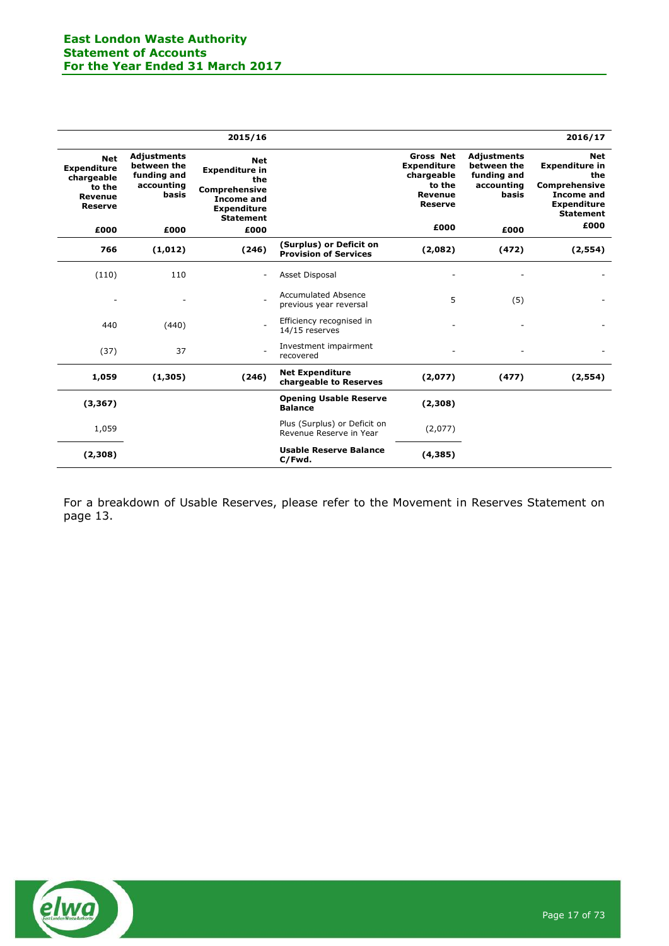|                                                                                              |                                                                         | 2015/16                                                                                                                           |                                                         |                                                                                                    |                                                                         | 2016/17                                                                                                                                   |
|----------------------------------------------------------------------------------------------|-------------------------------------------------------------------------|-----------------------------------------------------------------------------------------------------------------------------------|---------------------------------------------------------|----------------------------------------------------------------------------------------------------|-------------------------------------------------------------------------|-------------------------------------------------------------------------------------------------------------------------------------------|
| <b>Net</b><br><b>Expenditure</b><br>chargeable<br>to the<br><b>Revenue</b><br><b>Reserve</b> | <b>Adjustments</b><br>between the<br>funding and<br>accounting<br>basis | <b>Net</b><br><b>Expenditure in</b><br>the<br><b>Comprehensive</b><br><b>Income and</b><br><b>Expenditure</b><br><b>Statement</b> |                                                         | <b>Gross Net</b><br><b>Expenditure</b><br>chargeable<br>to the<br><b>Revenue</b><br><b>Reserve</b> | <b>Adjustments</b><br>between the<br>funding and<br>accounting<br>basis | <b>Net</b><br><b>Expenditure in</b><br>the<br><b>Comprehensive</b><br><b>Income and</b><br><b>Expenditure</b><br><b>Statement</b><br>£000 |
| £000                                                                                         | £000                                                                    | £000                                                                                                                              |                                                         | £000                                                                                               | £000                                                                    |                                                                                                                                           |
| 766                                                                                          | (1,012)                                                                 | (246)                                                                                                                             | (Surplus) or Deficit on<br><b>Provision of Services</b> | (2,082)                                                                                            | (472)                                                                   | (2, 554)                                                                                                                                  |
| (110)                                                                                        | 110                                                                     |                                                                                                                                   | Asset Disposal                                          |                                                                                                    |                                                                         |                                                                                                                                           |
|                                                                                              |                                                                         |                                                                                                                                   | <b>Accumulated Absence</b><br>previous year reversal    | 5                                                                                                  | (5)                                                                     |                                                                                                                                           |
| 440                                                                                          | (440)                                                                   |                                                                                                                                   | Efficiency recognised in<br>14/15 reserves              |                                                                                                    |                                                                         |                                                                                                                                           |
| (37)                                                                                         | 37                                                                      |                                                                                                                                   | Investment impairment<br>recovered                      |                                                                                                    |                                                                         |                                                                                                                                           |
| 1,059                                                                                        | (1,305)                                                                 | (246)                                                                                                                             | <b>Net Expenditure</b><br>chargeable to Reserves        | (2,077)                                                                                            | (477)                                                                   | (2,554)                                                                                                                                   |
| (3, 367)                                                                                     |                                                                         |                                                                                                                                   | <b>Opening Usable Reserve</b><br><b>Balance</b>         | (2,308)                                                                                            |                                                                         |                                                                                                                                           |
| 1,059                                                                                        |                                                                         |                                                                                                                                   | Plus (Surplus) or Deficit on<br>Revenue Reserve in Year | (2,077)                                                                                            |                                                                         |                                                                                                                                           |
| (2,308)                                                                                      |                                                                         |                                                                                                                                   | <b>Usable Reserve Balance</b><br>C/Fwd.                 | (4, 385)                                                                                           |                                                                         |                                                                                                                                           |

For a breakdown of Usable Reserves, please refer to the Movement in Reserves Statement on page 13.

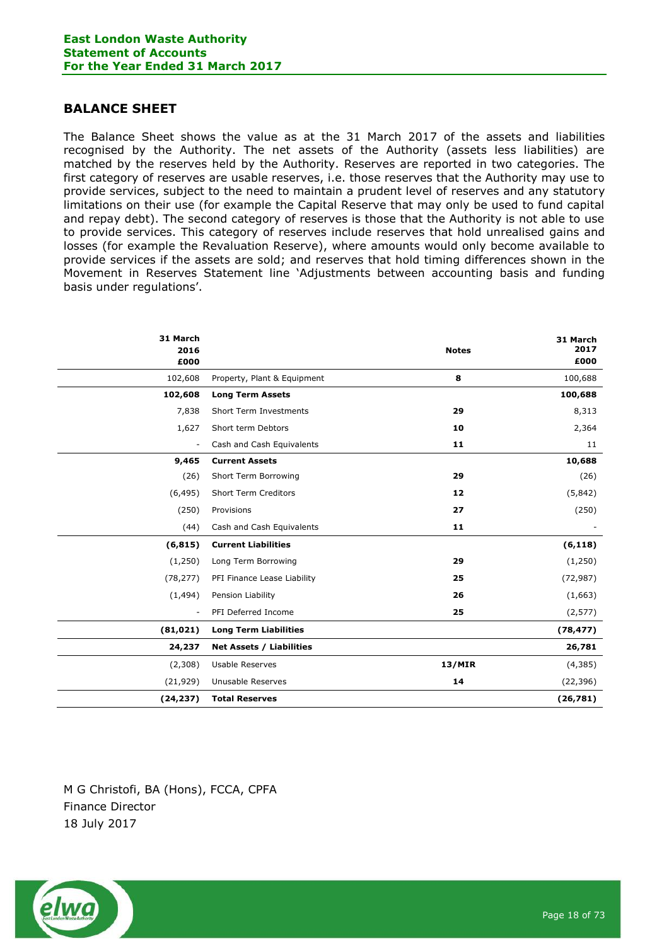## <span id="page-17-0"></span>**BALANCE SHEET**

The Balance Sheet shows the value as at the 31 March 2017 of the assets and liabilities recognised by the Authority. The net assets of the Authority (assets less liabilities) are matched by the reserves held by the Authority. Reserves are reported in two categories. The first category of reserves are usable reserves, i.e. those reserves that the Authority may use to provide services, subject to the need to maintain a prudent level of reserves and any statutory limitations on their use (for example the Capital Reserve that may only be used to fund capital and repay debt). The second category of reserves is those that the Authority is not able to use to provide services. This category of reserves include reserves that hold unrealised gains and losses (for example the Revaluation Reserve), where amounts would only become available to provide services if the assets are sold; and reserves that hold timing differences shown in the Movement in Reserves Statement line 'Adjustments between accounting basis and funding basis under regulations'.

| 31 March<br>2016<br>£000 |                                 | <b>Notes</b>  | 31 March<br>2017<br>£000 |
|--------------------------|---------------------------------|---------------|--------------------------|
| 102,608                  | Property, Plant & Equipment     | 8             | 100,688                  |
| 102,608                  | <b>Long Term Assets</b>         |               | 100,688                  |
| 7,838                    | Short Term Investments          | 29            | 8,313                    |
| 1,627                    | Short term Debtors              | 10            | 2,364                    |
| $\overline{\phantom{a}}$ | Cash and Cash Equivalents       | 11            | 11                       |
| 9,465                    | <b>Current Assets</b>           |               | 10,688                   |
| (26)                     | Short Term Borrowing            | 29            | (26)                     |
| (6, 495)                 | <b>Short Term Creditors</b>     | 12            | (5,842)                  |
| (250)                    | Provisions                      | 27            | (250)                    |
| (44)                     | Cash and Cash Equivalents       | 11            |                          |
| (6, 815)                 | <b>Current Liabilities</b>      |               | (6, 118)                 |
| (1,250)                  | Long Term Borrowing             | 29            | (1,250)                  |
| (78, 277)                | PFI Finance Lease Liability     | 25            | (72, 987)                |
| (1, 494)                 | Pension Liability               | 26            | (1,663)                  |
| $\overline{\phantom{a}}$ | PFI Deferred Income             | 25            | (2, 577)                 |
| (81, 021)                | <b>Long Term Liabilities</b>    |               | (78, 477)                |
| 24,237                   | <b>Net Assets / Liabilities</b> |               | 26,781                   |
| (2,308)                  | Usable Reserves                 | <b>13/MIR</b> | (4, 385)                 |
| (21, 929)                | Unusable Reserves               | 14            | (22, 396)                |
| (24, 237)                | <b>Total Reserves</b>           |               | (26, 781)                |

M G Christofi, BA (Hons), FCCA, CPFA Finance Director 18 July 2017

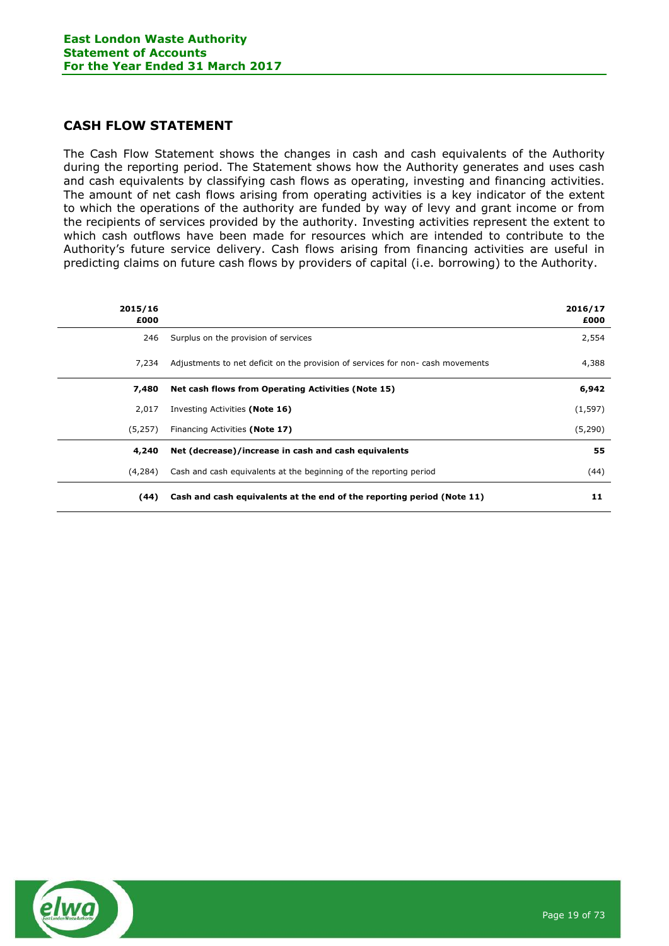## <span id="page-18-0"></span>**CASH FLOW STATEMENT**

The Cash Flow Statement shows the changes in cash and cash equivalents of the Authority during the reporting period. The Statement shows how the Authority generates and uses cash and cash equivalents by classifying cash flows as operating, investing and financing activities. The amount of net cash flows arising from operating activities is a key indicator of the extent to which the operations of the authority are funded by way of levy and grant income or from the recipients of services provided by the authority. Investing activities represent the extent to which cash outflows have been made for resources which are intended to contribute to the Authority's future service delivery. Cash flows arising from financing activities are useful in predicting claims on future cash flows by providers of capital (i.e. borrowing) to the Authority.

| 2015/16<br>£000 |                                                                                | 2016/17<br>£000 |
|-----------------|--------------------------------------------------------------------------------|-----------------|
| 246             | Surplus on the provision of services                                           | 2,554           |
| 7,234           | Adjustments to net deficit on the provision of services for non-cash movements | 4,388           |
| 7,480           | Net cash flows from Operating Activities (Note 15)                             | 6,942           |
| 2,017           | Investing Activities (Note 16)                                                 | (1, 597)        |
| (5,257)         | Financing Activities (Note 17)                                                 | (5,290)         |
| 4,240           | Net (decrease)/increase in cash and cash equivalents                           | 55              |
| (4,284)         | Cash and cash equivalents at the beginning of the reporting period             | (44)            |
| (44)            | Cash and cash equivalents at the end of the reporting period (Note 11)         | 11              |

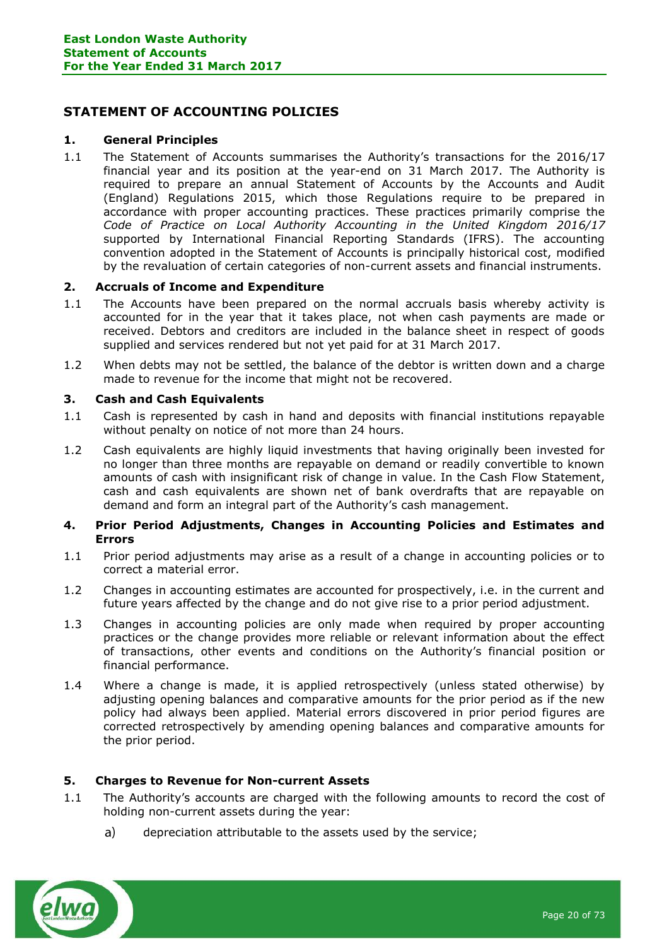## <span id="page-19-0"></span>**STATEMENT OF ACCOUNTING POLICIES**

#### **1. General Principles**

1.1 The Statement of Accounts summarises the Authority's transactions for the 2016/17 financial year and its position at the year-end on 31 March 2017. The Authority is required to prepare an annual Statement of Accounts by the Accounts and Audit (England) Regulations 2015, which those Regulations require to be prepared in accordance with proper accounting practices. These practices primarily comprise the *Code of Practice on Local Authority Accounting in the United Kingdom 2016/17* supported by International Financial Reporting Standards (IFRS). The accounting convention adopted in the Statement of Accounts is principally historical cost, modified by the revaluation of certain categories of non-current assets and financial instruments.

#### **2. Accruals of Income and Expenditure**

- 1.1 The Accounts have been prepared on the normal accruals basis whereby activity is accounted for in the year that it takes place, not when cash payments are made or received. Debtors and creditors are included in the balance sheet in respect of goods supplied and services rendered but not yet paid for at 31 March 2017.
- 1.2 When debts may not be settled, the balance of the debtor is written down and a charge made to revenue for the income that might not be recovered.

#### **3. Cash and Cash Equivalents**

- 1.1 Cash is represented by cash in hand and deposits with financial institutions repayable without penalty on notice of not more than 24 hours.
- 1.2 Cash equivalents are highly liquid investments that having originally been invested for no longer than three months are repayable on demand or readily convertible to known amounts of cash with insignificant risk of change in value. In the Cash Flow Statement, cash and cash equivalents are shown net of bank overdrafts that are repayable on demand and form an integral part of the Authority's cash management.

#### **4. Prior Period Adjustments, Changes in Accounting Policies and Estimates and Errors**

- 1.1 Prior period adjustments may arise as a result of a change in accounting policies or to correct a material error.
- 1.2 Changes in accounting estimates are accounted for prospectively, i.e. in the current and future years affected by the change and do not give rise to a prior period adjustment.
- 1.3 Changes in accounting policies are only made when required by proper accounting practices or the change provides more reliable or relevant information about the effect of transactions, other events and conditions on the Authority's financial position or financial performance.
- 1.4 Where a change is made, it is applied retrospectively (unless stated otherwise) by adjusting opening balances and comparative amounts for the prior period as if the new policy had always been applied. Material errors discovered in prior period figures are corrected retrospectively by amending opening balances and comparative amounts for the prior period.

#### **5. Charges to Revenue for Non-current Assets**

- 1.1 The Authority's accounts are charged with the following amounts to record the cost of holding non-current assets during the year:
	- $a)$ depreciation attributable to the assets used by the service;

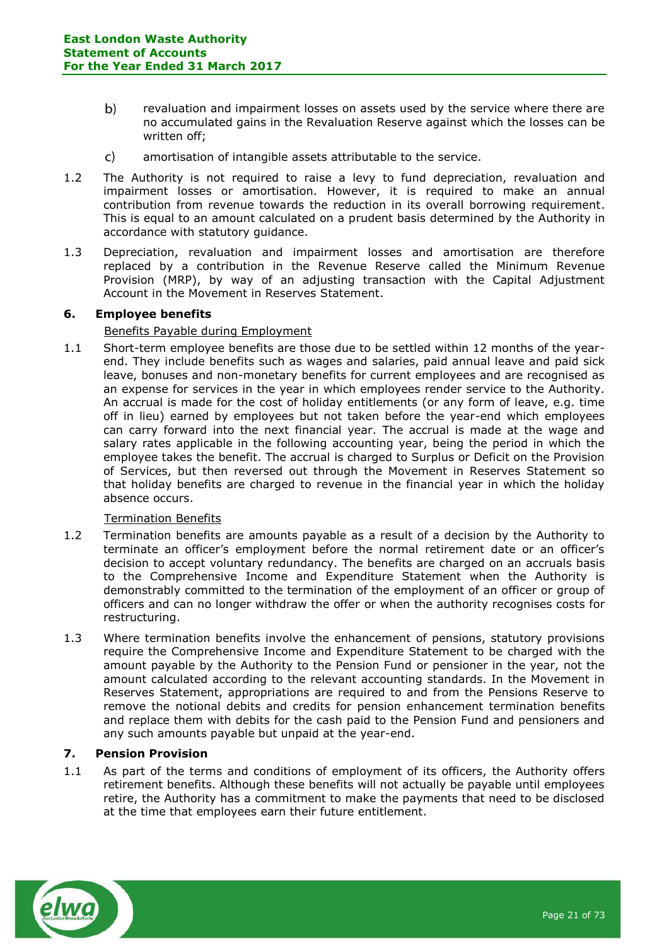- $b)$ revaluation and impairment losses on assets used by the service where there are no accumulated gains in the Revaluation Reserve against which the losses can be written off;
- amortisation of intangible assets attributable to the service.  $\mathsf{C}$
- 1.2 The Authority is not required to raise a levy to fund depreciation, revaluation and impairment losses or amortisation. However, it is required to make an annual contribution from revenue towards the reduction in its overall borrowing requirement. This is equal to an amount calculated on a prudent basis determined by the Authority in accordance with statutory guidance.
- 1.3 Depreciation, revaluation and impairment losses and amortisation are therefore replaced by a contribution in the Revenue Reserve called the Minimum Revenue Provision (MRP), by way of an adjusting transaction with the Capital Adjustment Account in the Movement in Reserves Statement.

### **6. Employee benefits**

### Benefits Payable during Employment

1.1 Short-term employee benefits are those due to be settled within 12 months of the yearend. They include benefits such as wages and salaries, paid annual leave and paid sick leave, bonuses and non-monetary benefits for current employees and are recognised as an expense for services in the year in which employees render service to the Authority. An accrual is made for the cost of holiday entitlements (or any form of leave, e.g. time off in lieu) earned by employees but not taken before the year-end which employees can carry forward into the next financial year. The accrual is made at the wage and salary rates applicable in the following accounting year, being the period in which the employee takes the benefit. The accrual is charged to Surplus or Deficit on the Provision of Services, but then reversed out through the Movement in Reserves Statement so that holiday benefits are charged to revenue in the financial year in which the holiday absence occurs.

#### Termination Benefits

- 1.2 Termination benefits are amounts payable as a result of a decision by the Authority to terminate an officer's employment before the normal retirement date or an officer's decision to accept voluntary redundancy. The benefits are charged on an accruals basis to the Comprehensive Income and Expenditure Statement when the Authority is demonstrably committed to the termination of the employment of an officer or group of officers and can no longer withdraw the offer or when the authority recognises costs for restructuring.
- 1.3 Where termination benefits involve the enhancement of pensions, statutory provisions require the Comprehensive Income and Expenditure Statement to be charged with the amount payable by the Authority to the Pension Fund or pensioner in the year, not the amount calculated according to the relevant accounting standards. In the Movement in Reserves Statement, appropriations are required to and from the Pensions Reserve to remove the notional debits and credits for pension enhancement termination benefits and replace them with debits for the cash paid to the Pension Fund and pensioners and any such amounts payable but unpaid at the year-end.

#### **7. Pension Provision**

1.1 As part of the terms and conditions of employment of its officers, the Authority offers retirement benefits. Although these benefits will not actually be payable until employees retire, the Authority has a commitment to make the payments that need to be disclosed at the time that employees earn their future entitlement.

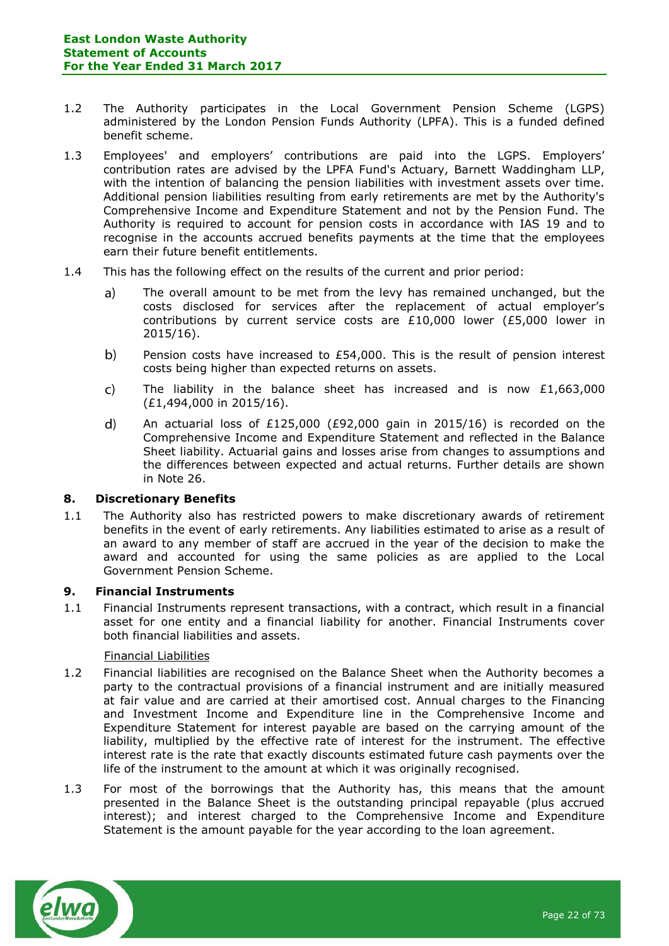- 1.2 The Authority participates in the Local Government Pension Scheme (LGPS) administered by the London Pension Funds Authority (LPFA). This is a funded defined benefit scheme.
- 1.3 Employees' and employers' contributions are paid into the LGPS. Employers' contribution rates are advised by the LPFA Fund's Actuary, Barnett Waddingham LLP, with the intention of balancing the pension liabilities with investment assets over time. Additional pension liabilities resulting from early retirements are met by the Authority's Comprehensive Income and Expenditure Statement and not by the Pension Fund. The Authority is required to account for pension costs in accordance with IAS 19 and to recognise in the accounts accrued benefits payments at the time that the employees earn their future benefit entitlements.
- 1.4 This has the following effect on the results of the current and prior period:
	- The overall amount to be met from the levy has remained unchanged, but the a) costs disclosed for services after the replacement of actual employer's contributions by current service costs are £10,000 lower (£5,000 lower in 2015/16).
	- $b)$ Pension costs have increased to  $£54,000$ . This is the result of pension interest costs being higher than expected returns on assets.
	- The liability in the balance sheet has increased and is now  $£1,663,000$  $\mathsf{C}$ (£1,494,000 in 2015/16).
	- An actuarial loss of £125,000 (£92,000 gain in 2015/16) is recorded on the  $\mathsf{d}$ Comprehensive Income and Expenditure Statement and reflected in the Balance Sheet liability. Actuarial gains and losses arise from changes to assumptions and the differences between expected and actual returns. Further details are shown in Note 26.

#### **8. Discretionary Benefits**

1.1 The Authority also has restricted powers to make discretionary awards of retirement benefits in the event of early retirements. Any liabilities estimated to arise as a result of an award to any member of staff are accrued in the year of the decision to make the award and accounted for using the same policies as are applied to the Local Government Pension Scheme.

#### **9. Financial Instruments**

1.1 Financial Instruments represent transactions, with a contract, which result in a financial asset for one entity and a financial liability for another. Financial Instruments cover both financial liabilities and assets.

#### Financial Liabilities

- 1.2 Financial liabilities are recognised on the Balance Sheet when the Authority becomes a party to the contractual provisions of a financial instrument and are initially measured at fair value and are carried at their amortised cost. Annual charges to the Financing and Investment Income and Expenditure line in the Comprehensive Income and Expenditure Statement for interest payable are based on the carrying amount of the liability, multiplied by the effective rate of interest for the instrument. The effective interest rate is the rate that exactly discounts estimated future cash payments over the life of the instrument to the amount at which it was originally recognised.
- 1.3 For most of the borrowings that the Authority has, this means that the amount presented in the Balance Sheet is the outstanding principal repayable (plus accrued interest); and interest charged to the Comprehensive Income and Expenditure Statement is the amount payable for the year according to the loan agreement.

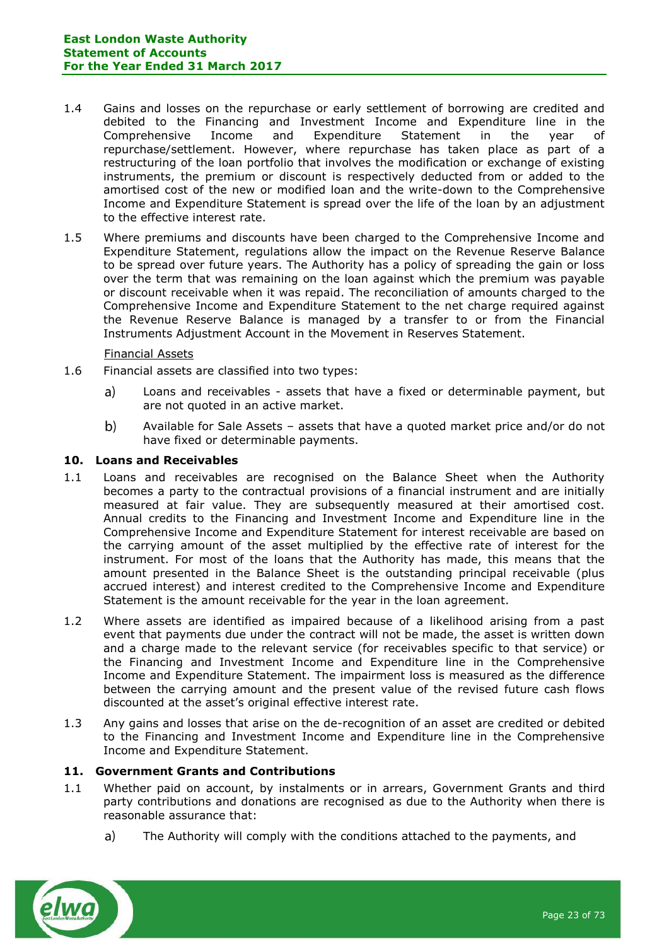- 1.4 Gains and losses on the repurchase or early settlement of borrowing are credited and debited to the Financing and Investment Income and Expenditure line in the Comprehensive Income and Expenditure Statement in the year of repurchase/settlement. However, where repurchase has taken place as part of a restructuring of the loan portfolio that involves the modification or exchange of existing instruments, the premium or discount is respectively deducted from or added to the amortised cost of the new or modified loan and the write-down to the Comprehensive Income and Expenditure Statement is spread over the life of the loan by an adjustment to the effective interest rate.
- 1.5 Where premiums and discounts have been charged to the Comprehensive Income and Expenditure Statement, regulations allow the impact on the Revenue Reserve Balance to be spread over future years. The Authority has a policy of spreading the gain or loss over the term that was remaining on the loan against which the premium was payable or discount receivable when it was repaid. The reconciliation of amounts charged to the Comprehensive Income and Expenditure Statement to the net charge required against the Revenue Reserve Balance is managed by a transfer to or from the Financial Instruments Adjustment Account in the Movement in Reserves Statement.

#### Financial Assets

- 1.6 Financial assets are classified into two types:
	- $a)$ Loans and receivables - assets that have a fixed or determinable payment, but are not quoted in an active market.
	- $b)$ Available for Sale Assets – assets that have a quoted market price and/or do not have fixed or determinable payments.

#### **10. Loans and Receivables**

- 1.1 Loans and receivables are recognised on the Balance Sheet when the Authority becomes a party to the contractual provisions of a financial instrument and are initially measured at fair value. They are subsequently measured at their amortised cost. Annual credits to the Financing and Investment Income and Expenditure line in the Comprehensive Income and Expenditure Statement for interest receivable are based on the carrying amount of the asset multiplied by the effective rate of interest for the instrument. For most of the loans that the Authority has made, this means that the amount presented in the Balance Sheet is the outstanding principal receivable (plus accrued interest) and interest credited to the Comprehensive Income and Expenditure Statement is the amount receivable for the year in the loan agreement.
- 1.2 Where assets are identified as impaired because of a likelihood arising from a past event that payments due under the contract will not be made, the asset is written down and a charge made to the relevant service (for receivables specific to that service) or the Financing and Investment Income and Expenditure line in the Comprehensive Income and Expenditure Statement. The impairment loss is measured as the difference between the carrying amount and the present value of the revised future cash flows discounted at the asset's original effective interest rate.
- 1.3 Any gains and losses that arise on the de-recognition of an asset are credited or debited to the Financing and Investment Income and Expenditure line in the Comprehensive Income and Expenditure Statement.

#### **11. Government Grants and Contributions**

- 1.1 Whether paid on account, by instalments or in arrears, Government Grants and third party contributions and donations are recognised as due to the Authority when there is reasonable assurance that:
	- $a)$ The Authority will comply with the conditions attached to the payments, and

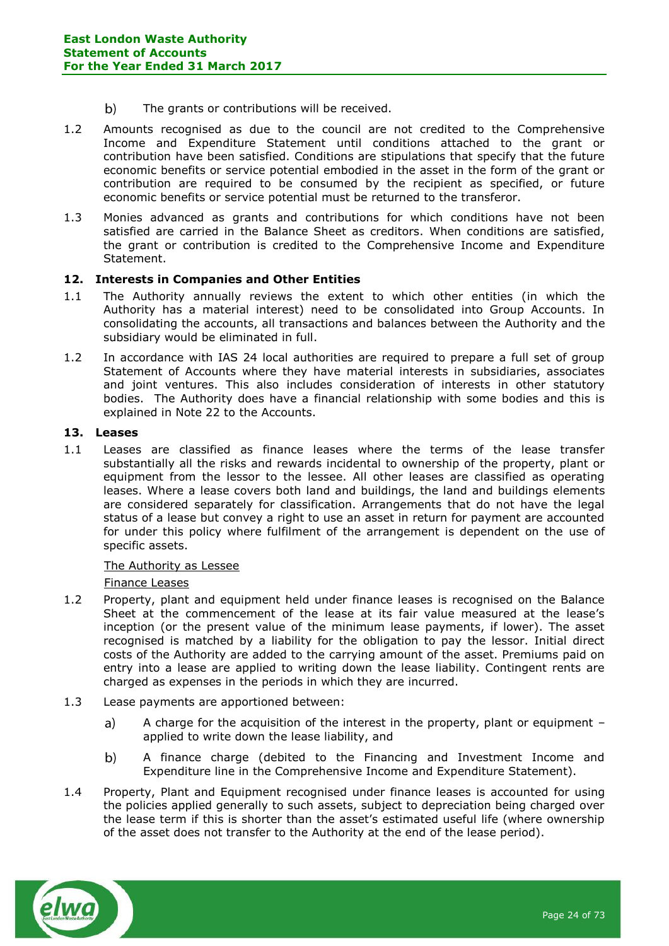- $b)$ The grants or contributions will be received.
- 1.2 Amounts recognised as due to the council are not credited to the Comprehensive Income and Expenditure Statement until conditions attached to the grant or contribution have been satisfied. Conditions are stipulations that specify that the future economic benefits or service potential embodied in the asset in the form of the grant or contribution are required to be consumed by the recipient as specified, or future economic benefits or service potential must be returned to the transferor.
- 1.3 Monies advanced as grants and contributions for which conditions have not been satisfied are carried in the Balance Sheet as creditors. When conditions are satisfied, the grant or contribution is credited to the Comprehensive Income and Expenditure Statement.

#### **12. Interests in Companies and Other Entities**

- 1.1 The Authority annually reviews the extent to which other entities (in which the Authority has a material interest) need to be consolidated into Group Accounts. In consolidating the accounts, all transactions and balances between the Authority and the subsidiary would be eliminated in full.
- 1.2 In accordance with IAS 24 local authorities are required to prepare a full set of group Statement of Accounts where they have material interests in subsidiaries, associates and joint ventures. This also includes consideration of interests in other statutory bodies. The Authority does have a financial relationship with some bodies and this is explained in Note 22 to the Accounts.

## **13. Leases**

1.1 Leases are classified as finance leases where the terms of the lease transfer substantially all the risks and rewards incidental to ownership of the property, plant or equipment from the lessor to the lessee. All other leases are classified as operating leases. Where a lease covers both land and buildings, the land and buildings elements are considered separately for classification. Arrangements that do not have the legal status of a lease but convey a right to use an asset in return for payment are accounted for under this policy where fulfilment of the arrangement is dependent on the use of specific assets.

#### The Authority as Lessee

#### Finance Leases

- 1.2 Property, plant and equipment held under finance leases is recognised on the Balance Sheet at the commencement of the lease at its fair value measured at the lease's inception (or the present value of the minimum lease payments, if lower). The asset recognised is matched by a liability for the obligation to pay the lessor. Initial direct costs of the Authority are added to the carrying amount of the asset. Premiums paid on entry into a lease are applied to writing down the lease liability. Contingent rents are charged as expenses in the periods in which they are incurred.
- 1.3 Lease payments are apportioned between:
	- A charge for the acquisition of the interest in the property, plant or equipment a) applied to write down the lease liability, and
	- A finance charge (debited to the Financing and Investment Income and  $\mathbf{b}$ Expenditure line in the Comprehensive Income and Expenditure Statement).
- 1.4 Property, Plant and Equipment recognised under finance leases is accounted for using the policies applied generally to such assets, subject to depreciation being charged over the lease term if this is shorter than the asset's estimated useful life (where ownership of the asset does not transfer to the Authority at the end of the lease period).

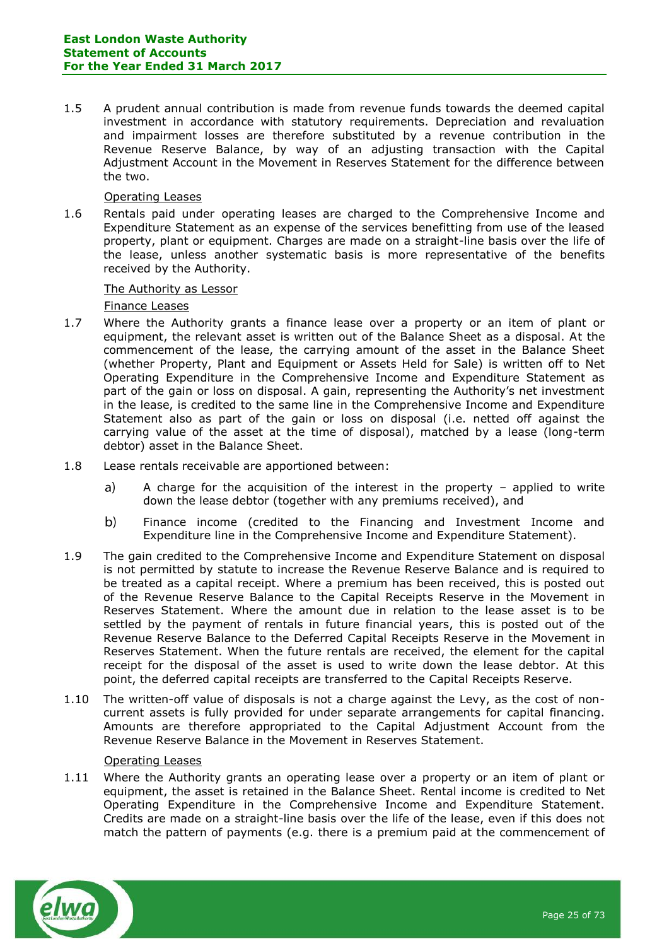1.5 A prudent annual contribution is made from revenue funds towards the deemed capital investment in accordance with statutory requirements. Depreciation and revaluation and impairment losses are therefore substituted by a revenue contribution in the Revenue Reserve Balance, by way of an adjusting transaction with the Capital Adjustment Account in the Movement in Reserves Statement for the difference between the two.

#### Operating Leases

1.6 Rentals paid under operating leases are charged to the Comprehensive Income and Expenditure Statement as an expense of the services benefitting from use of the leased property, plant or equipment. Charges are made on a straight-line basis over the life of the lease, unless another systematic basis is more representative of the benefits received by the Authority.

#### The Authority as Lessor

#### Finance Leases

- 1.7 Where the Authority grants a finance lease over a property or an item of plant or equipment, the relevant asset is written out of the Balance Sheet as a disposal. At the commencement of the lease, the carrying amount of the asset in the Balance Sheet (whether Property, Plant and Equipment or Assets Held for Sale) is written off to Net Operating Expenditure in the Comprehensive Income and Expenditure Statement as part of the gain or loss on disposal. A gain, representing the Authority's net investment in the lease, is credited to the same line in the Comprehensive Income and Expenditure Statement also as part of the gain or loss on disposal (i.e. netted off against the carrying value of the asset at the time of disposal), matched by a lease (long-term debtor) asset in the Balance Sheet.
- 1.8 Lease rentals receivable are apportioned between:
	- A charge for the acquisition of the interest in the property  $-$  applied to write a) down the lease debtor (together with any premiums received), and
	- $b)$ Finance income (credited to the Financing and Investment Income and Expenditure line in the Comprehensive Income and Expenditure Statement).
- 1.9 The gain credited to the Comprehensive Income and Expenditure Statement on disposal is not permitted by statute to increase the Revenue Reserve Balance and is required to be treated as a capital receipt. Where a premium has been received, this is posted out of the Revenue Reserve Balance to the Capital Receipts Reserve in the Movement in Reserves Statement. Where the amount due in relation to the lease asset is to be settled by the payment of rentals in future financial years, this is posted out of the Revenue Reserve Balance to the Deferred Capital Receipts Reserve in the Movement in Reserves Statement. When the future rentals are received, the element for the capital receipt for the disposal of the asset is used to write down the lease debtor. At this point, the deferred capital receipts are transferred to the Capital Receipts Reserve.
- 1.10 The written-off value of disposals is not a charge against the Levy, as the cost of noncurrent assets is fully provided for under separate arrangements for capital financing. Amounts are therefore appropriated to the Capital Adjustment Account from the Revenue Reserve Balance in the Movement in Reserves Statement.

#### Operating Leases

1.11 Where the Authority grants an operating lease over a property or an item of plant or equipment, the asset is retained in the Balance Sheet. Rental income is credited to Net Operating Expenditure in the Comprehensive Income and Expenditure Statement. Credits are made on a straight-line basis over the life of the lease, even if this does not match the pattern of payments (e.g. there is a premium paid at the commencement of

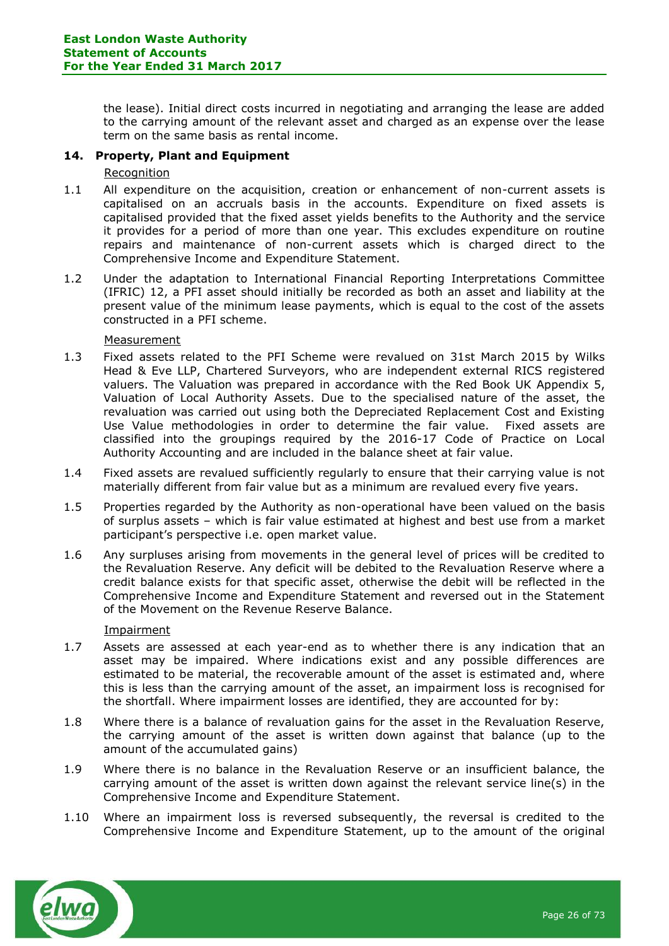the lease). Initial direct costs incurred in negotiating and arranging the lease are added to the carrying amount of the relevant asset and charged as an expense over the lease term on the same basis as rental income.

### **14. Property, Plant and Equipment**

#### Recognition

- 1.1 All expenditure on the acquisition, creation or enhancement of non-current assets is capitalised on an accruals basis in the accounts. Expenditure on fixed assets is capitalised provided that the fixed asset yields benefits to the Authority and the service it provides for a period of more than one year. This excludes expenditure on routine repairs and maintenance of non-current assets which is charged direct to the Comprehensive Income and Expenditure Statement.
- 1.2 Under the adaptation to International Financial Reporting Interpretations Committee (IFRIC) 12, a PFI asset should initially be recorded as both an asset and liability at the present value of the minimum lease payments, which is equal to the cost of the assets constructed in a PFI scheme.

#### Measurement

- 1.3 Fixed assets related to the PFI Scheme were revalued on 31st March 2015 by Wilks Head & Eve LLP, Chartered Surveyors, who are independent external RICS registered valuers. The Valuation was prepared in accordance with the Red Book UK Appendix 5, Valuation of Local Authority Assets. Due to the specialised nature of the asset, the revaluation was carried out using both the Depreciated Replacement Cost and Existing Use Value methodologies in order to determine the fair value. Fixed assets are classified into the groupings required by the 2016-17 Code of Practice on Local Authority Accounting and are included in the balance sheet at fair value.
- 1.4 Fixed assets are revalued sufficiently regularly to ensure that their carrying value is not materially different from fair value but as a minimum are revalued every five years.
- 1.5 Properties regarded by the Authority as non-operational have been valued on the basis of surplus assets – which is fair value estimated at highest and best use from a market participant's perspective i.e. open market value.
- 1.6 Any surpluses arising from movements in the general level of prices will be credited to the Revaluation Reserve. Any deficit will be debited to the Revaluation Reserve where a credit balance exists for that specific asset, otherwise the debit will be reflected in the Comprehensive Income and Expenditure Statement and reversed out in the Statement of the Movement on the Revenue Reserve Balance.

#### Impairment

- 1.7 Assets are assessed at each year-end as to whether there is any indication that an asset may be impaired. Where indications exist and any possible differences are estimated to be material, the recoverable amount of the asset is estimated and, where this is less than the carrying amount of the asset, an impairment loss is recognised for the shortfall. Where impairment losses are identified, they are accounted for by:
- 1.8 Where there is a balance of revaluation gains for the asset in the Revaluation Reserve, the carrying amount of the asset is written down against that balance (up to the amount of the accumulated gains)
- 1.9 Where there is no balance in the Revaluation Reserve or an insufficient balance, the carrying amount of the asset is written down against the relevant service line(s) in the Comprehensive Income and Expenditure Statement.
- 1.10 Where an impairment loss is reversed subsequently, the reversal is credited to the Comprehensive Income and Expenditure Statement, up to the amount of the original

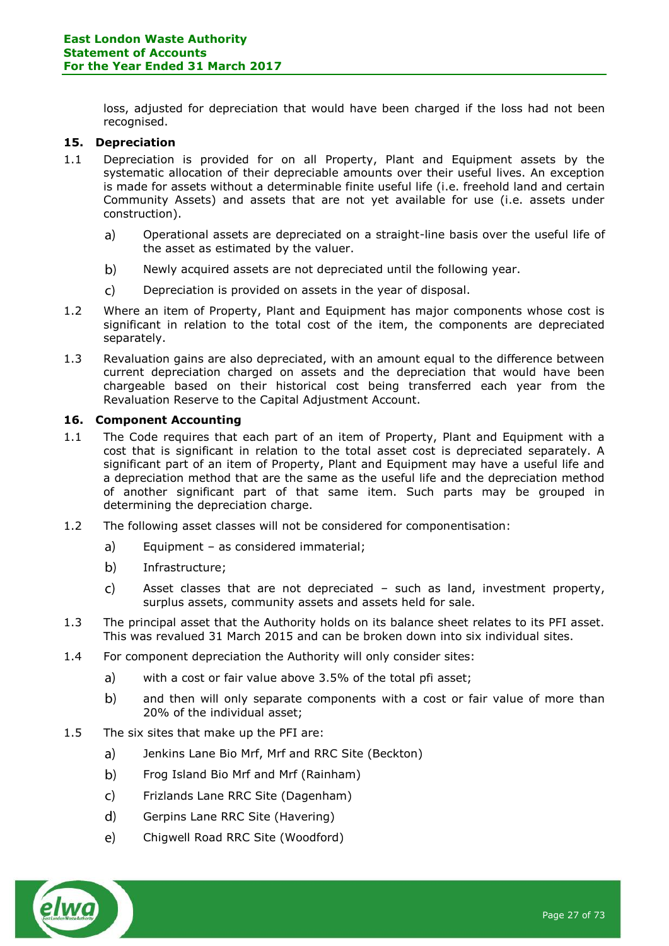loss, adjusted for depreciation that would have been charged if the loss had not been recognised.

## **15. Depreciation**

- 1.1 Depreciation is provided for on all Property, Plant and Equipment assets by the systematic allocation of their depreciable amounts over their useful lives. An exception is made for assets without a determinable finite useful life (i.e. freehold land and certain Community Assets) and assets that are not yet available for use (i.e. assets under construction).
	- $a)$ Operational assets are depreciated on a straight-line basis over the useful life of the asset as estimated by the valuer.
	- $b)$ Newly acquired assets are not depreciated until the following year.
	- $\mathsf{C}$ Depreciation is provided on assets in the year of disposal.
- 1.2 Where an item of Property, Plant and Equipment has major components whose cost is significant in relation to the total cost of the item, the components are depreciated separately.
- 1.3 Revaluation gains are also depreciated, with an amount equal to the difference between current depreciation charged on assets and the depreciation that would have been chargeable based on their historical cost being transferred each year from the Revaluation Reserve to the Capital Adjustment Account.

#### **16. Component Accounting**

- 1.1 The Code requires that each part of an item of Property, Plant and Equipment with a cost that is significant in relation to the total asset cost is depreciated separately. A significant part of an item of Property, Plant and Equipment may have a useful life and a depreciation method that are the same as the useful life and the depreciation method of another significant part of that same item. Such parts may be grouped in determining the depreciation charge.
- 1.2 The following asset classes will not be considered for componentisation:
	- $a)$ Equipment – as considered immaterial;
	- $b)$ Infrastructure;
	- $\mathsf{C}$ Asset classes that are not depreciated – such as land, investment property, surplus assets, community assets and assets held for sale.
- 1.3 The principal asset that the Authority holds on its balance sheet relates to its PFI asset. This was revalued 31 March 2015 and can be broken down into six individual sites.
- 1.4 For component depreciation the Authority will only consider sites:
	- with a cost or fair value above 3.5% of the total pfi asset; a)
	- $b)$ and then will only separate components with a cost or fair value of more than 20% of the individual asset;
- 1.5 The six sites that make up the PFI are:
	- a) Jenkins Lane Bio Mrf, Mrf and RRC Site (Beckton)
	- $b)$ Frog Island Bio Mrf and Mrf (Rainham)
	- Frizlands Lane RRC Site (Dagenham)  $\mathsf{C}$
	- $d)$ Gerpins Lane RRC Site (Havering)
	- $e)$ Chigwell Road RRC Site (Woodford)

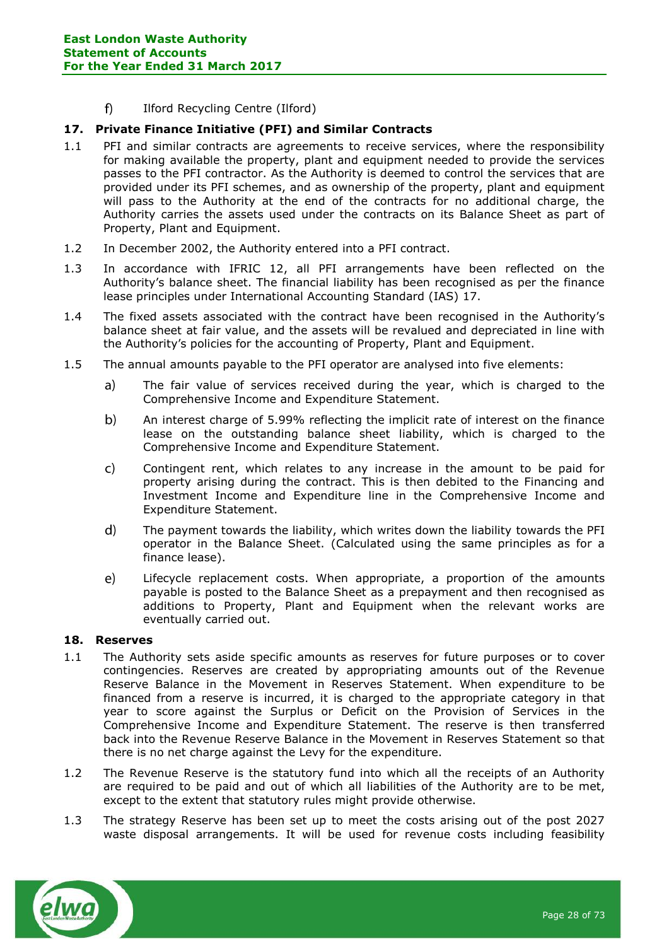$f$ Ilford Recycling Centre (Ilford)

## **17. Private Finance Initiative (PFI) and Similar Contracts**

- 1.1 PFI and similar contracts are agreements to receive services, where the responsibility for making available the property, plant and equipment needed to provide the services passes to the PFI contractor. As the Authority is deemed to control the services that are provided under its PFI schemes, and as ownership of the property, plant and equipment will pass to the Authority at the end of the contracts for no additional charge, the Authority carries the assets used under the contracts on its Balance Sheet as part of Property, Plant and Equipment.
- 1.2 In December 2002, the Authority entered into a PFI contract.
- 1.3 In accordance with IFRIC 12, all PFI arrangements have been reflected on the Authority's balance sheet. The financial liability has been recognised as per the finance lease principles under International Accounting Standard (IAS) 17.
- 1.4 The fixed assets associated with the contract have been recognised in the Authority's balance sheet at fair value, and the assets will be revalued and depreciated in line with the Authority's policies for the accounting of Property, Plant and Equipment.
- 1.5 The annual amounts payable to the PFI operator are analysed into five elements:
	- The fair value of services received during the year, which is charged to the  $a)$ Comprehensive Income and Expenditure Statement.
	- $b)$ An interest charge of 5.99% reflecting the implicit rate of interest on the finance lease on the outstanding balance sheet liability, which is charged to the Comprehensive Income and Expenditure Statement.
	- $\mathsf{C}$ Contingent rent, which relates to any increase in the amount to be paid for property arising during the contract. This is then debited to the Financing and Investment Income and Expenditure line in the Comprehensive Income and Expenditure Statement.
	- $\mathbf{d}$ The payment towards the liability, which writes down the liability towards the PFI operator in the Balance Sheet. (Calculated using the same principles as for a finance lease).
	- $e)$ Lifecycle replacement costs. When appropriate, a proportion of the amounts payable is posted to the Balance Sheet as a prepayment and then recognised as additions to Property, Plant and Equipment when the relevant works are eventually carried out.

#### **18. Reserves**

- 1.1 The Authority sets aside specific amounts as reserves for future purposes or to cover contingencies. Reserves are created by appropriating amounts out of the Revenue Reserve Balance in the Movement in Reserves Statement. When expenditure to be financed from a reserve is incurred, it is charged to the appropriate category in that year to score against the Surplus or Deficit on the Provision of Services in the Comprehensive Income and Expenditure Statement. The reserve is then transferred back into the Revenue Reserve Balance in the Movement in Reserves Statement so that there is no net charge against the Levy for the expenditure.
- 1.2 The Revenue Reserve is the statutory fund into which all the receipts of an Authority are required to be paid and out of which all liabilities of the Authority are to be met, except to the extent that statutory rules might provide otherwise.
- 1.3 The strategy Reserve has been set up to meet the costs arising out of the post 2027 waste disposal arrangements. It will be used for revenue costs including feasibility

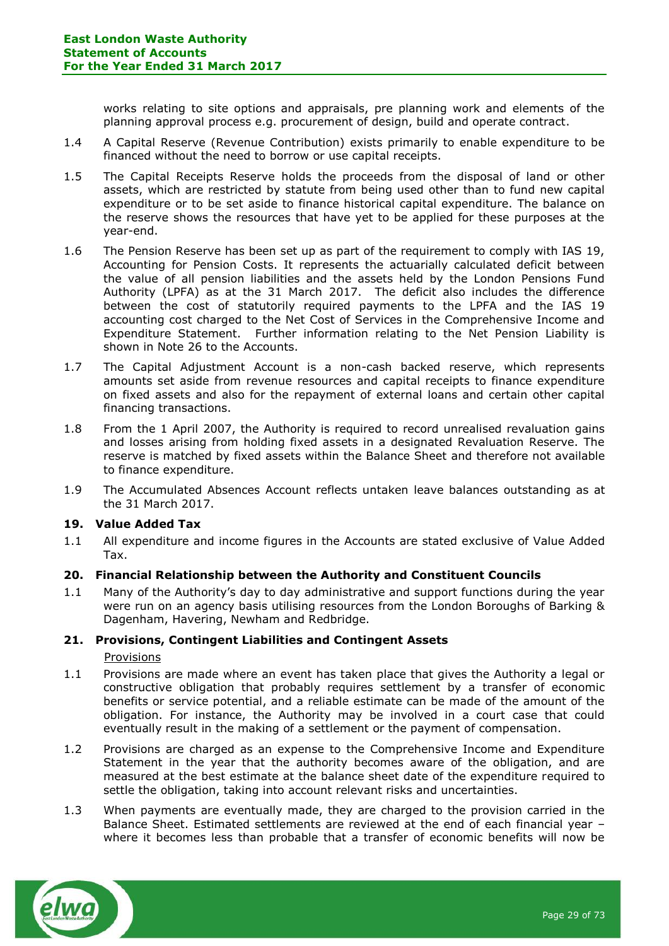works relating to site options and appraisals, pre planning work and elements of the planning approval process e.g. procurement of design, build and operate contract.

- 1.4 A Capital Reserve (Revenue Contribution) exists primarily to enable expenditure to be financed without the need to borrow or use capital receipts.
- 1.5 The Capital Receipts Reserve holds the proceeds from the disposal of land or other assets, which are restricted by statute from being used other than to fund new capital expenditure or to be set aside to finance historical capital expenditure. The balance on the reserve shows the resources that have yet to be applied for these purposes at the year-end.
- 1.6 The Pension Reserve has been set up as part of the requirement to comply with IAS 19, Accounting for Pension Costs. It represents the actuarially calculated deficit between the value of all pension liabilities and the assets held by the London Pensions Fund Authority (LPFA) as at the 31 March 2017. The deficit also includes the difference between the cost of statutorily required payments to the LPFA and the IAS 19 accounting cost charged to the Net Cost of Services in the Comprehensive Income and Expenditure Statement. Further information relating to the Net Pension Liability is shown in Note 26 to the Accounts.
- 1.7 The Capital Adjustment Account is a non-cash backed reserve, which represents amounts set aside from revenue resources and capital receipts to finance expenditure on fixed assets and also for the repayment of external loans and certain other capital financing transactions.
- 1.8 From the 1 April 2007, the Authority is required to record unrealised revaluation gains and losses arising from holding fixed assets in a designated Revaluation Reserve. The reserve is matched by fixed assets within the Balance Sheet and therefore not available to finance expenditure.
- 1.9 The Accumulated Absences Account reflects untaken leave balances outstanding as at the 31 March 2017.

#### **19. Value Added Tax**

1.1 All expenditure and income figures in the Accounts are stated exclusive of Value Added Tax.

### **20. Financial Relationship between the Authority and Constituent Councils**

1.1 Many of the Authority's day to day administrative and support functions during the year were run on an agency basis utilising resources from the London Boroughs of Barking & Dagenham, Havering, Newham and Redbridge.

#### **21. Provisions, Contingent Liabilities and Contingent Assets**

#### **Provisions**

- 1.1 Provisions are made where an event has taken place that gives the Authority a legal or constructive obligation that probably requires settlement by a transfer of economic benefits or service potential, and a reliable estimate can be made of the amount of the obligation. For instance, the Authority may be involved in a court case that could eventually result in the making of a settlement or the payment of compensation.
- 1.2 Provisions are charged as an expense to the Comprehensive Income and Expenditure Statement in the year that the authority becomes aware of the obligation, and are measured at the best estimate at the balance sheet date of the expenditure required to settle the obligation, taking into account relevant risks and uncertainties.
- 1.3 When payments are eventually made, they are charged to the provision carried in the Balance Sheet. Estimated settlements are reviewed at the end of each financial year – where it becomes less than probable that a transfer of economic benefits will now be

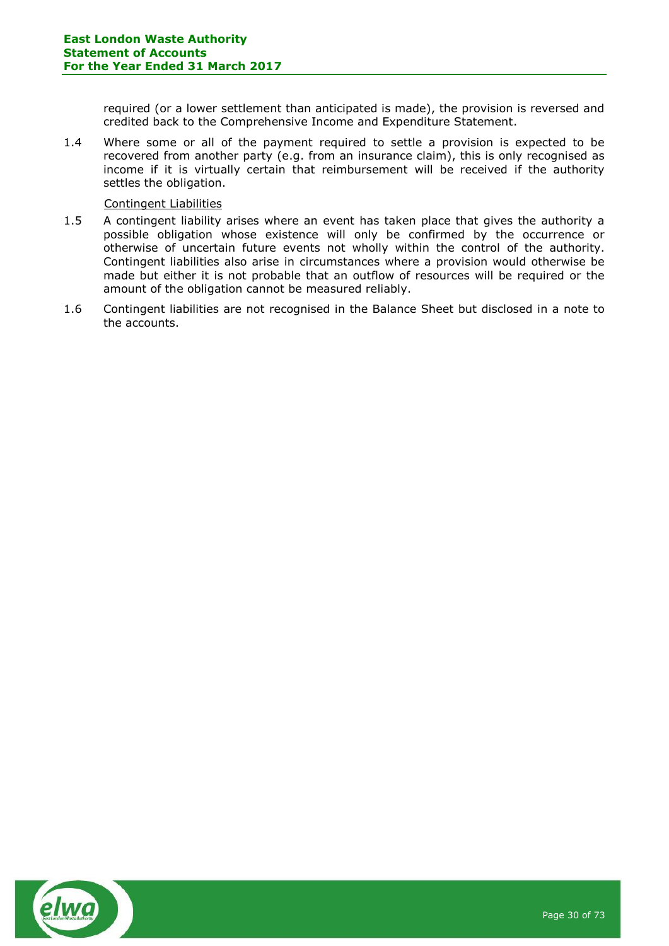required (or a lower settlement than anticipated is made), the provision is reversed and credited back to the Comprehensive Income and Expenditure Statement.

1.4 Where some or all of the payment required to settle a provision is expected to be recovered from another party (e.g. from an insurance claim), this is only recognised as income if it is virtually certain that reimbursement will be received if the authority settles the obligation.

#### Contingent Liabilities

- 1.5 A contingent liability arises where an event has taken place that gives the authority a possible obligation whose existence will only be confirmed by the occurrence or otherwise of uncertain future events not wholly within the control of the authority. Contingent liabilities also arise in circumstances where a provision would otherwise be made but either it is not probable that an outflow of resources will be required or the amount of the obligation cannot be measured reliably.
- 1.6 Contingent liabilities are not recognised in the Balance Sheet but disclosed in a note to the accounts.

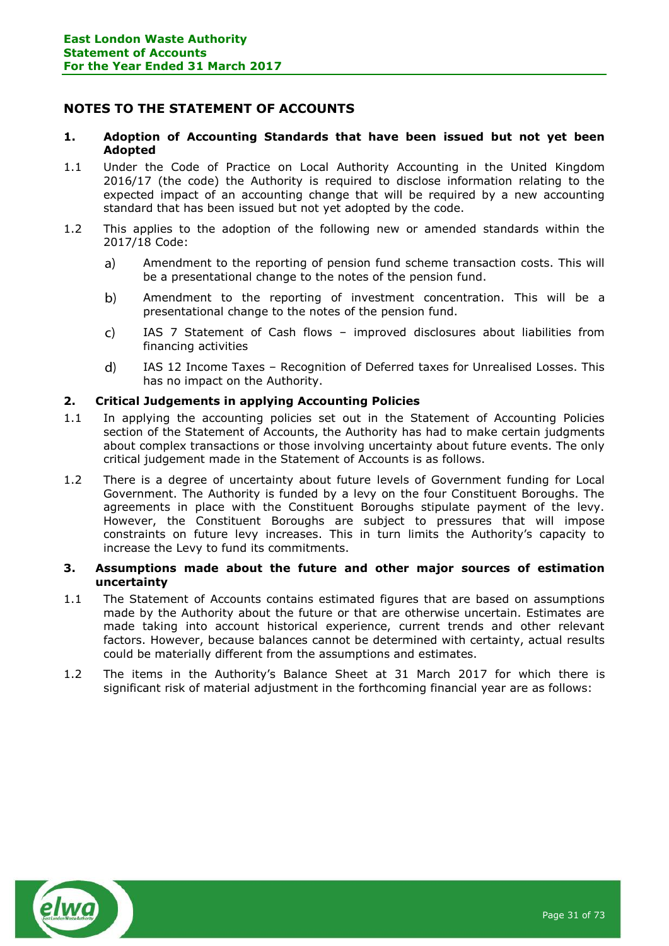## <span id="page-30-0"></span>**NOTES TO THE STATEMENT OF ACCOUNTS**

#### **1. Adoption of Accounting Standards that have been issued but not yet been Adopted**

- 1.1 Under the Code of Practice on Local Authority Accounting in the United Kingdom 2016/17 (the code) the Authority is required to disclose information relating to the expected impact of an accounting change that will be required by a new accounting standard that has been issued but not yet adopted by the code.
- 1.2 This applies to the adoption of the following new or amended standards within the 2017/18 Code:
	- $a)$ Amendment to the reporting of pension fund scheme transaction costs. This will be a presentational change to the notes of the pension fund.
	- $b)$ Amendment to the reporting of investment concentration. This will be a presentational change to the notes of the pension fund.
	- $\mathsf{C}$ IAS 7 Statement of Cash flows – improved disclosures about liabilities from financing activities
	- $\mathbf{d}$ IAS 12 Income Taxes – Recognition of Deferred taxes for Unrealised Losses. This has no impact on the Authority.

### **2. Critical Judgements in applying Accounting Policies**

- 1.1 In applying the accounting policies set out in the Statement of Accounting Policies section of the Statement of Accounts, the Authority has had to make certain judgments about complex transactions or those involving uncertainty about future events. The only critical judgement made in the Statement of Accounts is as follows.
- 1.2 There is a degree of uncertainty about future levels of Government funding for Local Government. The Authority is funded by a levy on the four Constituent Boroughs. The agreements in place with the Constituent Boroughs stipulate payment of the levy. However, the Constituent Boroughs are subject to pressures that will impose constraints on future levy increases. This in turn limits the Authority's capacity to increase the Levy to fund its commitments.

#### **3. Assumptions made about the future and other major sources of estimation uncertainty**

- 1.1 The Statement of Accounts contains estimated figures that are based on assumptions made by the Authority about the future or that are otherwise uncertain. Estimates are made taking into account historical experience, current trends and other relevant factors. However, because balances cannot be determined with certainty, actual results could be materially different from the assumptions and estimates.
- 1.2 The items in the Authority's Balance Sheet at 31 March 2017 for which there is significant risk of material adjustment in the forthcoming financial year are as follows:

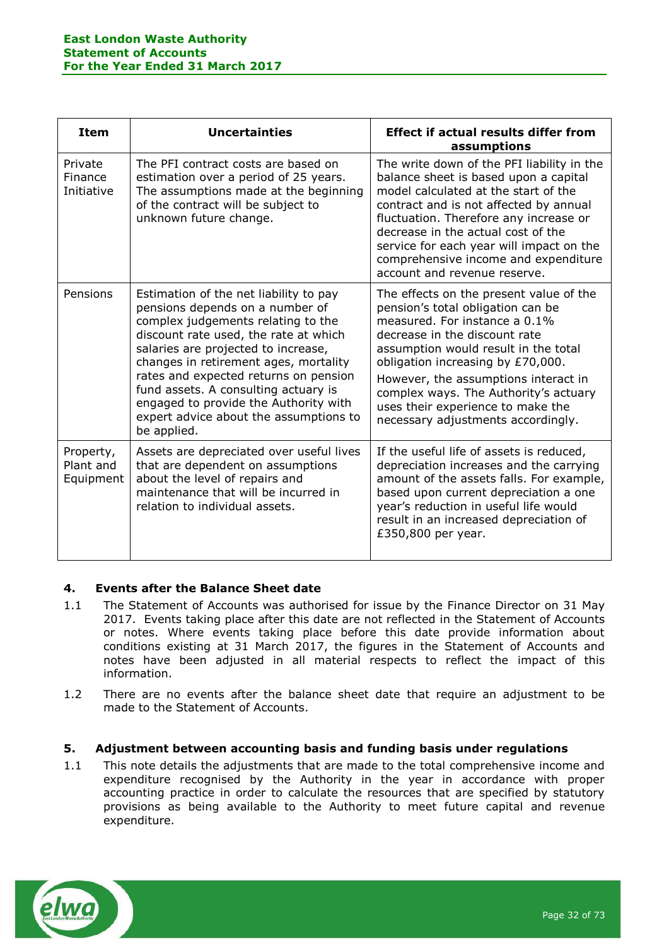| <b>Item</b>                         | <b>Uncertainties</b>                                                                                                                                                                                                                                                                                                                                                                                                        | <b>Effect if actual results differ from</b><br>assumptions                                                                                                                                                                                                                                                                                                                              |
|-------------------------------------|-----------------------------------------------------------------------------------------------------------------------------------------------------------------------------------------------------------------------------------------------------------------------------------------------------------------------------------------------------------------------------------------------------------------------------|-----------------------------------------------------------------------------------------------------------------------------------------------------------------------------------------------------------------------------------------------------------------------------------------------------------------------------------------------------------------------------------------|
| Private<br>Finance<br>Initiative    | The PFI contract costs are based on<br>estimation over a period of 25 years.<br>The assumptions made at the beginning<br>of the contract will be subject to<br>unknown future change.                                                                                                                                                                                                                                       | The write down of the PFI liability in the<br>balance sheet is based upon a capital<br>model calculated at the start of the<br>contract and is not affected by annual<br>fluctuation. Therefore any increase or<br>decrease in the actual cost of the<br>service for each year will impact on the<br>comprehensive income and expenditure<br>account and revenue reserve.               |
| Pensions                            | Estimation of the net liability to pay<br>pensions depends on a number of<br>complex judgements relating to the<br>discount rate used, the rate at which<br>salaries are projected to increase,<br>changes in retirement ages, mortality<br>rates and expected returns on pension<br>fund assets. A consulting actuary is<br>engaged to provide the Authority with<br>expert advice about the assumptions to<br>be applied. | The effects on the present value of the<br>pension's total obligation can be<br>measured. For instance a 0.1%<br>decrease in the discount rate<br>assumption would result in the total<br>obligation increasing by £70,000.<br>However, the assumptions interact in<br>complex ways. The Authority's actuary<br>uses their experience to make the<br>necessary adjustments accordingly. |
| Property,<br>Plant and<br>Equipment | Assets are depreciated over useful lives<br>that are dependent on assumptions<br>about the level of repairs and<br>maintenance that will be incurred in<br>relation to individual assets.                                                                                                                                                                                                                                   | If the useful life of assets is reduced,<br>depreciation increases and the carrying<br>amount of the assets falls. For example,<br>based upon current depreciation a one<br>year's reduction in useful life would<br>result in an increased depreciation of<br>£350,800 per year.                                                                                                       |

## **4. Events after the Balance Sheet date**

- 1.1 The Statement of Accounts was authorised for issue by the Finance Director on 31 May 2017. Events taking place after this date are not reflected in the Statement of Accounts or notes. Where events taking place before this date provide information about conditions existing at 31 March 2017, the figures in the Statement of Accounts and notes have been adjusted in all material respects to reflect the impact of this information.
- 1.2 There are no events after the balance sheet date that require an adjustment to be made to the Statement of Accounts.

## **5. Adjustment between accounting basis and funding basis under regulations**

1.1 This note details the adjustments that are made to the total comprehensive income and expenditure recognised by the Authority in the year in accordance with proper accounting practice in order to calculate the resources that are specified by statutory provisions as being available to the Authority to meet future capital and revenue expenditure.

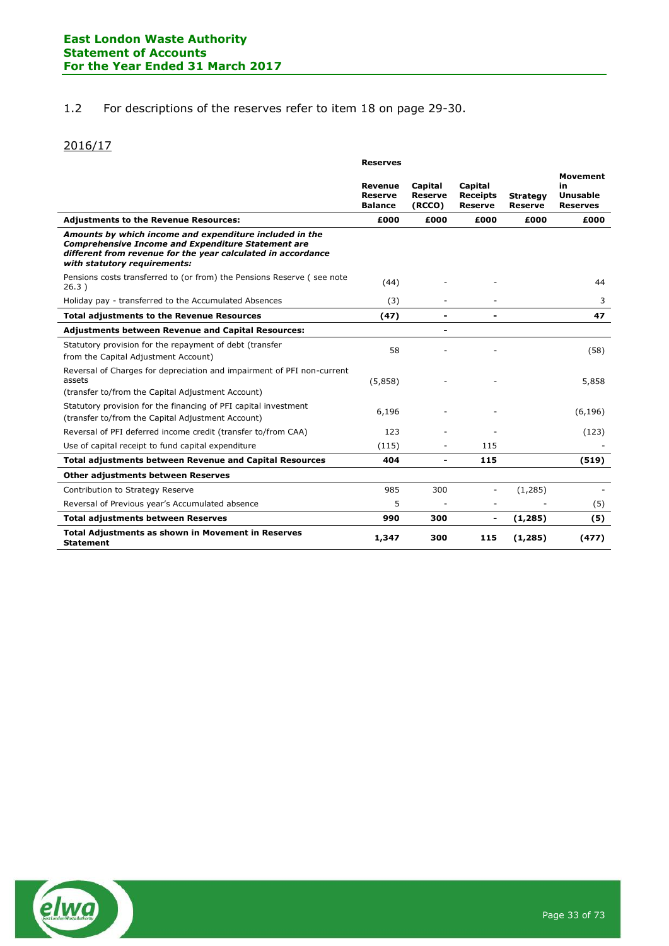### 1.2 For descriptions of the reserves refer to item 18 on page 29-30.

## 2016/17

|                                                                                                                                                                                                                      | <b>Reserves</b>                                    |                                     |                                              |                                   |                                                      |
|----------------------------------------------------------------------------------------------------------------------------------------------------------------------------------------------------------------------|----------------------------------------------------|-------------------------------------|----------------------------------------------|-----------------------------------|------------------------------------------------------|
|                                                                                                                                                                                                                      | <b>Revenue</b><br><b>Reserve</b><br><b>Balance</b> | Capital<br><b>Reserve</b><br>(RCCO) | Capital<br><b>Receipts</b><br><b>Reserve</b> | <b>Strategy</b><br><b>Reserve</b> | <b>Movement</b><br>in<br>Unusable<br><b>Reserves</b> |
| <b>Adjustments to the Revenue Resources:</b>                                                                                                                                                                         | £000                                               | £000                                | £000                                         | £000                              | £000                                                 |
| Amounts by which income and expenditure included in the<br><b>Comprehensive Income and Expenditure Statement are</b><br>different from revenue for the year calculated in accordance<br>with statutory requirements: |                                                    |                                     |                                              |                                   |                                                      |
| Pensions costs transferred to (or from) the Pensions Reserve (see note<br>26.3)                                                                                                                                      | (44)                                               |                                     |                                              |                                   | 44                                                   |
| Holiday pay - transferred to the Accumulated Absences                                                                                                                                                                | (3)                                                |                                     |                                              |                                   | 3                                                    |
| <b>Total adjustments to the Revenue Resources</b>                                                                                                                                                                    | (47)                                               | $\overline{\phantom{0}}$            |                                              |                                   | 47                                                   |
| <b>Adjustments between Revenue and Capital Resources:</b>                                                                                                                                                            |                                                    | $\blacksquare$                      |                                              |                                   |                                                      |
| Statutory provision for the repayment of debt (transfer<br>from the Capital Adjustment Account)                                                                                                                      | 58                                                 |                                     |                                              |                                   | (58)                                                 |
| Reversal of Charges for depreciation and impairment of PFI non-current<br>assets<br>(transfer to/from the Capital Adjustment Account)                                                                                | (5,858)                                            |                                     |                                              |                                   | 5,858                                                |
| Statutory provision for the financing of PFI capital investment<br>(transfer to/from the Capital Adjustment Account)                                                                                                 | 6,196                                              |                                     |                                              |                                   | (6, 196)                                             |
| Reversal of PFI deferred income credit (transfer to/from CAA)                                                                                                                                                        | 123                                                |                                     |                                              |                                   | (123)                                                |
| Use of capital receipt to fund capital expenditure                                                                                                                                                                   | (115)                                              | ٠                                   | 115                                          |                                   |                                                      |
| <b>Total adjustments between Revenue and Capital Resources</b>                                                                                                                                                       | 404                                                | $\blacksquare$                      | 115                                          |                                   | (519)                                                |
| <b>Other adjustments between Reserves</b>                                                                                                                                                                            |                                                    |                                     |                                              |                                   |                                                      |
| Contribution to Strategy Reserve                                                                                                                                                                                     | 985                                                | 300                                 |                                              | (1, 285)                          |                                                      |
| Reversal of Previous year's Accumulated absence                                                                                                                                                                      | 5                                                  |                                     |                                              |                                   | (5)                                                  |
| <b>Total adjustments between Reserves</b>                                                                                                                                                                            | 990                                                | 300                                 | $\blacksquare$                               | (1, 285)                          | (5)                                                  |
| <b>Total Adjustments as shown in Movement in Reserves</b><br><b>Statement</b>                                                                                                                                        | 1,347                                              | 300                                 | 115                                          | (1,285)                           | (477)                                                |

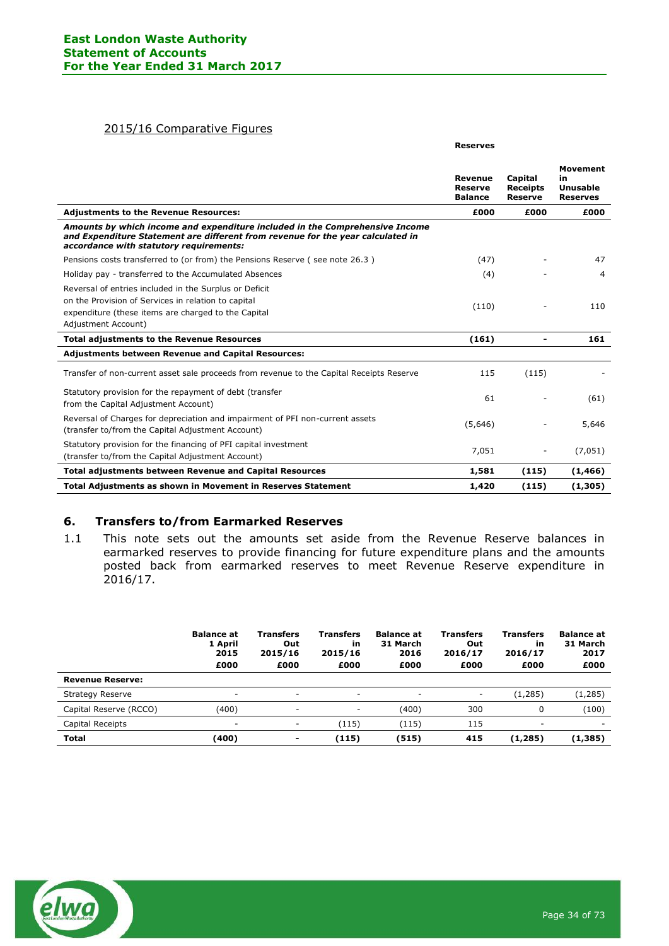#### 2015/16 Comparative Figures

|                                                                                                                                                                                                            | <b>Reserves</b>                                    |                                              |                                                             |
|------------------------------------------------------------------------------------------------------------------------------------------------------------------------------------------------------------|----------------------------------------------------|----------------------------------------------|-------------------------------------------------------------|
|                                                                                                                                                                                                            | <b>Revenue</b><br><b>Reserve</b><br><b>Balance</b> | Capital<br><b>Receipts</b><br><b>Reserve</b> | <b>Movement</b><br>in<br><b>Unusable</b><br><b>Reserves</b> |
| <b>Adjustments to the Revenue Resources:</b>                                                                                                                                                               | £000                                               | £000                                         | £000                                                        |
| Amounts by which income and expenditure included in the Comprehensive Income<br>and Expenditure Statement are different from revenue for the year calculated in<br>accordance with statutory requirements: |                                                    |                                              |                                                             |
| Pensions costs transferred to (or from) the Pensions Reserve (see note 26.3)                                                                                                                               | (47)                                               |                                              | 47                                                          |
| Holiday pay - transferred to the Accumulated Absences                                                                                                                                                      | (4)                                                |                                              | 4                                                           |
| Reversal of entries included in the Surplus or Deficit<br>on the Provision of Services in relation to capital<br>expenditure (these items are charged to the Capital<br>Adjustment Account)                | (110)                                              |                                              | 110                                                         |
| <b>Total adjustments to the Revenue Resources</b>                                                                                                                                                          | (161)                                              | $\blacksquare$                               | 161                                                         |
| <b>Adjustments between Revenue and Capital Resources:</b>                                                                                                                                                  |                                                    |                                              |                                                             |
| Transfer of non-current asset sale proceeds from revenue to the Capital Receipts Reserve                                                                                                                   | 115                                                | (115)                                        |                                                             |
| Statutory provision for the repayment of debt (transfer<br>from the Capital Adjustment Account)                                                                                                            | 61                                                 |                                              | (61)                                                        |
| Reversal of Charges for depreciation and impairment of PFI non-current assets<br>(transfer to/from the Capital Adjustment Account)                                                                         | (5,646)                                            |                                              | 5,646                                                       |
| Statutory provision for the financing of PFI capital investment<br>(transfer to/from the Capital Adjustment Account)                                                                                       | 7,051                                              |                                              | (7,051)                                                     |
| <b>Total adjustments between Revenue and Capital Resources</b>                                                                                                                                             | 1,581                                              | (115)                                        | (1, 466)                                                    |
| Total Adjustments as shown in Movement in Reserves Statement                                                                                                                                               | 1,420                                              | (115)                                        | (1,305)                                                     |

#### **6. Transfers to/from Earmarked Reserves**

1.1 This note sets out the amounts set aside from the Revenue Reserve balances in earmarked reserves to provide financing for future expenditure plans and the amounts posted back from earmarked reserves to meet Revenue Reserve expenditure in 2016/17.

|                         | <b>Balance at</b><br>1 April<br>2015<br>£000 | Transfers<br>Out<br>2015/16<br>£000 | <b>Transfers</b><br>in<br>2015/16<br>£000 | <b>Balance at</b><br>31 March<br>2016<br>£000 | <b>Transfers</b><br>Out<br>2016/17<br>£000 | Transfers<br>in<br>2016/17<br>£000 | <b>Balance at</b><br>31 March<br>2017<br>£000 |
|-------------------------|----------------------------------------------|-------------------------------------|-------------------------------------------|-----------------------------------------------|--------------------------------------------|------------------------------------|-----------------------------------------------|
| <b>Revenue Reserve:</b> |                                              |                                     |                                           |                                               |                                            |                                    |                                               |
| <b>Strategy Reserve</b> | ٠                                            |                                     | ۰                                         | ۰                                             | ٠                                          | (1, 285)                           | (1, 285)                                      |
| Capital Reserve (RCCO)  | (400)                                        | $\overline{\phantom{a}}$            | ۰                                         | (400)                                         | 300                                        | 0                                  | (100)                                         |
| Capital Receipts        | ۰                                            | ٠                                   | (115)                                     | (115)                                         | 115                                        | $\overline{\phantom{a}}$           | -                                             |
| <b>Total</b>            | (400)                                        | $\blacksquare$                      | (115)                                     | (515)                                         | 415                                        | (1,285)                            | (1, 385)                                      |

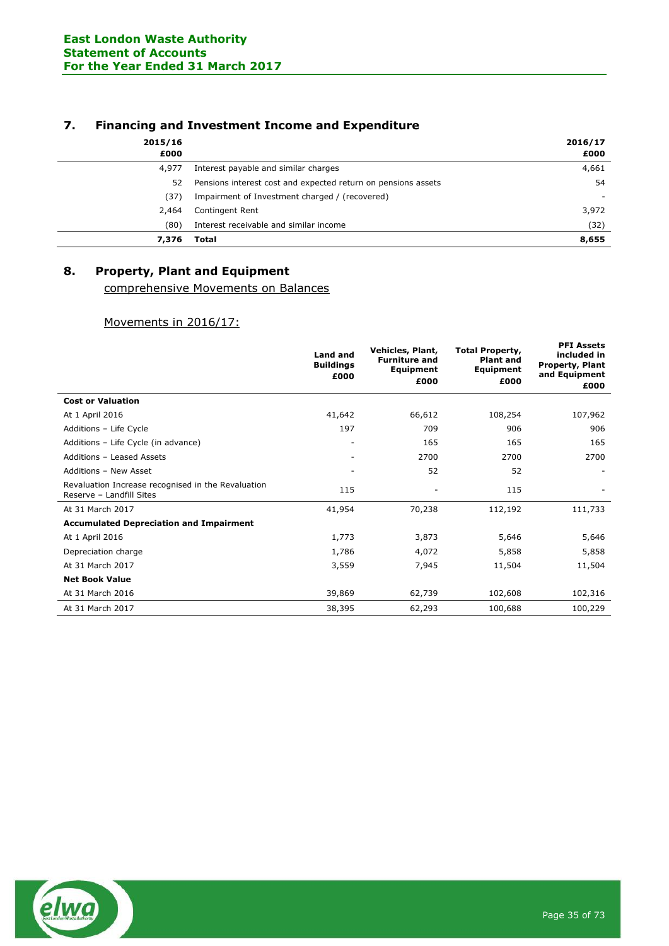## **7. Financing and Investment Income and Expenditure**

| 2015/16<br>£000 |                                                               | 2016/17<br>£000          |
|-----------------|---------------------------------------------------------------|--------------------------|
| 4,977           | Interest payable and similar charges                          | 4,661                    |
| 52              | Pensions interest cost and expected return on pensions assets | 54                       |
| (37)            | Impairment of Investment charged / (recovered)                | $\overline{\phantom{a}}$ |
| 2,464           | Contingent Rent                                               | 3,972                    |
| (80)            | Interest receivable and similar income                        | (32)                     |
| 7,376           | Total                                                         | 8,655                    |

# **8. Property, Plant and Equipment**

comprehensive Movements on Balances

### Movements in 2016/17:

|                                                                                | <b>Land and</b><br><b>Buildings</b><br>£000 | Vehicles, Plant,<br><b>Furniture and</b><br>Equipment<br>£000 | <b>Total Property,</b><br><b>Plant and</b><br>Equipment<br>£000 | <b>PFI Assets</b><br>included in<br><b>Property, Plant</b><br>and Equipment<br>£000 |
|--------------------------------------------------------------------------------|---------------------------------------------|---------------------------------------------------------------|-----------------------------------------------------------------|-------------------------------------------------------------------------------------|
| <b>Cost or Valuation</b>                                                       |                                             |                                                               |                                                                 |                                                                                     |
| At 1 April 2016                                                                | 41,642                                      | 66,612                                                        | 108,254                                                         | 107,962                                                                             |
| Additions - Life Cycle                                                         | 197                                         | 709                                                           | 906                                                             | 906                                                                                 |
| Additions - Life Cycle (in advance)                                            |                                             | 165                                                           | 165                                                             | 165                                                                                 |
| Additions - Leased Assets                                                      |                                             | 2700                                                          | 2700                                                            | 2700                                                                                |
| Additions - New Asset                                                          |                                             | 52                                                            | 52                                                              |                                                                                     |
| Revaluation Increase recognised in the Revaluation<br>Reserve - Landfill Sites | 115                                         | $\overline{a}$                                                | 115                                                             |                                                                                     |
| At 31 March 2017                                                               | 41,954                                      | 70,238                                                        | 112,192                                                         | 111,733                                                                             |
| <b>Accumulated Depreciation and Impairment</b>                                 |                                             |                                                               |                                                                 |                                                                                     |
| At 1 April 2016                                                                | 1,773                                       | 3,873                                                         | 5,646                                                           | 5,646                                                                               |
| Depreciation charge                                                            | 1,786                                       | 4,072                                                         | 5,858                                                           | 5,858                                                                               |
| At 31 March 2017                                                               | 3,559                                       | 7,945                                                         | 11,504                                                          | 11,504                                                                              |
| <b>Net Book Value</b>                                                          |                                             |                                                               |                                                                 |                                                                                     |
| At 31 March 2016                                                               | 39,869                                      | 62,739                                                        | 102,608                                                         | 102,316                                                                             |
| At 31 March 2017                                                               | 38,395                                      | 62,293                                                        | 100,688                                                         | 100,229                                                                             |

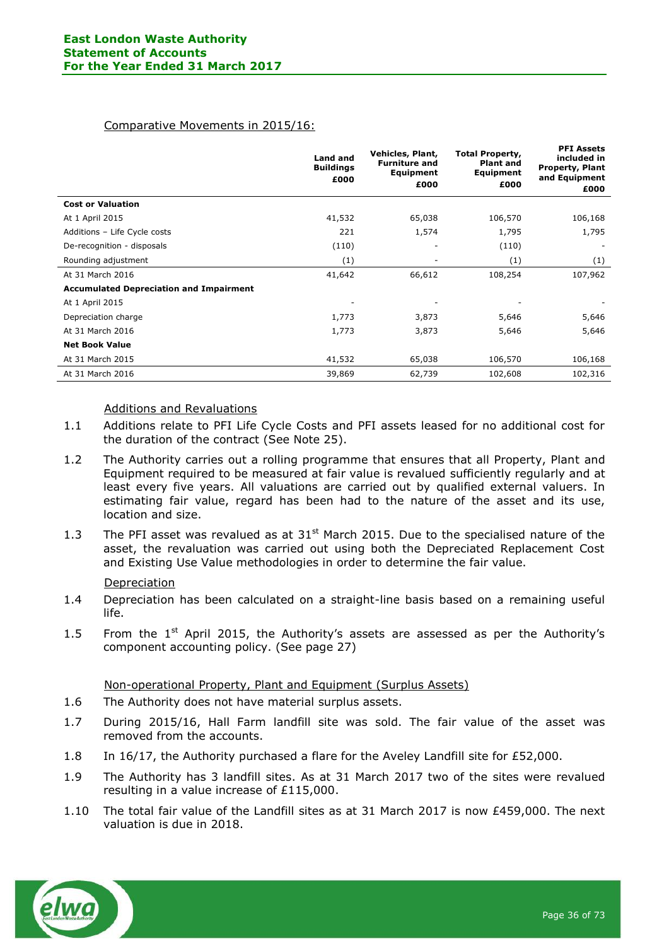#### Comparative Movements in 2015/16:

|                                                | <b>Land and</b><br><b>Buildings</b><br>£000 | Vehicles, Plant,<br><b>Furniture and</b><br>Equipment<br>£000 | <b>Total Property,</b><br><b>Plant and</b><br>Equipment<br>£000 | <b>PFI Assets</b><br>included in<br><b>Property, Plant</b><br>and Equipment<br>£000 |
|------------------------------------------------|---------------------------------------------|---------------------------------------------------------------|-----------------------------------------------------------------|-------------------------------------------------------------------------------------|
| <b>Cost or Valuation</b>                       |                                             |                                                               |                                                                 |                                                                                     |
| At 1 April 2015                                | 41,532                                      | 65,038                                                        | 106,570                                                         | 106,168                                                                             |
| Additions - Life Cycle costs                   | 221                                         | 1,574                                                         | 1,795                                                           | 1,795                                                                               |
| De-recognition - disposals                     | (110)                                       | ۰                                                             | (110)                                                           |                                                                                     |
| Rounding adjustment                            | (1)                                         |                                                               | (1)                                                             | (1)                                                                                 |
| At 31 March 2016                               | 41,642                                      | 66,612                                                        | 108,254                                                         | 107,962                                                                             |
| <b>Accumulated Depreciation and Impairment</b> |                                             |                                                               |                                                                 |                                                                                     |
| At 1 April 2015                                |                                             |                                                               |                                                                 |                                                                                     |
| Depreciation charge                            | 1,773                                       | 3,873                                                         | 5,646                                                           | 5,646                                                                               |
| At 31 March 2016                               | 1,773                                       | 3,873                                                         | 5,646                                                           | 5,646                                                                               |
| <b>Net Book Value</b>                          |                                             |                                                               |                                                                 |                                                                                     |
| At 31 March 2015                               | 41,532                                      | 65,038                                                        | 106,570                                                         | 106,168                                                                             |
| At 31 March 2016                               | 39,869                                      | 62,739                                                        | 102,608                                                         | 102,316                                                                             |

#### Additions and Revaluations

- 1.1 Additions relate to PFI Life Cycle Costs and PFI assets leased for no additional cost for the duration of the contract (See Note 25).
- 1.2 The Authority carries out a rolling programme that ensures that all Property, Plant and Equipment required to be measured at fair value is revalued sufficiently regularly and at least every five years. All valuations are carried out by qualified external valuers. In estimating fair value, regard has been had to the nature of the asset and its use, location and size.
- 1.3 The PFI asset was revalued as at  $31<sup>st</sup>$  March 2015. Due to the specialised nature of the asset, the revaluation was carried out using both the Depreciated Replacement Cost and Existing Use Value methodologies in order to determine the fair value.

#### Depreciation

- 1.4 Depreciation has been calculated on a straight-line basis based on a remaining useful life.
- 1.5 From the  $1<sup>st</sup>$  April 2015, the Authority's assets are assessed as per the Authority's component accounting policy. (See page 27)

#### Non-operational Property, Plant and Equipment (Surplus Assets)

- 1.6 The Authority does not have material surplus assets.
- 1.7 During 2015/16, Hall Farm landfill site was sold. The fair value of the asset was removed from the accounts.
- 1.8 In 16/17, the Authority purchased a flare for the Aveley Landfill site for £52,000.
- 1.9 The Authority has 3 landfill sites. As at 31 March 2017 two of the sites were revalued resulting in a value increase of £115,000.
- 1.10 The total fair value of the Landfill sites as at 31 March 2017 is now £459,000. The next valuation is due in 2018.

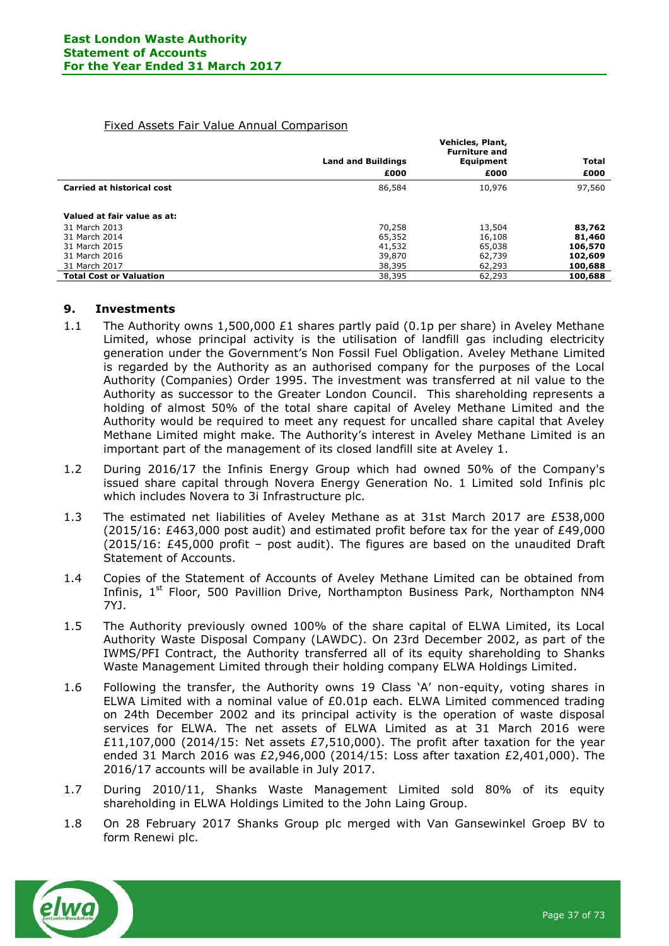### Fixed Assets Fair Value Annual Comparison

|                                   | Vehicles, Plant,<br><b>Furniture and</b> |           |              |  |
|-----------------------------------|------------------------------------------|-----------|--------------|--|
|                                   | <b>Land and Buildings</b>                | Equipment | <b>Total</b> |  |
|                                   | £000                                     | £000      | £000         |  |
| <b>Carried at historical cost</b> | 86,584                                   | 10,976    | 97,560       |  |
|                                   |                                          |           |              |  |
| Valued at fair value as at:       |                                          |           |              |  |
| 31 March 2013                     | 70,258                                   | 13,504    | 83,762       |  |
| 31 March 2014                     | 65,352                                   | 16,108    | 81,460       |  |
| 31 March 2015                     | 41,532                                   | 65,038    | 106,570      |  |
| 31 March 2016                     | 39,870                                   | 62,739    | 102,609      |  |
| 31 March 2017                     | 38,395                                   | 62,293    | 100,688      |  |
| <b>Total Cost or Valuation</b>    | 38,395                                   | 62,293    | 100,688      |  |

#### **9. Investments**

- 1.1 The Authority owns 1,500,000 £1 shares partly paid (0.1p per share) in Aveley Methane Limited, whose principal activity is the utilisation of landfill gas including electricity generation under the Government's Non Fossil Fuel Obligation. Aveley Methane Limited is regarded by the Authority as an authorised company for the purposes of the Local Authority (Companies) Order 1995. The investment was transferred at nil value to the Authority as successor to the Greater London Council. This shareholding represents a holding of almost 50% of the total share capital of Aveley Methane Limited and the Authority would be required to meet any request for uncalled share capital that Aveley Methane Limited might make. The Authority's interest in Aveley Methane Limited is an important part of the management of its closed landfill site at Aveley 1.
- 1.2 During 2016/17 the Infinis Energy Group which had owned 50% of the Company's issued share capital through Novera Energy Generation No. 1 Limited sold Infinis plc which includes Novera to 3i Infrastructure plc.
- 1.3 The estimated net liabilities of Aveley Methane as at 31st March 2017 are £538,000 (2015/16: £463,000 post audit) and estimated profit before tax for the year of £49,000  $(2015/16: \text{\textsterling}45,000$  profit – post audit). The figures are based on the unaudited Draft Statement of Accounts.
- 1.4 Copies of the Statement of Accounts of Aveley Methane Limited can be obtained from Infinis, 1<sup>st</sup> Floor, 500 Pavillion Drive, Northampton Business Park, Northampton NN4 7YJ.
- 1.5 The Authority previously owned 100% of the share capital of ELWA Limited, its Local Authority Waste Disposal Company (LAWDC). On 23rd December 2002, as part of the IWMS/PFI Contract, the Authority transferred all of its equity shareholding to Shanks Waste Management Limited through their holding company ELWA Holdings Limited.
- 1.6 Following the transfer, the Authority owns 19 Class 'A' non-equity, voting shares in ELWA Limited with a nominal value of £0.01p each. ELWA Limited commenced trading on 24th December 2002 and its principal activity is the operation of waste disposal services for ELWA. The net assets of ELWA Limited as at 31 March 2016 were £11,107,000 (2014/15: Net assets £7,510,000). The profit after taxation for the year ended 31 March 2016 was £2,946,000 (2014/15: Loss after taxation £2,401,000). The 2016/17 accounts will be available in July 2017.
- 1.7 During 2010/11, Shanks Waste Management Limited sold 80% of its equity shareholding in ELWA Holdings Limited to the John Laing Group.
- 1.8 On 28 February 2017 Shanks Group plc merged with Van Gansewinkel Groep BV to form Renewi plc.

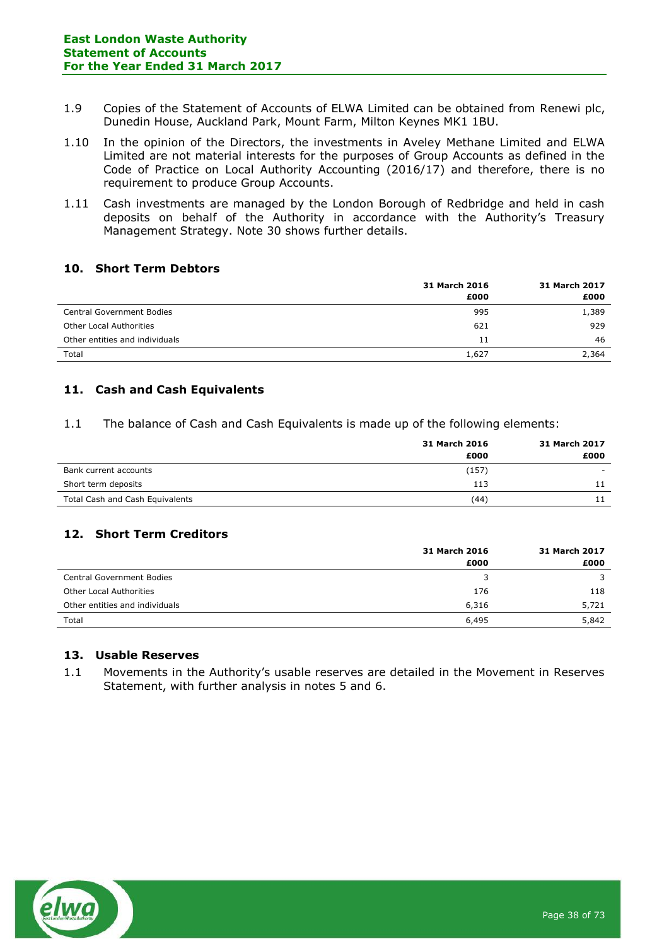- 1.9 Copies of the Statement of Accounts of ELWA Limited can be obtained from Renewi plc, Dunedin House, Auckland Park, Mount Farm, Milton Keynes MK1 1BU.
- 1.10 In the opinion of the Directors, the investments in Aveley Methane Limited and ELWA Limited are not material interests for the purposes of Group Accounts as defined in the Code of Practice on Local Authority Accounting (2016/17) and therefore, there is no requirement to produce Group Accounts.
- 1.11 Cash investments are managed by the London Borough of Redbridge and held in cash deposits on behalf of the Authority in accordance with the Authority's Treasury Management Strategy. Note 30 shows further details.

### **10. Short Term Debtors**

|                                  | 31 March 2016 | 31 March 2017 |
|----------------------------------|---------------|---------------|
|                                  | £000          | £000          |
| <b>Central Government Bodies</b> | 995           | 1,389         |
| <b>Other Local Authorities</b>   | 621           | 929           |
| Other entities and individuals   | 11            | 46            |
| Total                            | 1,627         | 2,364         |

# **11. Cash and Cash Equivalents**

1.1 The balance of Cash and Cash Equivalents is made up of the following elements:

|                                 | 31 March 2016 | 31 March 2017 |
|---------------------------------|---------------|---------------|
|                                 | £000          | £000          |
| Bank current accounts           | (157)         | $\sim$        |
| Short term deposits             | 113           |               |
| Total Cash and Cash Equivalents | (44)          |               |

# **12. Short Term Creditors**

|                                  | 31 March 2016 | 31 March 2017 |
|----------------------------------|---------------|---------------|
|                                  | £000          | £000          |
| <b>Central Government Bodies</b> | 3             |               |
| <b>Other Local Authorities</b>   | 176           | 118           |
| Other entities and individuals   | 6,316         | 5,721         |
| Total                            | 6,495         | 5,842         |

### **13. Usable Reserves**

1.1 Movements in the Authority's usable reserves are detailed in the Movement in Reserves Statement, with further analysis in notes 5 and 6.

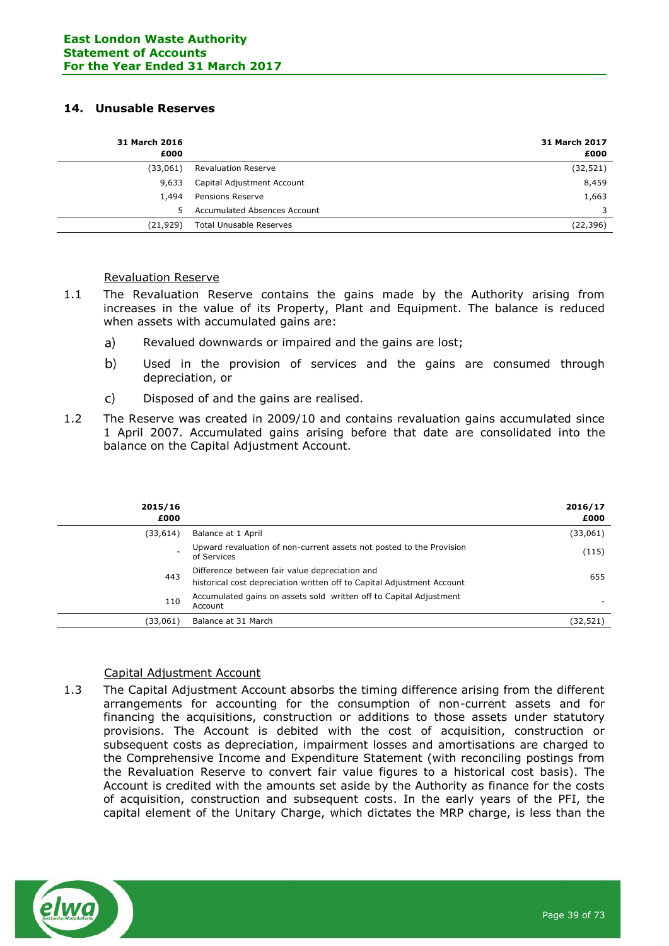### **14. Unusable Reserves**

| <b>31 March 2016</b><br>£000 |                                | <b>31 March 2017</b><br>£000 |
|------------------------------|--------------------------------|------------------------------|
| (33,061)                     | <b>Revaluation Reserve</b>     | (32, 521)                    |
| 9,633                        | Capital Adjustment Account     | 8,459                        |
| 1,494                        | Pensions Reserve               | 1,663                        |
| 5                            | Accumulated Absences Account   | 3                            |
| (21, 929)                    | <b>Total Unusable Reserves</b> | (22, 396)                    |

### Revaluation Reserve

- 1.1 The Revaluation Reserve contains the gains made by the Authority arising from increases in the value of its Property, Plant and Equipment. The balance is reduced when assets with accumulated gains are:
	- a) Revalued downwards or impaired and the gains are lost;
	- $b)$ Used in the provision of services and the gains are consumed through depreciation, or
	- $\mathsf{C}$ Disposed of and the gains are realised.
- 1.2 The Reserve was created in 2009/10 and contains revaluation gains accumulated since 1 April 2007. Accumulated gains arising before that date are consolidated into the balance on the Capital Adjustment Account.

| 2015/16<br>£000 |                                                                                                                          | 2016/17<br>£000 |
|-----------------|--------------------------------------------------------------------------------------------------------------------------|-----------------|
| (33, 614)       | Balance at 1 April                                                                                                       | (33,061)        |
|                 | Upward revaluation of non-current assets not posted to the Provision<br>of Services                                      | (115)           |
| 443             | Difference between fair value depreciation and<br>historical cost depreciation written off to Capital Adjustment Account | 655             |
| 110             | Accumulated gains on assets sold written off to Capital Adjustment<br>Account                                            |                 |
| (33,061)        | Balance at 31 March                                                                                                      | (32, 521)       |

### Capital Adjustment Account

1.3 The Capital Adjustment Account absorbs the timing difference arising from the different arrangements for accounting for the consumption of non-current assets and for financing the acquisitions, construction or additions to those assets under statutory provisions. The Account is debited with the cost of acquisition, construction or subsequent costs as depreciation, impairment losses and amortisations are charged to the Comprehensive Income and Expenditure Statement (with reconciling postings from the Revaluation Reserve to convert fair value figures to a historical cost basis). The Account is credited with the amounts set aside by the Authority as finance for the costs of acquisition, construction and subsequent costs. In the early years of the PFI, the capital element of the Unitary Charge, which dictates the MRP charge, is less than the

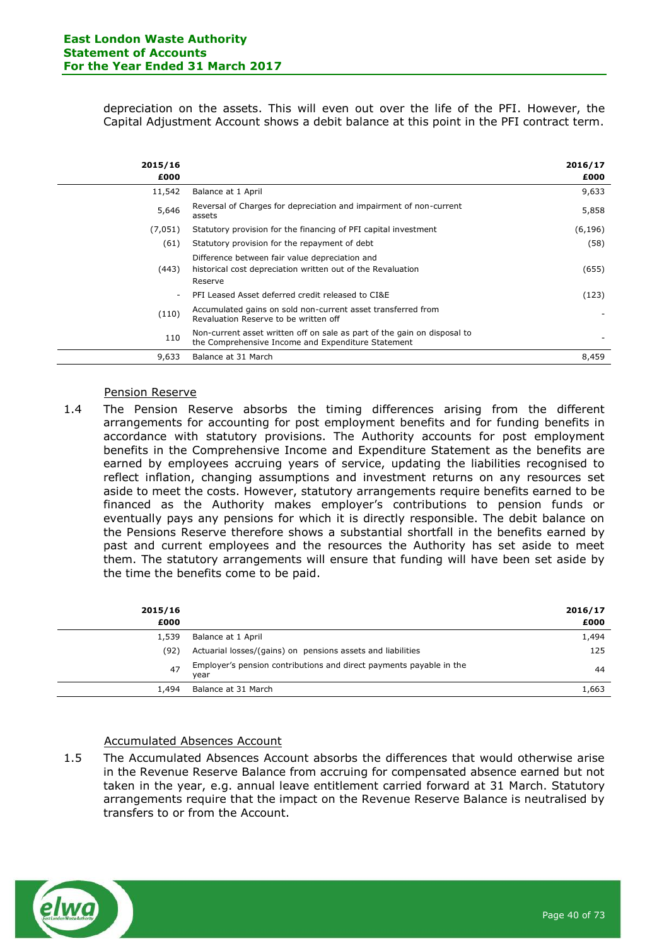depreciation on the assets. This will even out over the life of the PFI. However, the Capital Adjustment Account shows a debit balance at this point in the PFI contract term.

| 2015/16<br>£000 |                                                                                                                                | 2016/17<br>£000 |
|-----------------|--------------------------------------------------------------------------------------------------------------------------------|-----------------|
| 11,542          | Balance at 1 April                                                                                                             | 9,633           |
| 5,646           | Reversal of Charges for depreciation and impairment of non-current<br>assets                                                   | 5,858           |
| (7,051)         | Statutory provision for the financing of PFI capital investment                                                                | (6, 196)        |
| (61)            | Statutory provision for the repayment of debt                                                                                  | (58)            |
| (443)           | Difference between fair value depreciation and<br>historical cost depreciation written out of the Revaluation<br>Reserve       | (655)           |
| ۰               | PFI Leased Asset deferred credit released to CI&E                                                                              | (123)           |
| (110)           | Accumulated gains on sold non-current asset transferred from<br>Revaluation Reserve to be written off                          |                 |
| 110             | Non-current asset written off on sale as part of the gain on disposal to<br>the Comprehensive Income and Expenditure Statement |                 |
| 9,633           | Balance at 31 March                                                                                                            | 8,459           |

#### Pension Reserve

1.4 The Pension Reserve absorbs the timing differences arising from the different arrangements for accounting for post employment benefits and for funding benefits in accordance with statutory provisions. The Authority accounts for post employment benefits in the Comprehensive Income and Expenditure Statement as the benefits are earned by employees accruing years of service, updating the liabilities recognised to reflect inflation, changing assumptions and investment returns on any resources set aside to meet the costs. However, statutory arrangements require benefits earned to be financed as the Authority makes employer's contributions to pension funds or eventually pays any pensions for which it is directly responsible. The debit balance on the Pensions Reserve therefore shows a substantial shortfall in the benefits earned by past and current employees and the resources the Authority has set aside to meet them. The statutory arrangements will ensure that funding will have been set aside by the time the benefits come to be paid.

| 2015/16<br>£000 |                                                                             | 2016/17<br>£000 |
|-----------------|-----------------------------------------------------------------------------|-----------------|
| 1,539           | Balance at 1 April                                                          | 1,494           |
| (92)            | Actuarial losses/(gains) on pensions assets and liabilities                 | 125             |
| 47              | Employer's pension contributions and direct payments payable in the<br>vear | 44              |
| 1,494           | Balance at 31 March                                                         | 1,663           |
|                 |                                                                             |                 |

### Accumulated Absences Account

1.5 The Accumulated Absences Account absorbs the differences that would otherwise arise in the Revenue Reserve Balance from accruing for compensated absence earned but not taken in the year, e.g. annual leave entitlement carried forward at 31 March. Statutory arrangements require that the impact on the Revenue Reserve Balance is neutralised by transfers to or from the Account.

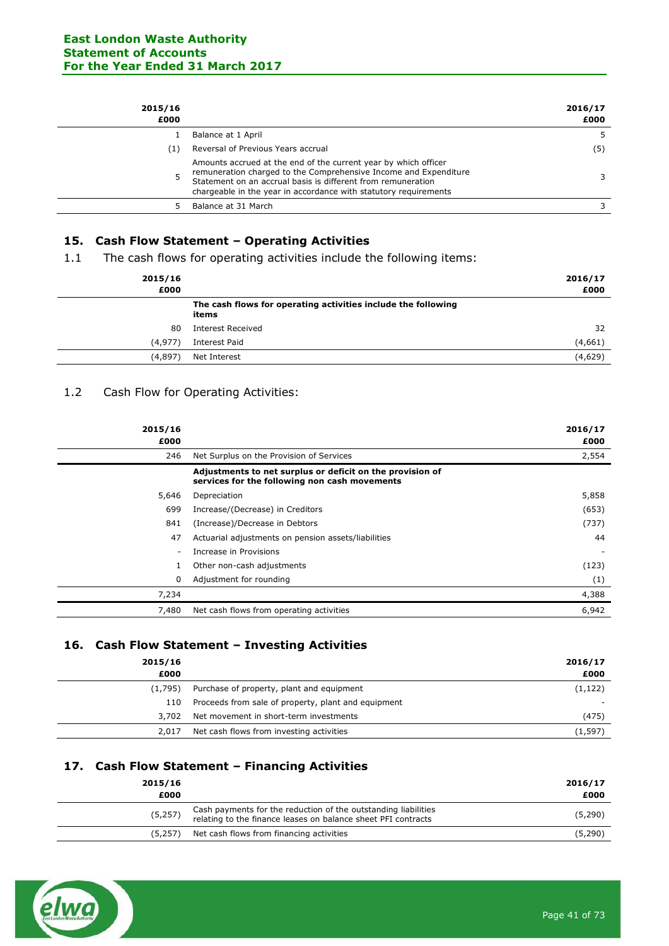| 2015/16<br>£000 |                                                                                                                                                                                                                                                                         | 2016/17<br>£000 |
|-----------------|-------------------------------------------------------------------------------------------------------------------------------------------------------------------------------------------------------------------------------------------------------------------------|-----------------|
|                 | Balance at 1 April                                                                                                                                                                                                                                                      | 5.              |
| (1)             | Reversal of Previous Years accrual                                                                                                                                                                                                                                      | (5)             |
|                 | Amounts accrued at the end of the current year by which officer<br>remuneration charged to the Comprehensive Income and Expenditure<br>Statement on an accrual basis is different from remuneration<br>chargeable in the year in accordance with statutory requirements |                 |
|                 | Balance at 31 March                                                                                                                                                                                                                                                     |                 |
|                 |                                                                                                                                                                                                                                                                         |                 |

# **15. Cash Flow Statement – Operating Activities**

1.1 The cash flows for operating activities include the following items:

| 2015/16<br>£000 |                                                                        | 2016/17<br>£000 |
|-----------------|------------------------------------------------------------------------|-----------------|
|                 | The cash flows for operating activities include the following<br>items |                 |
| 80              | <b>Interest Received</b>                                               | 32              |
| (4, 977)        | Interest Paid                                                          | (4,661)         |
| (4,897)         | Net Interest                                                           | (4,629)         |

# 1.2 Cash Flow for Operating Activities:

| 2015/16<br>£000 |                                                                                                            | 2016/17<br>£000 |
|-----------------|------------------------------------------------------------------------------------------------------------|-----------------|
| 246             | Net Surplus on the Provision of Services                                                                   | 2,554           |
|                 | Adjustments to net surplus or deficit on the provision of<br>services for the following non cash movements |                 |
| 5,646           | Depreciation                                                                                               | 5,858           |
| 699             | Increase/(Decrease) in Creditors                                                                           | (653)           |
| 841             | (Increase)/Decrease in Debtors                                                                             | (737)           |
| 47              | Actuarial adjustments on pension assets/liabilities                                                        | 44              |
| ۰               | Increase in Provisions                                                                                     |                 |
|                 | Other non-cash adjustments                                                                                 | (123)           |
| 0               | Adjustment for rounding                                                                                    | (1)             |
| 7,234           |                                                                                                            | 4,388           |
| 7,480           | Net cash flows from operating activities                                                                   | 6,942           |

# **16. Cash Flow Statement – Investing Activities**

| 2015/16 |                                                     | 2016/17                  |
|---------|-----------------------------------------------------|--------------------------|
| £000    |                                                     | £000                     |
| (1.795) | Purchase of property, plant and equipment           | (1, 122)                 |
| 110     | Proceeds from sale of property, plant and equipment | $\overline{\phantom{0}}$ |
| 3,702   | Net movement in short-term investments              | (475)                    |
| 2,017   | Net cash flows from investing activities            | (1,597)                  |

### **17. Cash Flow Statement – Financing Activities**

| Cash payments for the reduction of the outstanding liabilities<br>(5,257)<br>relating to the finance leases on balance sheet PFI contracts | 2015/16<br>£000 | 2016/17<br>£000 |
|--------------------------------------------------------------------------------------------------------------------------------------------|-----------------|-----------------|
|                                                                                                                                            |                 | (5, 290)        |
| Net cash flows from financing activities<br>(5.257)                                                                                        |                 | (5,290)         |

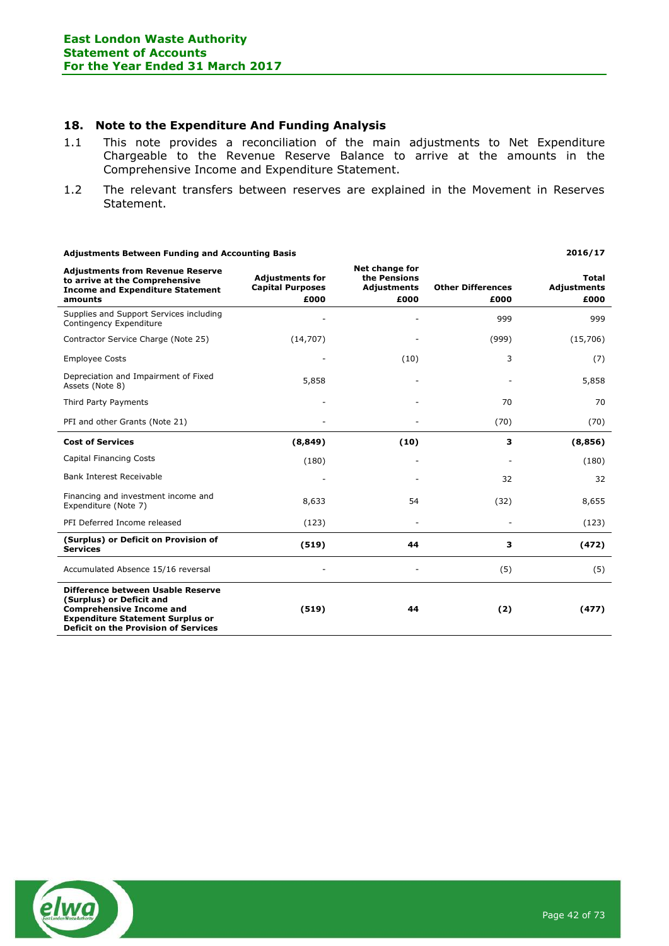### **18. Note to the Expenditure And Funding Analysis**

- 1.1 This note provides a reconciliation of the main adjustments to Net Expenditure Chargeable to the Revenue Reserve Balance to arrive at the amounts in the Comprehensive Income and Expenditure Statement.
- 1.2 The relevant transfers between reserves are explained in the Movement in Reserves Statement.

| <b>Adjustments Between Funding and Accounting Basis</b>                                                                                                                                    |                                                           |                                                              |                                  | 2016/17                                    |
|--------------------------------------------------------------------------------------------------------------------------------------------------------------------------------------------|-----------------------------------------------------------|--------------------------------------------------------------|----------------------------------|--------------------------------------------|
| <b>Adjustments from Revenue Reserve</b><br>to arrive at the Comprehensive<br><b>Income and Expenditure Statement</b><br>amounts                                                            | <b>Adjustments for</b><br><b>Capital Purposes</b><br>£000 | Net change for<br>the Pensions<br><b>Adjustments</b><br>£000 | <b>Other Differences</b><br>£000 | <b>Total</b><br><b>Adjustments</b><br>£000 |
| Supplies and Support Services including<br>Contingency Expenditure                                                                                                                         |                                                           |                                                              | 999                              | 999                                        |
| Contractor Service Charge (Note 25)                                                                                                                                                        | (14, 707)                                                 |                                                              | (999)                            | (15,706)                                   |
| <b>Employee Costs</b>                                                                                                                                                                      |                                                           | (10)                                                         | 3                                | (7)                                        |
| Depreciation and Impairment of Fixed<br>Assets (Note 8)                                                                                                                                    | 5,858                                                     |                                                              |                                  | 5,858                                      |
| Third Party Payments                                                                                                                                                                       |                                                           |                                                              | 70                               | 70                                         |
| PFI and other Grants (Note 21)                                                                                                                                                             |                                                           |                                                              | (70)                             | (70)                                       |
| <b>Cost of Services</b>                                                                                                                                                                    | (8, 849)                                                  | (10)                                                         | 3                                | (8,856)                                    |
| <b>Capital Financing Costs</b>                                                                                                                                                             | (180)                                                     |                                                              |                                  | (180)                                      |
| <b>Bank Interest Receivable</b>                                                                                                                                                            |                                                           |                                                              | 32                               | 32                                         |
| Financing and investment income and<br>Expenditure (Note 7)                                                                                                                                | 8,633                                                     | 54                                                           | (32)                             | 8,655                                      |
| PFI Deferred Income released                                                                                                                                                               | (123)                                                     |                                                              |                                  | (123)                                      |
| (Surplus) or Deficit on Provision of<br><b>Services</b>                                                                                                                                    | (519)                                                     | 44                                                           | 3                                | (472)                                      |
| Accumulated Absence 15/16 reversal                                                                                                                                                         |                                                           |                                                              | (5)                              | (5)                                        |
| Difference between Usable Reserve<br>(Surplus) or Deficit and<br><b>Comprehensive Income and</b><br><b>Expenditure Statement Surplus or</b><br><b>Deficit on the Provision of Services</b> | (519)                                                     | 44                                                           | (2)                              | (477)                                      |

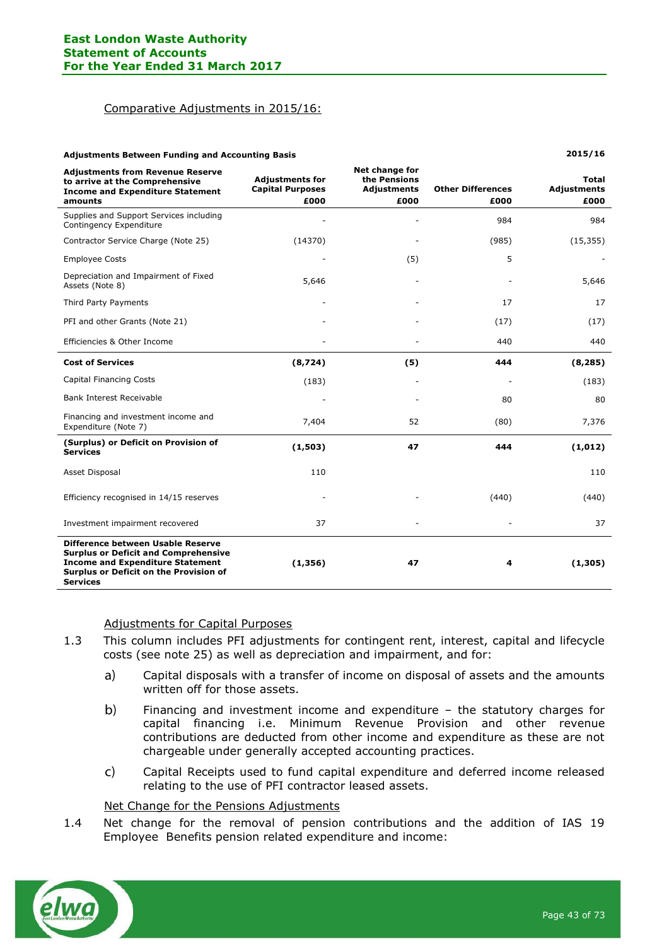#### Comparative Adjustments in 2015/16:

| <b>Adjustments Between Funding and Accounting Basis</b>                                                                                                                                  |                                                           | 2015/16                                                      |                                  |                                            |
|------------------------------------------------------------------------------------------------------------------------------------------------------------------------------------------|-----------------------------------------------------------|--------------------------------------------------------------|----------------------------------|--------------------------------------------|
| <b>Adjustments from Revenue Reserve</b><br>to arrive at the Comprehensive<br><b>Income and Expenditure Statement</b><br>amounts                                                          | <b>Adjustments for</b><br><b>Capital Purposes</b><br>£000 | Net change for<br>the Pensions<br><b>Adjustments</b><br>£000 | <b>Other Differences</b><br>£000 | <b>Total</b><br><b>Adjustments</b><br>£000 |
| Supplies and Support Services including<br>Contingency Expenditure                                                                                                                       |                                                           |                                                              | 984                              | 984                                        |
| Contractor Service Charge (Note 25)                                                                                                                                                      | (14370)                                                   |                                                              | (985)                            | (15, 355)                                  |
| <b>Employee Costs</b>                                                                                                                                                                    |                                                           | (5)                                                          | 5                                |                                            |
| Depreciation and Impairment of Fixed<br>Assets (Note 8)                                                                                                                                  | 5,646                                                     |                                                              |                                  | 5,646                                      |
| Third Party Payments                                                                                                                                                                     |                                                           |                                                              | 17                               | 17                                         |
| PFI and other Grants (Note 21)                                                                                                                                                           |                                                           |                                                              | (17)                             | (17)                                       |
| Efficiencies & Other Income                                                                                                                                                              |                                                           |                                                              | 440                              | 440                                        |
| <b>Cost of Services</b>                                                                                                                                                                  | (8,724)                                                   | (5)                                                          | 444                              | (8, 285)                                   |
| <b>Capital Financing Costs</b>                                                                                                                                                           | (183)                                                     |                                                              |                                  | (183)                                      |
| <b>Bank Interest Receivable</b>                                                                                                                                                          |                                                           |                                                              | 80                               | 80                                         |
| Financing and investment income and<br>Expenditure (Note 7)                                                                                                                              | 7,404                                                     | 52                                                           | (80)                             | 7,376                                      |
| (Surplus) or Deficit on Provision of<br><b>Services</b>                                                                                                                                  | (1,503)                                                   | 47                                                           | 444                              | (1,012)                                    |
| Asset Disposal                                                                                                                                                                           | 110                                                       |                                                              |                                  | 110                                        |
| Efficiency recognised in 14/15 reserves                                                                                                                                                  |                                                           |                                                              | (440)                            | (440)                                      |
| Investment impairment recovered                                                                                                                                                          | 37                                                        |                                                              |                                  | 37                                         |
| Difference between Usable Reserve<br><b>Surplus or Deficit and Comprehensive</b><br><b>Income and Expenditure Statement</b><br>Surplus or Deficit on the Provision of<br><b>Services</b> | (1, 356)                                                  | 47                                                           | 4                                | (1,305)                                    |

#### Adjustments for Capital Purposes

- 1.3 This column includes PFI adjustments for contingent rent, interest, capital and lifecycle costs (see note 25) as well as depreciation and impairment, and for:
	- $a)$ Capital disposals with a transfer of income on disposal of assets and the amounts written off for those assets.
	- $b)$ Financing and investment income and expenditure – the statutory charges for capital financing i.e. Minimum Revenue Provision and other revenue contributions are deducted from other income and expenditure as these are not chargeable under generally accepted accounting practices.
	- Capital Receipts used to fund capital expenditure and deferred income released  $\mathsf{C}$ relating to the use of PFI contractor leased assets.

### Net Change for the Pensions Adjustments

1.4 Net change for the removal of pension contributions and the addition of IAS 19 Employee Benefits pension related expenditure and income:

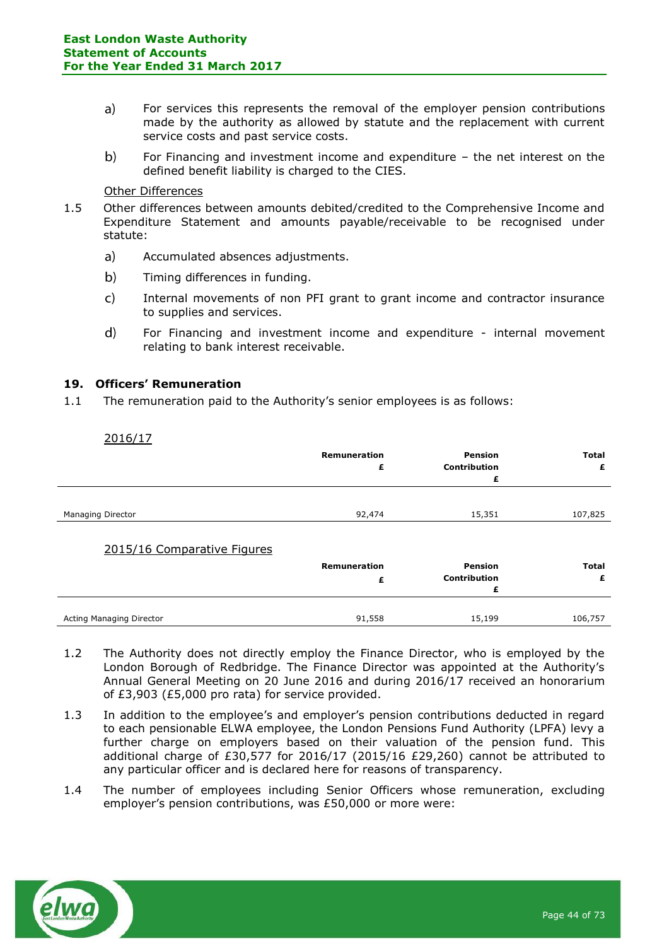- $a)$ For services this represents the removal of the employer pension contributions made by the authority as allowed by statute and the replacement with current service costs and past service costs.
- $b)$ For Financing and investment income and expenditure – the net interest on the defined benefit liability is charged to the CIES.

#### Other Differences

- 1.5 Other differences between amounts debited/credited to the Comprehensive Income and Expenditure Statement and amounts payable/receivable to be recognised under statute:
	- $a)$ Accumulated absences adjustments.
	- $b)$ Timing differences in funding.
	- $\mathsf{C}$ Internal movements of non PFI grant to grant income and contractor insurance to supplies and services.
	- $\mathbf{d}$ For Financing and investment income and expenditure - internal movement relating to bank interest receivable.

### **19. Officers' Remuneration**

1.1 The remuneration paid to the Authority's senior employees is as follows:

| 2016/17                     | <b>Remuneration</b><br>£ | Pension<br><b>Contribution</b><br>£ | <b>Total</b><br>£ |
|-----------------------------|--------------------------|-------------------------------------|-------------------|
| <b>Managing Director</b>    | 92,474                   | 15,351                              | 107,825           |
| 2015/16 Comparative Figures | <b>Remuneration</b><br>£ | Pension<br><b>Contribution</b><br>£ | <b>Total</b><br>£ |
| Acting Managing Director    | 91,558                   | 15,199                              | 106,757           |

- 1.2 The Authority does not directly employ the Finance Director, who is employed by the London Borough of Redbridge. The Finance Director was appointed at the Authority's Annual General Meeting on 20 June 2016 and during 2016/17 received an honorarium of £3,903 (£5,000 pro rata) for service provided.
- 1.3 In addition to the employee's and employer's pension contributions deducted in regard to each pensionable ELWA employee, the London Pensions Fund Authority (LPFA) levy a further charge on employers based on their valuation of the pension fund. This additional charge of £30,577 for 2016/17 (2015/16 £29,260) cannot be attributed to any particular officer and is declared here for reasons of transparency.
- 1.4 The number of employees including Senior Officers whose remuneration, excluding employer's pension contributions, was £50,000 or more were:

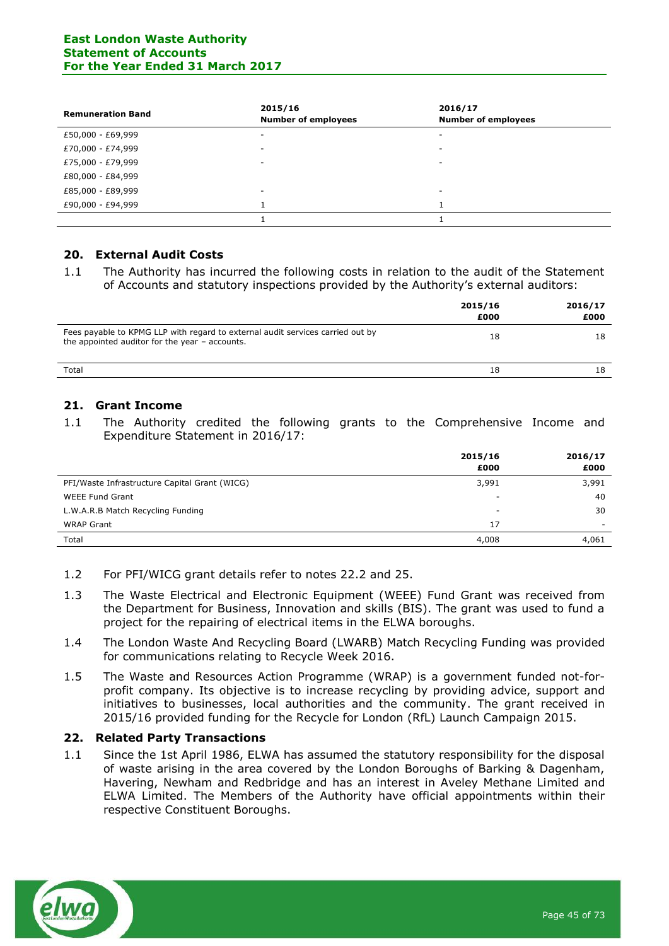### **East London Waste Authority Statement of Accounts For the Year Ended 31 March 2017**

| <b>Remuneration Band</b> | 2015/16<br><b>Number of employees</b> | 2016/17<br><b>Number of employees</b> |
|--------------------------|---------------------------------------|---------------------------------------|
| £50,000 - £69,999        | ۰                                     | ٠                                     |
| £70,000 - £74,999        | ۰                                     | -                                     |
| £75,000 - £79,999        | $\sim$                                | -                                     |
| £80,000 - £84,999        |                                       |                                       |
| £85,000 - £89,999        | ۰                                     | ٠                                     |
| £90,000 - £94,999        |                                       |                                       |
|                          |                                       |                                       |

### **20. External Audit Costs**

1.1 The Authority has incurred the following costs in relation to the audit of the Statement of Accounts and statutory inspections provided by the Authority's external auditors:

|                                                                                                                                  | 2015/16<br>£000 | 2016/17<br>£000 |
|----------------------------------------------------------------------------------------------------------------------------------|-----------------|-----------------|
| Fees payable to KPMG LLP with regard to external audit services carried out by<br>the appointed auditor for the year - accounts. | 18              | 18              |
| Total                                                                                                                            | 18              | 18              |

### **21. Grant Income**

1.1 The Authority credited the following grants to the Comprehensive Income and Expenditure Statement in 2016/17:

|                                               | 2015/16                  | 2016/17 |
|-----------------------------------------------|--------------------------|---------|
|                                               | £000                     | £000    |
| PFI/Waste Infrastructure Capital Grant (WICG) | 3,991                    | 3,991   |
| <b>WEEE Fund Grant</b>                        | $\overline{\phantom{a}}$ | 40      |
| L.W.A.R.B Match Recycling Funding             | $\overline{\phantom{a}}$ | 30      |
| <b>WRAP Grant</b>                             | 17                       |         |
| Total                                         | 4,008                    | 4,061   |

- 1.2 For PFI/WICG grant details refer to notes 22.2 and 25.
- 1.3 The Waste Electrical and Electronic Equipment (WEEE) Fund Grant was received from the Department for Business, Innovation and skills (BIS). The grant was used to fund a project for the repairing of electrical items in the ELWA boroughs.
- 1.4 The London Waste And Recycling Board (LWARB) Match Recycling Funding was provided for communications relating to Recycle Week 2016.
- 1.5 The Waste and Resources Action Programme (WRAP) is a government funded not-forprofit company. Its objective is to increase recycling by providing advice, support and initiatives to businesses, local authorities and the community. The grant received in 2015/16 provided funding for the Recycle for London (RfL) Launch Campaign 2015.

### **22. Related Party Transactions**

1.1 Since the 1st April 1986, ELWA has assumed the statutory responsibility for the disposal of waste arising in the area covered by the London Boroughs of Barking & Dagenham, Havering, Newham and Redbridge and has an interest in Aveley Methane Limited and ELWA Limited. The Members of the Authority have official appointments within their respective Constituent Boroughs.

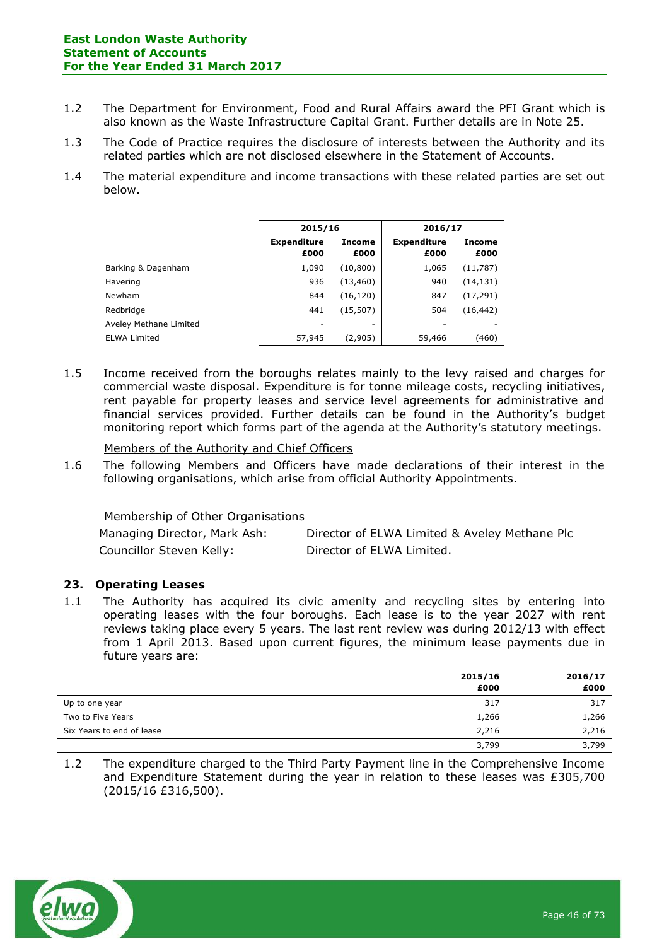#### **East London Waste Authority Statement of Accounts For the Year Ended 31 March 2017**

- 1.2 The Department for Environment, Food and Rural Affairs award the PFI Grant which is also known as the Waste Infrastructure Capital Grant. Further details are in Note 25.
- 1.3 The Code of Practice requires the disclosure of interests between the Authority and its related parties which are not disclosed elsewhere in the Statement of Accounts.
- 1.4 The material expenditure and income transactions with these related parties are set out below.

|                        | 2015/16                    |                       | 2016/17                    |                       |
|------------------------|----------------------------|-----------------------|----------------------------|-----------------------|
|                        | <b>Expenditure</b><br>£000 | <b>Income</b><br>£000 | <b>Expenditure</b><br>£000 | <b>Income</b><br>£000 |
| Barking & Dagenham     | 1,090                      | (10, 800)             | 1,065                      | (11, 787)             |
| Havering               | 936                        | (13, 460)             | 940                        | (14, 131)             |
| <b>Newham</b>          | 844                        | (16, 120)             | 847                        | (17, 291)             |
| Redbridge              | 441                        | (15, 507)             | 504                        | (16, 442)             |
| Aveley Methane Limited |                            |                       |                            | ۰                     |
| <b>ELWA Limited</b>    | 57,945                     | (2,905)               | 59,466                     | (460)                 |

1.5 Income received from the boroughs relates mainly to the levy raised and charges for commercial waste disposal. Expenditure is for tonne mileage costs, recycling initiatives, rent payable for property leases and service level agreements for administrative and financial services provided. Further details can be found in the Authority's budget monitoring report which forms part of the agenda at the Authority's statutory meetings.

Members of the Authority and Chief Officers

1.6 The following Members and Officers have made declarations of their interest in the following organisations, which arise from official Authority Appointments.

### Membership of Other Organisations

| Managing Director, Mark Ash: | Director of ELWA Limited & Aveley Methane Plc |
|------------------------------|-----------------------------------------------|
| Councillor Steven Kelly:     | Director of ELWA Limited.                     |

### **23. Operating Leases**

1.1 The Authority has acquired its civic amenity and recycling sites by entering into operating leases with the four boroughs. Each lease is to the year 2027 with rent reviews taking place every 5 years. The last rent review was during 2012/13 with effect from 1 April 2013. Based upon current figures, the minimum lease payments due in future years are:

|                           | 2015/16 | 2016/17 |  |
|---------------------------|---------|---------|--|
|                           | £000    | £000    |  |
| Up to one year            | 317     | 317     |  |
| Two to Five Years         | 1,266   | 1,266   |  |
| Six Years to end of lease | 2,216   | 2,216   |  |
|                           | 3,799   | 3,799   |  |

1.2 The expenditure charged to the Third Party Payment line in the Comprehensive Income and Expenditure Statement during the year in relation to these leases was £305,700 (2015/16 £316,500).

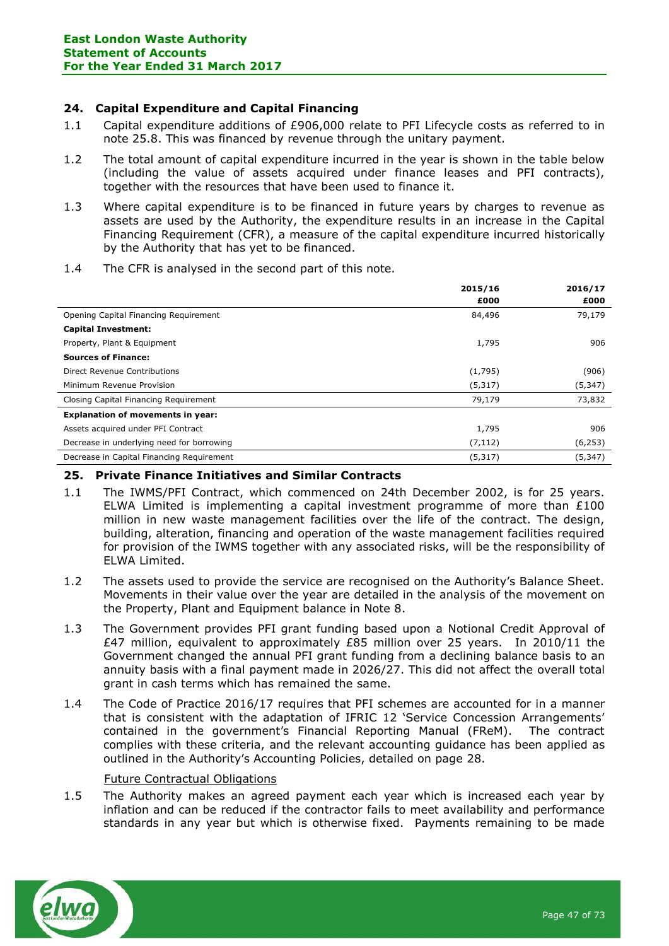### **24. Capital Expenditure and Capital Financing**

- 1.1 Capital expenditure additions of £906,000 relate to PFI Lifecycle costs as referred to in note 25.8. This was financed by revenue through the unitary payment.
- 1.2 The total amount of capital expenditure incurred in the year is shown in the table below (including the value of assets acquired under finance leases and PFI contracts), together with the resources that have been used to finance it.
- 1.3 Where capital expenditure is to be financed in future years by charges to revenue as assets are used by the Authority, the expenditure results in an increase in the Capital Financing Requirement (CFR), a measure of the capital expenditure incurred historically by the Authority that has yet to be financed.
- **2015/16 £000 2016/17 £000** Opening Capital Financing Requirement 84,496 79,179 **Capital Investment:** Property, Plant & Equipment 1,795 906 **Sources of Finance:** Direct Revenue Contributions (1,795) (906) Minimum Revenue Provision (5,347) (5,347) Closing Capital Financing Requirement 79,179 73,832 **Explanation of movements in year:** Assets acquired under PFI Contract 1,795 906 Decrease in underlying need for borrowing the state of the state of the control of the control of the control of the control of the control of the control of the control of the control of the control of the control of the Decrease in Capital Financing Requirement (5,317) (5,347)
- 1.4 The CFR is analysed in the second part of this note.

# **25. Private Finance Initiatives and Similar Contracts**

- 1.1 The IWMS/PFI Contract, which commenced on 24th December 2002, is for 25 years. ELWA Limited is implementing a capital investment programme of more than  $£100$ million in new waste management facilities over the life of the contract. The design, building, alteration, financing and operation of the waste management facilities required for provision of the IWMS together with any associated risks, will be the responsibility of ELWA Limited.
- 1.2 The assets used to provide the service are recognised on the Authority's Balance Sheet. Movements in their value over the year are detailed in the analysis of the movement on the Property, Plant and Equipment balance in Note 8.
- 1.3 The Government provides PFI grant funding based upon a Notional Credit Approval of £47 million, equivalent to approximately £85 million over 25 years. In 2010/11 the Government changed the annual PFI grant funding from a declining balance basis to an annuity basis with a final payment made in 2026/27. This did not affect the overall total grant in cash terms which has remained the same.
- 1.4 The Code of Practice 2016/17 requires that PFI schemes are accounted for in a manner that is consistent with the adaptation of IFRIC 12 'Service Concession Arrangements' contained in the government's Financial Reporting Manual (FReM). The contract complies with these criteria, and the relevant accounting guidance has been applied as outlined in the Authority's Accounting Policies, detailed on page 28.

### Future Contractual Obligations

1.5 The Authority makes an agreed payment each year which is increased each year by inflation and can be reduced if the contractor fails to meet availability and performance standards in any year but which is otherwise fixed. Payments remaining to be made

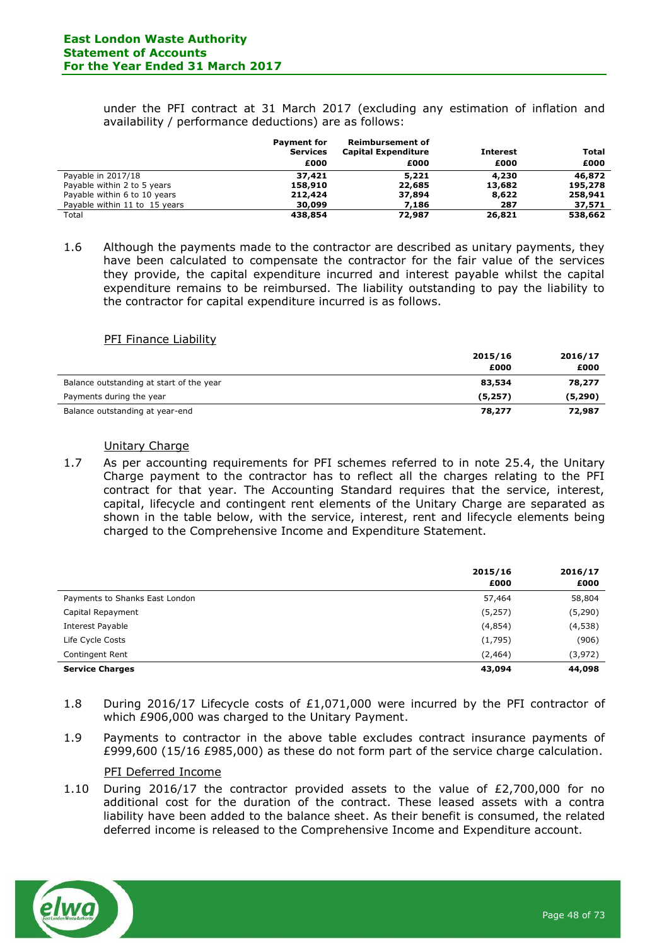under the PFI contract at 31 March 2017 (excluding any estimation of inflation and availability / performance deductions) are as follows:

|                               | <b>Payment for</b><br><b>Services</b> | <b>Reimbursement of</b><br><b>Capital Expenditure</b> | <b>Interest</b> | Total   |
|-------------------------------|---------------------------------------|-------------------------------------------------------|-----------------|---------|
|                               | £000                                  | £000                                                  | £000            | £000    |
| Payable in 2017/18            | 37,421                                | 5,221                                                 | 4,230           | 46,872  |
| Payable within 2 to 5 years   | 158,910                               | 22,685                                                | 13,682          | 195,278 |
| Payable within 6 to 10 years  | 212,424                               | 37,894                                                | 8,622           | 258,941 |
| Payable within 11 to 15 years | 30,099                                | 7,186                                                 | 287             | 37,571  |
| Total                         | 438,854                               | 72,987                                                | 26,821          | 538,662 |

1.6 Although the payments made to the contractor are described as unitary payments, they have been calculated to compensate the contractor for the fair value of the services they provide, the capital expenditure incurred and interest payable whilst the capital expenditure remains to be reimbursed. The liability outstanding to pay the liability to the contractor for capital expenditure incurred is as follows.

#### PFI Finance Liability

|                                          | 2015/16 | 2016/17  |
|------------------------------------------|---------|----------|
|                                          | £000    | £000     |
| Balance outstanding at start of the year | 83,534  | 78,277   |
| Payments during the year                 | (5,257) | (5, 290) |
| Balance outstanding at year-end          | 78,277  | 72,987   |

#### Unitary Charge

1.7 As per accounting requirements for PFI schemes referred to in note 25.4, the Unitary Charge payment to the contractor has to reflect all the charges relating to the PFI contract for that year. The Accounting Standard requires that the service, interest, capital, lifecycle and contingent rent elements of the Unitary Charge are separated as shown in the table below, with the service, interest, rent and lifecycle elements being charged to the Comprehensive Income and Expenditure Statement.

|                                | 2015/16<br>£000 | 2016/17<br>£000 |
|--------------------------------|-----------------|-----------------|
| Payments to Shanks East London | 57,464          | 58,804          |
| Capital Repayment              | (5,257)         | (5,290)         |
| Interest Payable               | (4, 854)        | (4,538)         |
| Life Cycle Costs               | (1,795)         | (906)           |
| Contingent Rent                | (2,464)         | (3, 972)        |
| <b>Service Charges</b>         | 43,094          | 44,098          |

- 1.8 During 2016/17 Lifecycle costs of £1,071,000 were incurred by the PFI contractor of which £906,000 was charged to the Unitary Payment.
- 1.9 Payments to contractor in the above table excludes contract insurance payments of £999,600 (15/16 £985,000) as these do not form part of the service charge calculation.

#### PFI Deferred Income

1.10 During 2016/17 the contractor provided assets to the value of  $E2,700,000$  for no additional cost for the duration of the contract. These leased assets with a contra liability have been added to the balance sheet. As their benefit is consumed, the related deferred income is released to the Comprehensive Income and Expenditure account.

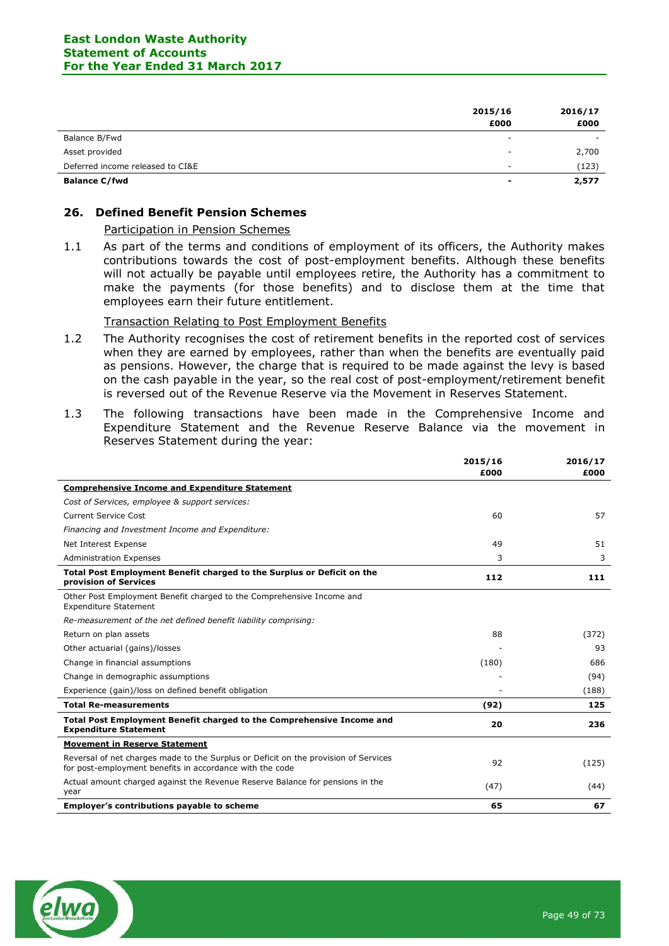|                                  | 2015/16<br>£000          | 2016/17<br>£000 |
|----------------------------------|--------------------------|-----------------|
| Balance B/Fwd                    | $\overline{\phantom{a}}$ |                 |
| Asset provided                   |                          | 2,700           |
| Deferred income released to CI&E | $\overline{\phantom{a}}$ | (123)           |
| <b>Balance C/fwd</b>             | $\blacksquare$           | 2,577           |

### **26. Defined Benefit Pension Schemes**

#### Participation in Pension Schemes

1.1 As part of the terms and conditions of employment of its officers, the Authority makes contributions towards the cost of post-employment benefits. Although these benefits will not actually be payable until employees retire, the Authority has a commitment to make the payments (for those benefits) and to disclose them at the time that employees earn their future entitlement.

#### Transaction Relating to Post Employment Benefits

- 1.2 The Authority recognises the cost of retirement benefits in the reported cost of services when they are earned by employees, rather than when the benefits are eventually paid as pensions. However, the charge that is required to be made against the levy is based on the cash payable in the year, so the real cost of post-employment/retirement benefit is reversed out of the Revenue Reserve via the Movement in Reserves Statement.
- 1.3 The following transactions have been made in the Comprehensive Income and Expenditure Statement and the Revenue Reserve Balance via the movement in Reserves Statement during the year:

|                                                                                                                                                 | 2015/16<br>£000 | 2016/17<br>£000 |
|-------------------------------------------------------------------------------------------------------------------------------------------------|-----------------|-----------------|
| <b>Comprehensive Income and Expenditure Statement</b>                                                                                           |                 |                 |
| Cost of Services, employee & support services:                                                                                                  |                 |                 |
| <b>Current Service Cost</b>                                                                                                                     | 60              | 57              |
| Financing and Investment Income and Expenditure:                                                                                                |                 |                 |
| Net Interest Expense                                                                                                                            | 49              | 51              |
| <b>Administration Expenses</b>                                                                                                                  | 3               | 3               |
| Total Post Employment Benefit charged to the Surplus or Deficit on the<br>provision of Services                                                 | 112             | 111             |
| Other Post Employment Benefit charged to the Comprehensive Income and<br><b>Expenditure Statement</b>                                           |                 |                 |
| Re-measurement of the net defined benefit liability comprising:                                                                                 |                 |                 |
| Return on plan assets                                                                                                                           | 88              | (372)           |
| Other actuarial (gains)/losses                                                                                                                  |                 | 93              |
| Change in financial assumptions                                                                                                                 | (180)           | 686             |
| Change in demographic assumptions                                                                                                               |                 | (94)            |
| Experience (gain)/loss on defined benefit obligation                                                                                            |                 | (188)           |
| <b>Total Re-measurements</b>                                                                                                                    | (92)            | 125             |
| Total Post Employment Benefit charged to the Comprehensive Income and<br><b>Expenditure Statement</b>                                           | 20              | 236             |
| <b>Movement in Reserve Statement</b>                                                                                                            |                 |                 |
| Reversal of net charges made to the Surplus or Deficit on the provision of Services<br>for post-employment benefits in accordance with the code | 92              | (125)           |
| Actual amount charged against the Revenue Reserve Balance for pensions in the<br>year                                                           | (47)            | (44)            |
| Employer's contributions payable to scheme                                                                                                      | 65              | 67              |

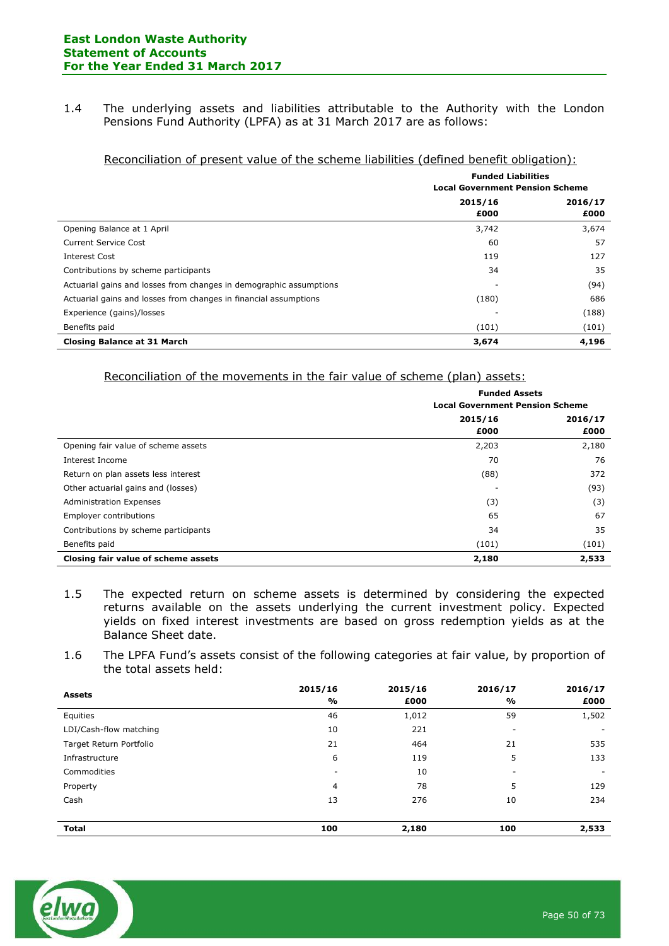1.4 The underlying assets and liabilities attributable to the Authority with the London Pensions Fund Authority (LPFA) as at 31 March 2017 are as follows:

| reconcinuation or present varue or and schidme hubinates (uchnicu benefit obligation). |                 |                                                                     |  |
|----------------------------------------------------------------------------------------|-----------------|---------------------------------------------------------------------|--|
|                                                                                        |                 | <b>Funded Liabilities</b><br><b>Local Government Pension Scheme</b> |  |
|                                                                                        | 2015/16<br>£000 | 2016/17<br>£000                                                     |  |
| Opening Balance at 1 April                                                             | 3,742           | 3,674                                                               |  |
| <b>Current Service Cost</b>                                                            | 60              | 57                                                                  |  |
| Interest Cost                                                                          | 119             | 127                                                                 |  |
| Contributions by scheme participants                                                   | 34              | 35                                                                  |  |

Actuarial gains and losses from changes in demographic assumptions - (94) Actuarial gains and losses from changes in financial assumptions (180) (180) 686 Experience (gains)/losses - (188) Benefits paid (101) (101) (101) **Closing Balance at 31 March 3,674 4,196**

#### Reconciliation of present value of the scheme liabilities (defined benefit obligation):

| Reconciliation of the movements in the fair value of scheme (plan) assets: |  |  |
|----------------------------------------------------------------------------|--|--|
|                                                                            |  |  |

|                                      | <b>Funded Assets</b><br><b>Local Government Pension Scheme</b> |         |
|--------------------------------------|----------------------------------------------------------------|---------|
|                                      | 2015/16                                                        | 2016/17 |
|                                      | £000                                                           | £000    |
| Opening fair value of scheme assets  | 2,203                                                          | 2,180   |
| Interest Income                      | 70                                                             | 76      |
| Return on plan assets less interest  | (88)                                                           | 372     |
| Other actuarial gains and (losses)   |                                                                | (93)    |
| <b>Administration Expenses</b>       | (3)                                                            | (3)     |
| <b>Employer contributions</b>        | 65                                                             | 67      |
| Contributions by scheme participants | 34                                                             | 35      |
| Benefits paid                        | (101)                                                          | (101)   |
| Closing fair value of scheme assets  | 2,180                                                          | 2,533   |

- 1.5 The expected return on scheme assets is determined by considering the expected returns available on the assets underlying the current investment policy. Expected yields on fixed interest investments are based on gross redemption yields as at the Balance Sheet date.
- 1.6 The LPFA Fund's assets consist of the following categories at fair value, by proportion of the total assets held:

| 2015/16<br>%             | 2015/16<br>£000 | 2016/17<br>%             | 2016/17<br>£000 |
|--------------------------|-----------------|--------------------------|-----------------|
| 46                       | 1,012           | 59                       | 1,502           |
| 10                       | 221             | $\overline{\phantom{a}}$ |                 |
| 21                       | 464             | 21                       | 535             |
| 6                        | 119             | 5                        | 133             |
| $\overline{\phantom{a}}$ | 10              | $\overline{\phantom{a}}$ |                 |
| 4                        | 78              | 5                        | 129             |
| 13                       | 276             | 10                       | 234             |
|                          |                 |                          |                 |
| 100                      | 2,180           | 100                      | 2,533           |
|                          |                 |                          |                 |

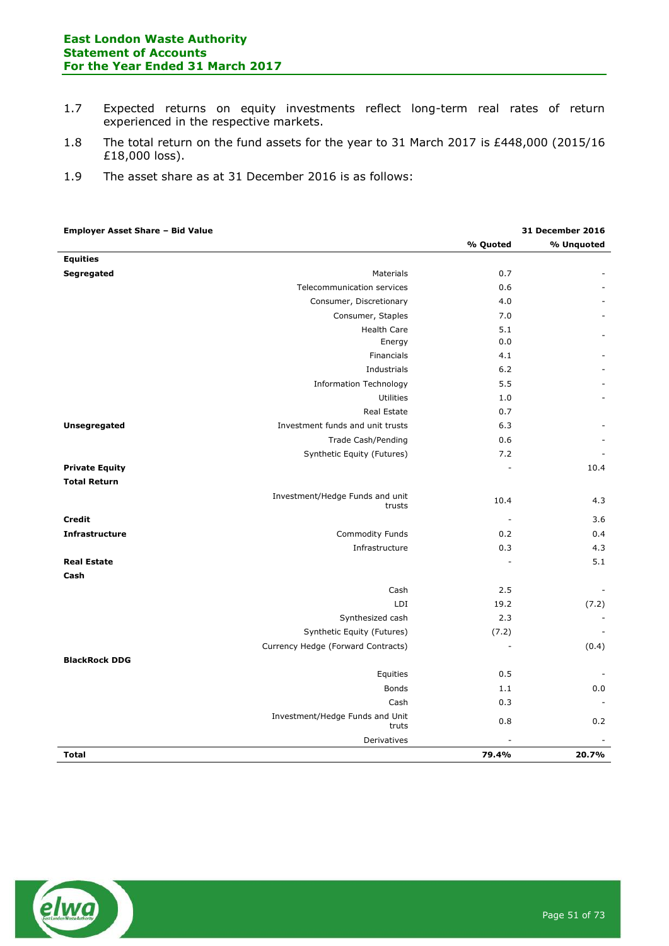- 1.7 Expected returns on equity investments reflect long-term real rates of return experienced in the respective markets.
- 1.8 The total return on the fund assets for the year to 31 March 2017 is £448,000 (2015/16 £18,000 loss).
- 1.9 The asset share as at 31 December 2016 is as follows:

| <b>Employer Asset Share - Bid Value</b> |                                           |          | 31 December 2016 |
|-----------------------------------------|-------------------------------------------|----------|------------------|
|                                         |                                           | % Quoted | % Unquoted       |
| <b>Equities</b>                         |                                           |          |                  |
| Segregated                              | Materials                                 | 0.7      |                  |
|                                         | Telecommunication services                | 0.6      |                  |
|                                         | Consumer, Discretionary                   | 4.0      |                  |
|                                         | Consumer, Staples                         | 7.0      |                  |
|                                         | <b>Health Care</b>                        | 5.1      |                  |
|                                         | Energy                                    | 0.0      |                  |
|                                         | Financials                                | 4.1      |                  |
|                                         | Industrials                               | 6.2      |                  |
|                                         | <b>Information Technology</b>             | 5.5      |                  |
|                                         | Utilities                                 | 1.0      |                  |
|                                         | Real Estate                               | 0.7      |                  |
| Unsegregated                            | Investment funds and unit trusts          | 6.3      |                  |
|                                         | Trade Cash/Pending                        | 0.6      |                  |
|                                         | Synthetic Equity (Futures)                | 7.2      |                  |
| <b>Private Equity</b>                   |                                           |          | 10.4             |
| <b>Total Return</b>                     |                                           |          |                  |
|                                         | Investment/Hedge Funds and unit<br>trusts | 10.4     | 4.3              |
| <b>Credit</b>                           |                                           | ÷,       | 3.6              |
| <b>Infrastructure</b>                   | Commodity Funds                           | 0.2      | 0.4              |
|                                         | Infrastructure                            | 0.3      | 4.3              |
| <b>Real Estate</b>                      |                                           |          | 5.1              |
| Cash                                    |                                           |          |                  |
|                                         | Cash                                      | 2.5      |                  |
|                                         | LDI                                       | 19.2     | (7.2)            |
|                                         | Synthesized cash                          | 2.3      |                  |
|                                         | Synthetic Equity (Futures)                | (7.2)    |                  |
|                                         | Currency Hedge (Forward Contracts)        | L,       | (0.4)            |
| <b>BlackRock DDG</b>                    |                                           |          |                  |
|                                         | Equities                                  | 0.5      |                  |
|                                         | <b>Bonds</b>                              | 1.1      | 0.0              |
|                                         | Cash                                      | 0.3      |                  |
|                                         | Investment/Hedge Funds and Unit<br>truts  | 0.8      | 0.2              |
|                                         | Derivatives                               |          |                  |
| <b>Total</b>                            |                                           | 79.4%    | 20.7%            |

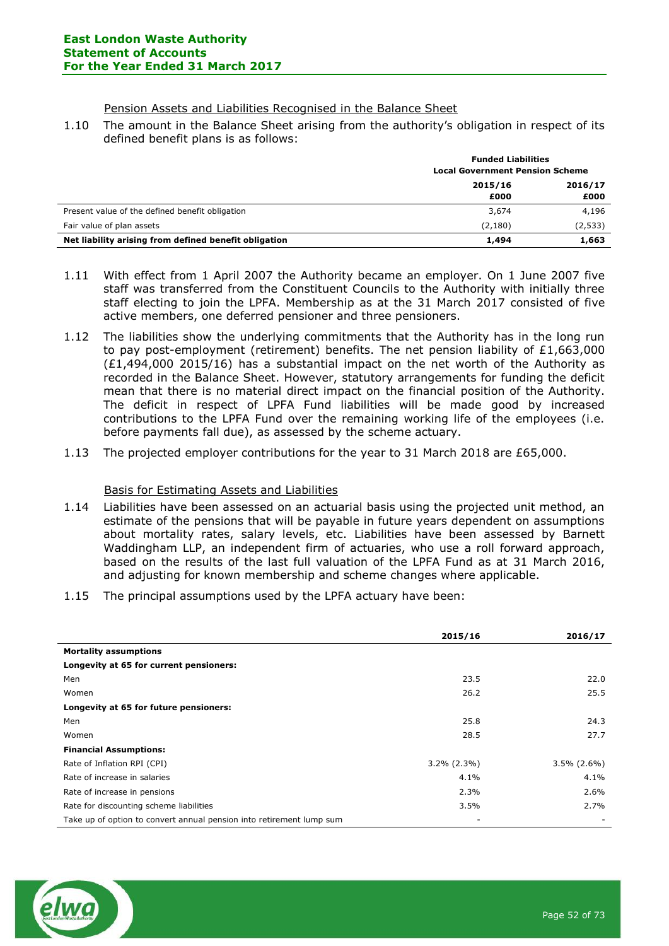Pension Assets and Liabilities Recognised in the Balance Sheet

1.10 The amount in the Balance Sheet arising from the authority's obligation in respect of its defined benefit plans is as follows:

|                                                       | <b>Funded Liabilities</b>              |         |
|-------------------------------------------------------|----------------------------------------|---------|
|                                                       | <b>Local Government Pension Scheme</b> |         |
|                                                       | 2015/16<br>2016/17                     |         |
|                                                       | £000                                   | £000    |
| Present value of the defined benefit obligation       | 3,674                                  | 4,196   |
| Fair value of plan assets                             | (2, 180)                               | (2,533) |
| Net liability arising from defined benefit obligation | 1,494                                  | 1,663   |

- 1.11 With effect from 1 April 2007 the Authority became an employer. On 1 June 2007 five staff was transferred from the Constituent Councils to the Authority with initially three staff electing to join the LPFA. Membership as at the 31 March 2017 consisted of five active members, one deferred pensioner and three pensioners.
- 1.12 The liabilities show the underlying commitments that the Authority has in the long run to pay post-employment (retirement) benefits. The net pension liability of  $£1,663,000$ (£1,494,000 2015/16) has a substantial impact on the net worth of the Authority as recorded in the Balance Sheet. However, statutory arrangements for funding the deficit mean that there is no material direct impact on the financial position of the Authority. The deficit in respect of LPFA Fund liabilities will be made good by increased contributions to the LPFA Fund over the remaining working life of the employees (i.e. before payments fall due), as assessed by the scheme actuary.
- 1.13 The projected employer contributions for the year to 31 March 2018 are £65,000.

### Basis for Estimating Assets and Liabilities

- 1.14 Liabilities have been assessed on an actuarial basis using the projected unit method, an estimate of the pensions that will be payable in future years dependent on assumptions about mortality rates, salary levels, etc. Liabilities have been assessed by Barnett Waddingham LLP, an independent firm of actuaries, who use a roll forward approach, based on the results of the last full valuation of the LPFA Fund as at 31 March 2016, and adjusting for known membership and scheme changes where applicable.
- 1.15 The principal assumptions used by the LPFA actuary have been:

|                                                                      | 2015/16        | 2016/17        |
|----------------------------------------------------------------------|----------------|----------------|
| <b>Mortality assumptions</b>                                         |                |                |
| Longevity at 65 for current pensioners:                              |                |                |
| Men                                                                  | 23.5           | 22.0           |
| Women                                                                | 26.2           | 25.5           |
| Longevity at 65 for future pensioners:                               |                |                |
| Men                                                                  | 25.8           | 24.3           |
| Women                                                                | 28.5           | 27.7           |
| <b>Financial Assumptions:</b>                                        |                |                |
| Rate of Inflation RPI (CPI)                                          | $3.2\%$ (2.3%) | $3.5\%$ (2.6%) |
| Rate of increase in salaries                                         | 4.1%           | 4.1%           |
| Rate of increase in pensions                                         | 2.3%           | 2.6%           |
| Rate for discounting scheme liabilities                              | 3.5%           | 2.7%           |
| Take up of option to convert annual pension into retirement lump sum |                |                |

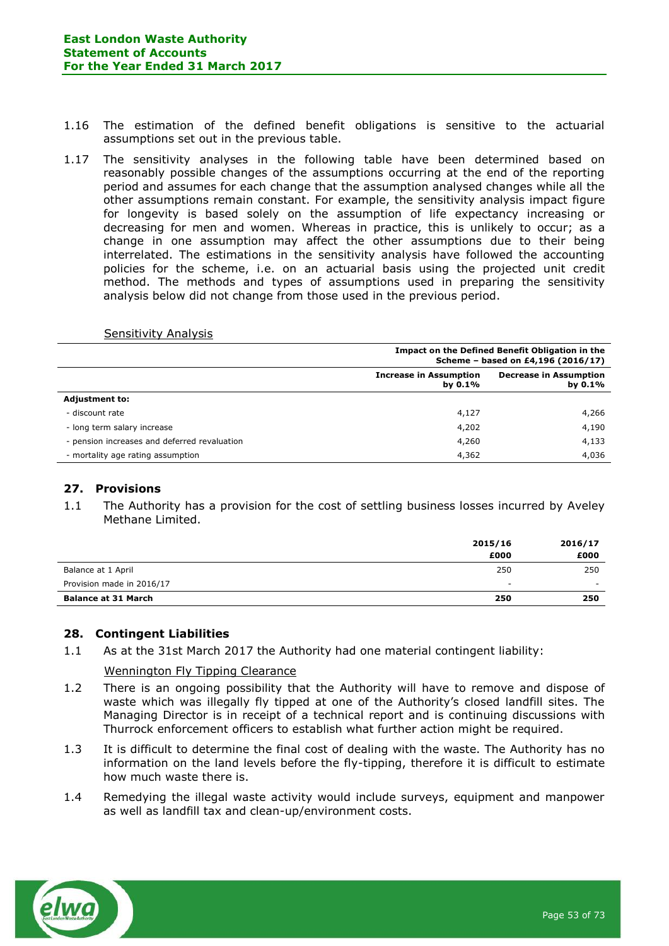- 1.16 The estimation of the defined benefit obligations is sensitive to the actuarial assumptions set out in the previous table.
- 1.17 The sensitivity analyses in the following table have been determined based on reasonably possible changes of the assumptions occurring at the end of the reporting period and assumes for each change that the assumption analysed changes while all the other assumptions remain constant. For example, the sensitivity analysis impact figure for longevity is based solely on the assumption of life expectancy increasing or decreasing for men and women. Whereas in practice, this is unlikely to occur; as a change in one assumption may affect the other assumptions due to their being interrelated. The estimations in the sensitivity analysis have followed the accounting policies for the scheme, i.e. on an actuarial basis using the projected unit credit method. The methods and types of assumptions used in preparing the sensitivity analysis below did not change from those used in the previous period.

| <b>Sensitivity Analysis</b> |  |
|-----------------------------|--|
|                             |  |

|                                              | Impact on the Defined Benefit Obligation in the<br>Scheme - based on £4,196 (2016/17) |                                             |
|----------------------------------------------|---------------------------------------------------------------------------------------|---------------------------------------------|
|                                              | <b>Increase in Assumption</b><br>by $0.1\%$                                           | <b>Decrease in Assumption</b><br>by $0.1\%$ |
| <b>Adjustment to:</b>                        |                                                                                       |                                             |
| - discount rate                              | 4,127                                                                                 | 4,266                                       |
| - long term salary increase                  | 4,202                                                                                 | 4,190                                       |
| - pension increases and deferred revaluation | 4,260                                                                                 | 4,133                                       |
| - mortality age rating assumption            | 4,362                                                                                 | 4,036                                       |

### **27. Provisions**

1.1 The Authority has a provision for the cost of settling business losses incurred by Aveley Methane Limited.

|                            | 2015/16<br>£000 | 2016/17<br>£000 |
|----------------------------|-----------------|-----------------|
| Balance at 1 April         | 250             | 250             |
| Provision made in 2016/17  | -               | $\sim$          |
| <b>Balance at 31 March</b> | 250             | 250             |

### **28. Contingent Liabilities**

1.1 As at the 31st March 2017 the Authority had one material contingent liability:

### Wennington Fly Tipping Clearance

- 1.2 There is an ongoing possibility that the Authority will have to remove and dispose of waste which was illegally fly tipped at one of the Authority's closed landfill sites. The Managing Director is in receipt of a technical report and is continuing discussions with Thurrock enforcement officers to establish what further action might be required.
- 1.3 It is difficult to determine the final cost of dealing with the waste. The Authority has no information on the land levels before the fly-tipping, therefore it is difficult to estimate how much waste there is.
- 1.4 Remedying the illegal waste activity would include surveys, equipment and manpower as well as landfill tax and clean-up/environment costs.

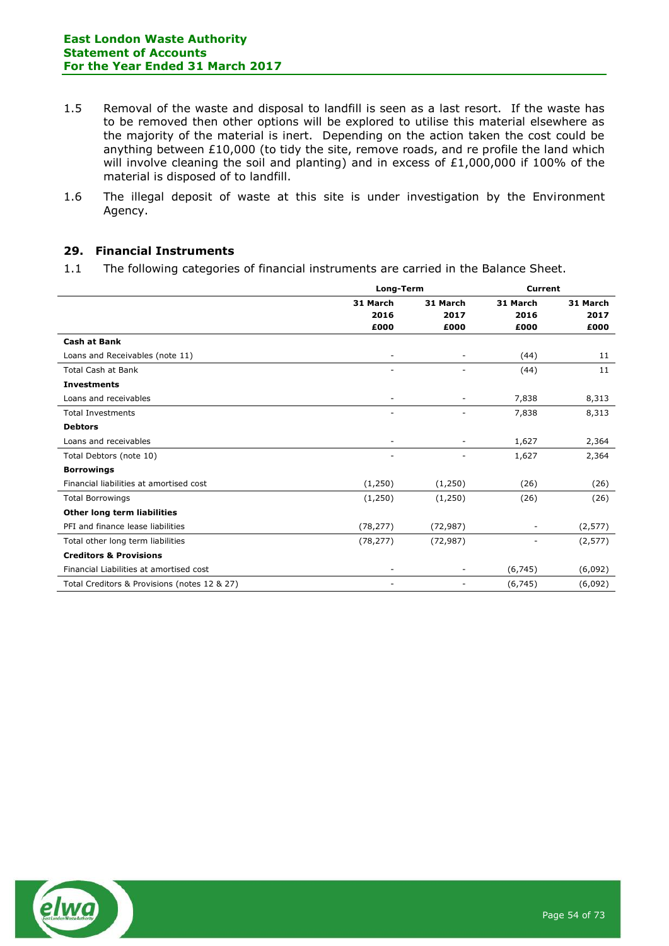- 1.5 Removal of the waste and disposal to landfill is seen as a last resort. If the waste has to be removed then other options will be explored to utilise this material elsewhere as the majority of the material is inert. Depending on the action taken the cost could be anything between £10,000 (to tidy the site, remove roads, and re profile the land which will involve cleaning the soil and planting) and in excess of £1,000,000 if 100% of the material is disposed of to landfill.
- 1.6 The illegal deposit of waste at this site is under investigation by the Environment Agency.

### **29. Financial Instruments**

1.1 The following categories of financial instruments are carried in the Balance Sheet.

|                                              | Long-Term        |                          | <b>Current</b>   |                  |
|----------------------------------------------|------------------|--------------------------|------------------|------------------|
|                                              | 31 March<br>2016 | 31 March<br>2017         | 31 March<br>2016 | 31 March<br>2017 |
|                                              | £000             | £000                     | £000             | £000             |
| <b>Cash at Bank</b>                          |                  |                          |                  |                  |
| Loans and Receivables (note 11)              |                  | -                        | (44)             | 11               |
| <b>Total Cash at Bank</b>                    |                  |                          | (44)             | 11               |
| <b>Investments</b>                           |                  |                          |                  |                  |
| Loans and receivables                        | -                | $\overline{\phantom{a}}$ | 7,838            | 8,313            |
| <b>Total Investments</b>                     |                  | L,                       | 7,838            | 8,313            |
| <b>Debtors</b>                               |                  |                          |                  |                  |
| Loans and receivables                        |                  | $\overline{\phantom{a}}$ | 1,627            | 2,364            |
| Total Debtors (note 10)                      |                  | -                        | 1,627            | 2,364            |
| <b>Borrowings</b>                            |                  |                          |                  |                  |
| Financial liabilities at amortised cost      | (1,250)          | (1,250)                  | (26)             | (26)             |
| <b>Total Borrowings</b>                      | (1,250)          | (1,250)                  | (26)             | (26)             |
| Other long term liabilities                  |                  |                          |                  |                  |
| PFI and finance lease liabilities            | (78, 277)        | (72, 987)                |                  | (2, 577)         |
| Total other long term liabilities            | (78, 277)        | (72, 987)                |                  | (2, 577)         |
| <b>Creditors &amp; Provisions</b>            |                  |                          |                  |                  |
| Financial Liabilities at amortised cost      |                  | -                        | (6,745)          | (6,092)          |
| Total Creditors & Provisions (notes 12 & 27) |                  | $\overline{\phantom{m}}$ | (6, 745)         | (6,092)          |

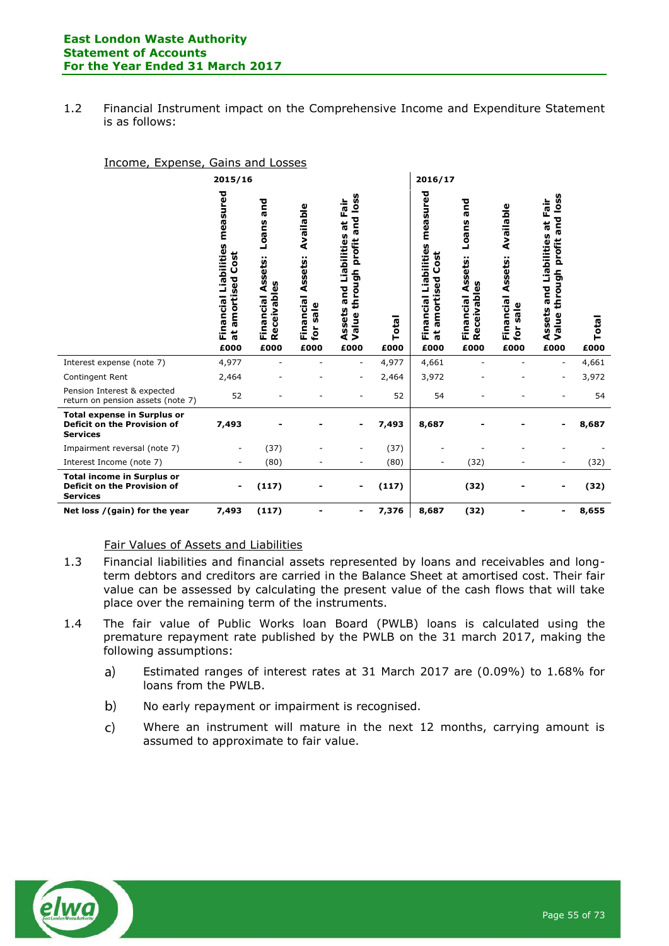1.2 Financial Instrument impact on the Comprehensive Income and Expenditure Statement is as follows:

#### Income, Expense, Gains and Losses

|                                                                                      | 2015/16                                                                     |                                                          |                                                                             |                                                                                              |               | 2016/17                                                                     |                                                                       |                                                                 |                                                                                              |               |
|--------------------------------------------------------------------------------------|-----------------------------------------------------------------------------|----------------------------------------------------------|-----------------------------------------------------------------------------|----------------------------------------------------------------------------------------------|---------------|-----------------------------------------------------------------------------|-----------------------------------------------------------------------|-----------------------------------------------------------------|----------------------------------------------------------------------------------------------|---------------|
|                                                                                      | measured<br>Financial Liabilities<br>Cost<br>amortised<br>$\vec{a}$<br>£000 | and<br>Loans<br>Financial Assets:<br>Receivables<br>£000 | Available<br><b>Financial Assets:</b><br>sale<br>$\mathbf{\dot{e}}$<br>£000 | loss<br>at Fair<br>and<br>Liabilities<br>profit<br>through<br>and<br>Assets<br>Value<br>£000 | Total<br>£000 | measured<br>Financial Liabilities<br>Cost<br>amortised<br>$\vec{a}$<br>£000 | and<br>Loans<br>Assets:<br>ceivables<br>Financial<br><b>Q</b><br>£000 | <b>Available</b><br>Assets:<br>Financial<br>sale<br>for<br>£000 | loss<br>at Fair<br>and<br>Liabilities<br>profit<br>through<br>and<br>Assets<br>Value<br>£000 | Total<br>£000 |
| Interest expense (note 7)                                                            | 4,977                                                                       |                                                          |                                                                             | ٠                                                                                            | 4,977         | 4,661                                                                       |                                                                       |                                                                 | $\overline{a}$                                                                               | 4,661         |
| Contingent Rent                                                                      | 2,464                                                                       |                                                          |                                                                             | ٠                                                                                            | 2,464         | 3,972                                                                       |                                                                       |                                                                 | ۰                                                                                            | 3,972         |
| Pension Interest & expected<br>return on pension assets (note 7)                     | 52                                                                          |                                                          |                                                                             |                                                                                              | 52            | 54                                                                          |                                                                       |                                                                 |                                                                                              | 54            |
| <b>Total expense in Surplus or</b><br>Deficit on the Provision of<br><b>Services</b> | 7,493                                                                       |                                                          |                                                                             | $\blacksquare$                                                                               | 7,493         | 8,687                                                                       |                                                                       |                                                                 |                                                                                              | 8,687         |
| Impairment reversal (note 7)                                                         | $\overline{\phantom{0}}$                                                    | (37)                                                     |                                                                             |                                                                                              | (37)          |                                                                             |                                                                       |                                                                 |                                                                                              |               |
| Interest Income (note 7)                                                             |                                                                             | (80)                                                     |                                                                             |                                                                                              | (80)          |                                                                             | (32)                                                                  |                                                                 | $\overline{\phantom{m}}$                                                                     | (32)          |
| <b>Total income in Surplus or</b><br>Deficit on the Provision of<br><b>Services</b>  |                                                                             | (117)                                                    |                                                                             |                                                                                              | (117)         |                                                                             | (32)                                                                  |                                                                 |                                                                                              | (32)          |
| Net loss / (gain) for the year                                                       | 7,493                                                                       | (117)                                                    |                                                                             | -                                                                                            | 7,376         | 8,687                                                                       | (32)                                                                  |                                                                 | -                                                                                            | 8,655         |

### Fair Values of Assets and Liabilities

- 1.3 Financial liabilities and financial assets represented by loans and receivables and longterm debtors and creditors are carried in the Balance Sheet at amortised cost. Their fair value can be assessed by calculating the present value of the cash flows that will take place over the remaining term of the instruments.
- 1.4 The fair value of Public Works loan Board (PWLB) loans is calculated using the premature repayment rate published by the PWLB on the 31 march 2017, making the following assumptions:
	- Estimated ranges of interest rates at 31 March 2017 are (0.09%) to 1.68% for  $a)$ loans from the PWLB.
	- $b)$ No early repayment or impairment is recognised.
	- $\mathsf{C}$ Where an instrument will mature in the next 12 months, carrying amount is assumed to approximate to fair value.

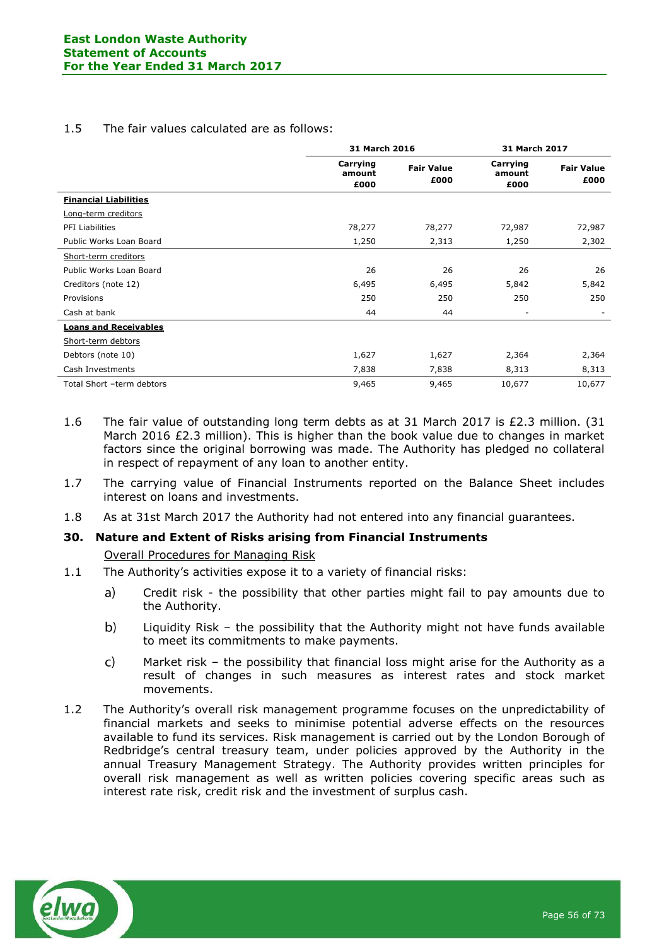# 1.5 The fair values calculated are as follows:

|                              | 31 March 2016              |                           | 31 March 2017              |                           |
|------------------------------|----------------------------|---------------------------|----------------------------|---------------------------|
|                              | Carrying<br>amount<br>£000 | <b>Fair Value</b><br>£000 | Carrying<br>amount<br>£000 | <b>Fair Value</b><br>£000 |
| <b>Financial Liabilities</b> |                            |                           |                            |                           |
| Long-term creditors          |                            |                           |                            |                           |
| <b>PFI Liabilities</b>       | 78,277                     | 78,277                    | 72,987                     | 72,987                    |
| Public Works Loan Board      | 1,250                      | 2,313                     | 1,250                      | 2,302                     |
| Short-term creditors         |                            |                           |                            |                           |
| Public Works Loan Board      | 26                         | 26                        | 26                         | 26                        |
| Creditors (note 12)          | 6,495                      | 6,495                     | 5,842                      | 5,842                     |
| Provisions                   | 250                        | 250                       | 250                        | 250                       |
| Cash at bank                 | 44                         | 44                        | $\overline{\phantom{m}}$   |                           |
| <b>Loans and Receivables</b> |                            |                           |                            |                           |
| Short-term debtors           |                            |                           |                            |                           |
| Debtors (note 10)            | 1,627                      | 1,627                     | 2,364                      | 2,364                     |
| Cash Investments             | 7,838                      | 7,838                     | 8,313                      | 8,313                     |
| Total Short -term debtors    | 9,465                      | 9,465                     | 10,677                     | 10,677                    |

- 1.6 The fair value of outstanding long term debts as at 31 March 2017 is £2.3 million. (31 March 2016 £2.3 million). This is higher than the book value due to changes in market factors since the original borrowing was made. The Authority has pledged no collateral in respect of repayment of any loan to another entity.
- 1.7 The carrying value of Financial Instruments reported on the Balance Sheet includes interest on loans and investments.
- 1.8 As at 31st March 2017 the Authority had not entered into any financial guarantees.

### **30. Nature and Extent of Risks arising from Financial Instruments**

Overall Procedures for Managing Risk

- 1.1 The Authority's activities expose it to a variety of financial risks:
	- a) Credit risk - the possibility that other parties might fail to pay amounts due to the Authority.
	- b) Liquidity Risk – the possibility that the Authority might not have funds available to meet its commitments to make payments.
	- $\mathsf{C}$ Market risk – the possibility that financial loss might arise for the Authority as a result of changes in such measures as interest rates and stock market movements.
- 1.2 The Authority's overall risk management programme focuses on the unpredictability of financial markets and seeks to minimise potential adverse effects on the resources available to fund its services. Risk management is carried out by the London Borough of Redbridge's central treasury team, under policies approved by the Authority in the annual Treasury Management Strategy. The Authority provides written principles for overall risk management as well as written policies covering specific areas such as interest rate risk, credit risk and the investment of surplus cash.

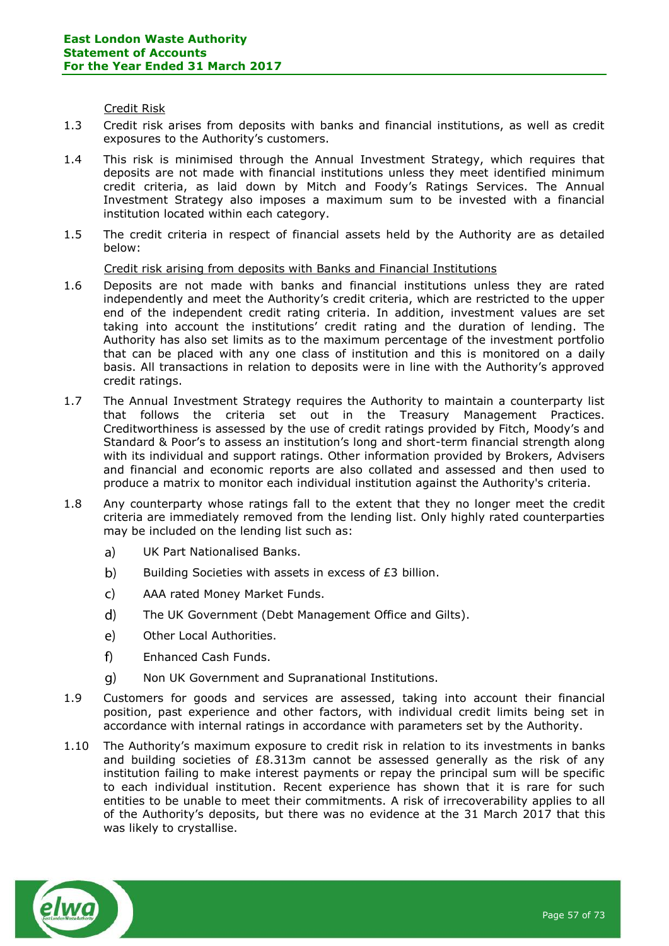Credit Risk

- 1.3 Credit risk arises from deposits with banks and financial institutions, as well as credit exposures to the Authority's customers.
- 1.4 This risk is minimised through the Annual Investment Strategy, which requires that deposits are not made with financial institutions unless they meet identified minimum credit criteria, as laid down by Mitch and Foody's Ratings Services. The Annual Investment Strategy also imposes a maximum sum to be invested with a financial institution located within each category.
- 1.5 The credit criteria in respect of financial assets held by the Authority are as detailed below:

### Credit risk arising from deposits with Banks and Financial Institutions

- 1.6 Deposits are not made with banks and financial institutions unless they are rated independently and meet the Authority's credit criteria, which are restricted to the upper end of the independent credit rating criteria. In addition, investment values are set taking into account the institutions' credit rating and the duration of lending. The Authority has also set limits as to the maximum percentage of the investment portfolio that can be placed with any one class of institution and this is monitored on a daily basis. All transactions in relation to deposits were in line with the Authority's approved credit ratings.
- 1.7 The Annual Investment Strategy requires the Authority to maintain a counterparty list that follows the criteria set out in the Treasury Management Practices. Creditworthiness is assessed by the use of credit ratings provided by Fitch, Moody's and Standard & Poor's to assess an institution's long and short-term financial strength along with its individual and support ratings. Other information provided by Brokers, Advisers and financial and economic reports are also collated and assessed and then used to produce a matrix to monitor each individual institution against the Authority's criteria.
- 1.8 Any counterparty whose ratings fall to the extent that they no longer meet the credit criteria are immediately removed from the lending list. Only highly rated counterparties may be included on the lending list such as:
	- $a)$ UK Part Nationalised Banks.
	- $\mathbf{b}$ Building Societies with assets in excess of £3 billion.
	- $\mathsf{C}$ AAA rated Money Market Funds.
	- $\mathbf{d}$ The UK Government (Debt Management Office and Gilts).
	- $\epsilon$ ) Other Local Authorities.
	- $f$ Enhanced Cash Funds.
	- $\mathbf{q}$ Non UK Government and Supranational Institutions.
- 1.9 Customers for goods and services are assessed, taking into account their financial position, past experience and other factors, with individual credit limits being set in accordance with internal ratings in accordance with parameters set by the Authority.
- 1.10 The Authority's maximum exposure to credit risk in relation to its investments in banks and building societies of  $E8.313m$  cannot be assessed generally as the risk of any institution failing to make interest payments or repay the principal sum will be specific to each individual institution. Recent experience has shown that it is rare for such entities to be unable to meet their commitments. A risk of irrecoverability applies to all of the Authority's deposits, but there was no evidence at the 31 March 2017 that this was likely to crystallise.

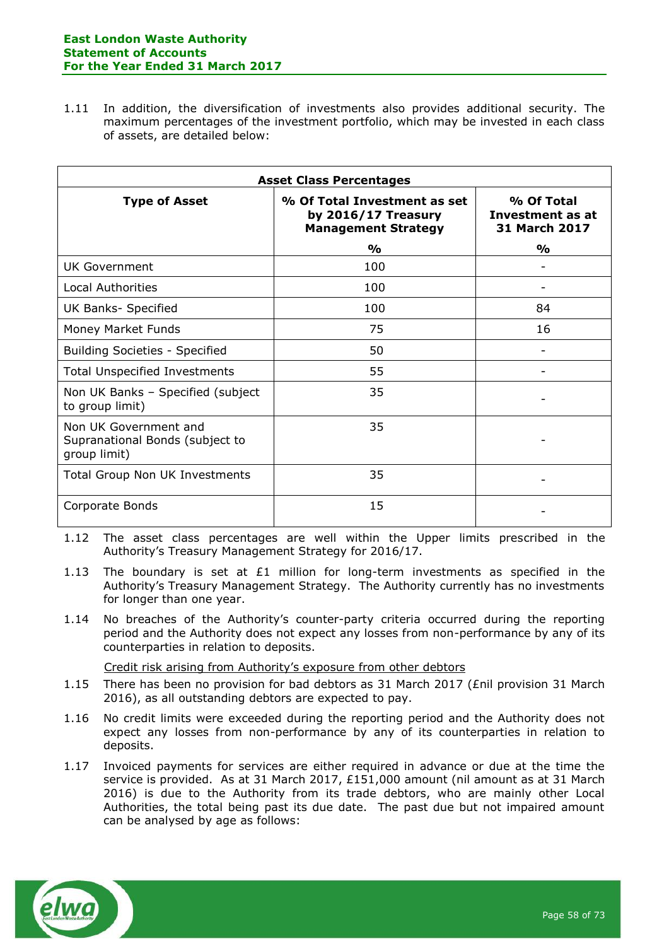1.11 In addition, the diversification of investments also provides additional security. The maximum percentages of the investment portfolio, which may be invested in each class of assets, are detailed below:

| <b>Asset Class Percentages</b>                                           |                                                                                   |                                                        |  |  |  |
|--------------------------------------------------------------------------|-----------------------------------------------------------------------------------|--------------------------------------------------------|--|--|--|
| <b>Type of Asset</b>                                                     | % Of Total Investment as set<br>by 2016/17 Treasury<br><b>Management Strategy</b> | % Of Total<br>Investment as at<br><b>31 March 2017</b> |  |  |  |
|                                                                          | $\frac{0}{0}$                                                                     | $\frac{0}{0}$                                          |  |  |  |
| <b>UK Government</b>                                                     | 100                                                                               |                                                        |  |  |  |
| <b>Local Authorities</b>                                                 | 100                                                                               |                                                        |  |  |  |
| UK Banks- Specified                                                      | 100                                                                               | 84                                                     |  |  |  |
| Money Market Funds                                                       | 75                                                                                | 16                                                     |  |  |  |
| <b>Building Societies - Specified</b>                                    | 50                                                                                |                                                        |  |  |  |
| <b>Total Unspecified Investments</b>                                     | 55                                                                                |                                                        |  |  |  |
| Non UK Banks - Specified (subject<br>to group limit)                     | 35                                                                                |                                                        |  |  |  |
| Non UK Government and<br>Supranational Bonds (subject to<br>group limit) | 35                                                                                |                                                        |  |  |  |
| <b>Total Group Non UK Investments</b>                                    | 35                                                                                |                                                        |  |  |  |
| Corporate Bonds                                                          | 15                                                                                |                                                        |  |  |  |

- 1.12 The asset class percentages are well within the Upper limits prescribed in the Authority's Treasury Management Strategy for 2016/17.
- 1.13 The boundary is set at  $E1$  million for long-term investments as specified in the Authority's Treasury Management Strategy. The Authority currently has no investments for longer than one year.
- 1.14 No breaches of the Authority's counter-party criteria occurred during the reporting period and the Authority does not expect any losses from non-performance by any of its counterparties in relation to deposits.

Credit risk arising from Authority's exposure from other debtors

- 1.15 There has been no provision for bad debtors as 31 March 2017 (£nil provision 31 March 2016), as all outstanding debtors are expected to pay.
- 1.16 No credit limits were exceeded during the reporting period and the Authority does not expect any losses from non-performance by any of its counterparties in relation to deposits.
- 1.17 Invoiced payments for services are either required in advance or due at the time the service is provided. As at 31 March 2017, £151,000 amount (nil amount as at 31 March 2016) is due to the Authority from its trade debtors, who are mainly other Local Authorities, the total being past its due date. The past due but not impaired amount can be analysed by age as follows:

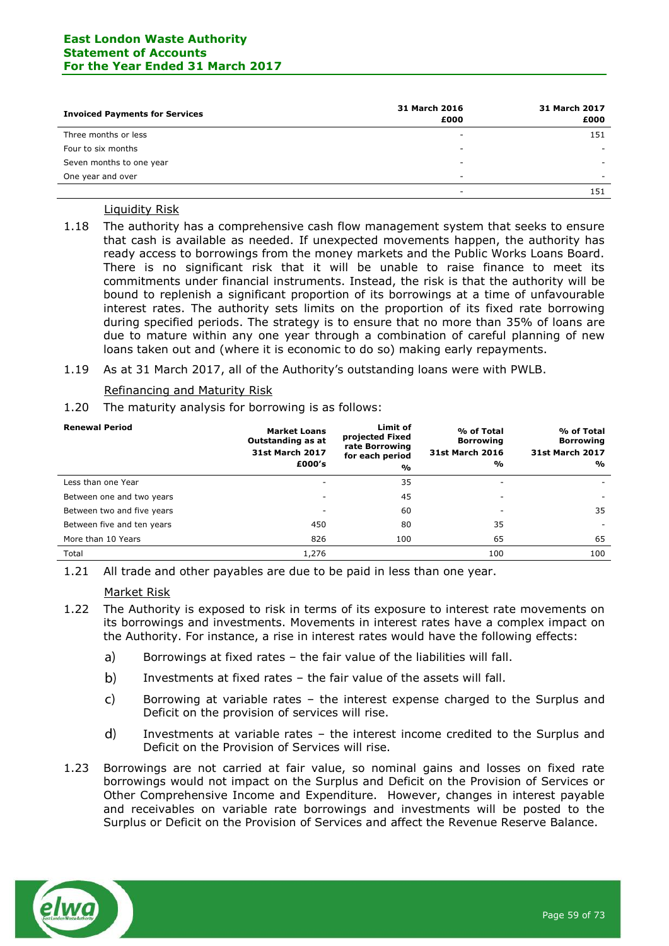#### **East London Waste Authority Statement of Accounts For the Year Ended 31 March 2017**

| <b>Invoiced Payments for Services</b> | 31 March 2016<br>£000    | 31 March 2017<br>£000 |
|---------------------------------------|--------------------------|-----------------------|
| Three months or less                  | $\overline{\phantom{a}}$ | 151                   |
| Four to six months                    | $\overline{\phantom{a}}$ |                       |
| Seven months to one year              | $\overline{\phantom{a}}$ | -                     |
| One year and over                     | $\overline{\phantom{a}}$ |                       |
|                                       | $\overline{\phantom{a}}$ | 151                   |

### Liquidity Risk

1.18 The authority has a comprehensive cash flow management system that seeks to ensure that cash is available as needed. If unexpected movements happen, the authority has ready access to borrowings from the money markets and the Public Works Loans Board. There is no significant risk that it will be unable to raise finance to meet its commitments under financial instruments. Instead, the risk is that the authority will be bound to replenish a significant proportion of its borrowings at a time of unfavourable interest rates. The authority sets limits on the proportion of its fixed rate borrowing during specified periods. The strategy is to ensure that no more than 35% of loans are due to mature within any one year through a combination of careful planning of new loans taken out and (where it is economic to do so) making early repayments.

#### 1.19 As at 31 March 2017, all of the Authority's outstanding loans were with PWLB.

#### Refinancing and Maturity Risk

1.20 The maturity analysis for borrowing is as follows:

| <b>Renewal Period</b>      | <b>Market Loans</b><br>Outstanding as at<br><b>31st March 2017</b><br>£000's | Limit of<br>projected Fixed<br>rate Borrowing<br>for each period<br>% | % of Total<br><b>Borrowing</b><br><b>31st March 2016</b><br>$\frac{1}{2}$ | % of Total<br><b>Borrowing</b><br><b>31st March 2017</b><br>% |
|----------------------------|------------------------------------------------------------------------------|-----------------------------------------------------------------------|---------------------------------------------------------------------------|---------------------------------------------------------------|
| Less than one Year         |                                                                              | 35                                                                    |                                                                           |                                                               |
| Between one and two years  |                                                                              | 45                                                                    |                                                                           |                                                               |
| Between two and five years | ۰                                                                            | 60                                                                    | ۰                                                                         | 35                                                            |
| Between five and ten years | 450                                                                          | 80                                                                    | 35                                                                        |                                                               |
| More than 10 Years         | 826                                                                          | 100                                                                   | 65                                                                        | 65                                                            |
| Total                      | 1,276                                                                        |                                                                       | 100                                                                       | 100                                                           |

1.21 All trade and other payables are due to be paid in less than one year.

#### Market Risk

- 1.22 The Authority is exposed to risk in terms of its exposure to interest rate movements on its borrowings and investments. Movements in interest rates have a complex impact on the Authority. For instance, a rise in interest rates would have the following effects:
	- $a)$ Borrowings at fixed rates – the fair value of the liabilities will fall.
	- $b)$ Investments at fixed rates – the fair value of the assets will fall.
	- $\mathsf{C}$ Borrowing at variable rates – the interest expense charged to the Surplus and Deficit on the provision of services will rise.
	- $d)$ Investments at variable rates – the interest income credited to the Surplus and Deficit on the Provision of Services will rise.
- 1.23 Borrowings are not carried at fair value, so nominal gains and losses on fixed rate borrowings would not impact on the Surplus and Deficit on the Provision of Services or Other Comprehensive Income and Expenditure. However, changes in interest payable and receivables on variable rate borrowings and investments will be posted to the Surplus or Deficit on the Provision of Services and affect the Revenue Reserve Balance.

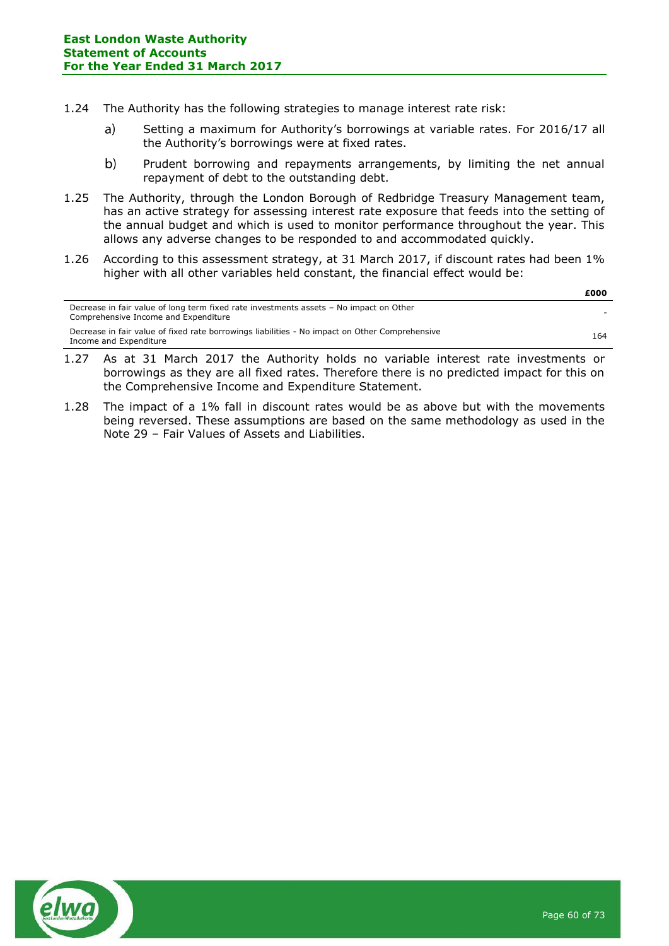- 1.24 The Authority has the following strategies to manage interest rate risk:
	- Setting a maximum for Authority's borrowings at variable rates. For 2016/17 all  $a)$ the Authority's borrowings were at fixed rates.
	- $b)$ Prudent borrowing and repayments arrangements, by limiting the net annual repayment of debt to the outstanding debt.
- 1.25 The Authority, through the London Borough of Redbridge Treasury Management team, has an active strategy for assessing interest rate exposure that feeds into the setting of the annual budget and which is used to monitor performance throughout the year. This allows any adverse changes to be responded to and accommodated quickly.
- 1.26 According to this assessment strategy, at 31 March 2017, if discount rates had been 1% higher with all other variables held constant, the financial effect would be:

|                                                                                                                                | ----- |
|--------------------------------------------------------------------------------------------------------------------------------|-------|
| Decrease in fair value of long term fixed rate investments assets - No impact on Other<br>Comprehensive Income and Expenditure |       |
| Decrease in fair value of fixed rate borrowings liabilities - No impact on Other Comprehensive<br>Income and Expenditure       | 164   |

- 1.27 As at 31 March 2017 the Authority holds no variable interest rate investments or borrowings as they are all fixed rates. Therefore there is no predicted impact for this on the Comprehensive Income and Expenditure Statement.
- 1.28 The impact of a 1% fall in discount rates would be as above but with the movements being reversed. These assumptions are based on the same methodology as used in the Note 29 – Fair Values of Assets and Liabilities.



**£000**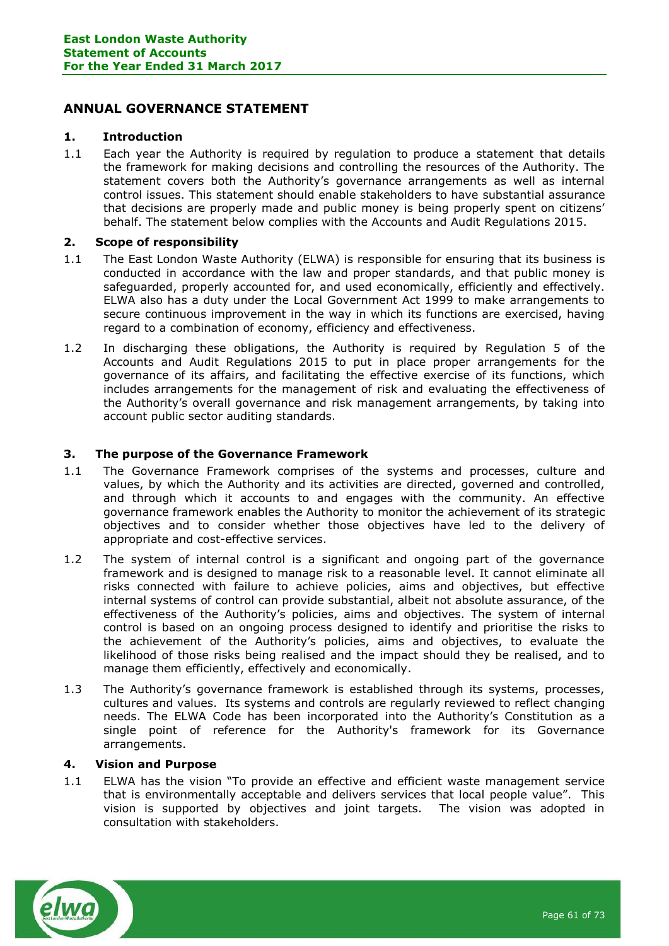# **ANNUAL GOVERNANCE STATEMENT**

### **1. Introduction**

1.1 Each year the Authority is required by regulation to produce a statement that details the framework for making decisions and controlling the resources of the Authority. The statement covers both the Authority's governance arrangements as well as internal control issues. This statement should enable stakeholders to have substantial assurance that decisions are properly made and public money is being properly spent on citizens' behalf. The statement below complies with the Accounts and Audit Regulations 2015.

### **2. Scope of responsibility**

- 1.1 The East London Waste Authority (ELWA) is responsible for ensuring that its business is conducted in accordance with the law and proper standards, and that public money is safeguarded, properly accounted for, and used economically, efficiently and effectively. ELWA also has a duty under the Local Government Act 1999 to make arrangements to secure continuous improvement in the way in which its functions are exercised, having regard to a combination of economy, efficiency and effectiveness.
- 1.2 In discharging these obligations, the Authority is required by Regulation 5 of the Accounts and Audit Regulations 2015 to put in place proper arrangements for the governance of its affairs, and facilitating the effective exercise of its functions, which includes arrangements for the management of risk and evaluating the effectiveness of the Authority's overall governance and risk management arrangements, by taking into account public sector auditing standards.

### **3. The purpose of the Governance Framework**

- 1.1 The Governance Framework comprises of the systems and processes, culture and values, by which the Authority and its activities are directed, governed and controlled, and through which it accounts to and engages with the community. An effective governance framework enables the Authority to monitor the achievement of its strategic objectives and to consider whether those objectives have led to the delivery of appropriate and cost-effective services.
- 1.2 The system of internal control is a significant and ongoing part of the governance framework and is designed to manage risk to a reasonable level. It cannot eliminate all risks connected with failure to achieve policies, aims and objectives, but effective internal systems of control can provide substantial, albeit not absolute assurance, of the effectiveness of the Authority's policies, aims and objectives. The system of internal control is based on an ongoing process designed to identify and prioritise the risks to the achievement of the Authority's policies, aims and objectives, to evaluate the likelihood of those risks being realised and the impact should they be realised, and to manage them efficiently, effectively and economically.
- 1.3 The Authority's governance framework is established through its systems, processes, cultures and values. Its systems and controls are regularly reviewed to reflect changing needs. The ELWA Code has been incorporated into the Authority's Constitution as a single point of reference for the Authority's framework for its Governance arrangements.

### **4. Vision and Purpose**

1.1 ELWA has the vision "To provide an effective and efficient waste management service that is environmentally acceptable and delivers services that local people value". This vision is supported by objectives and joint targets. The vision was adopted in consultation with stakeholders.

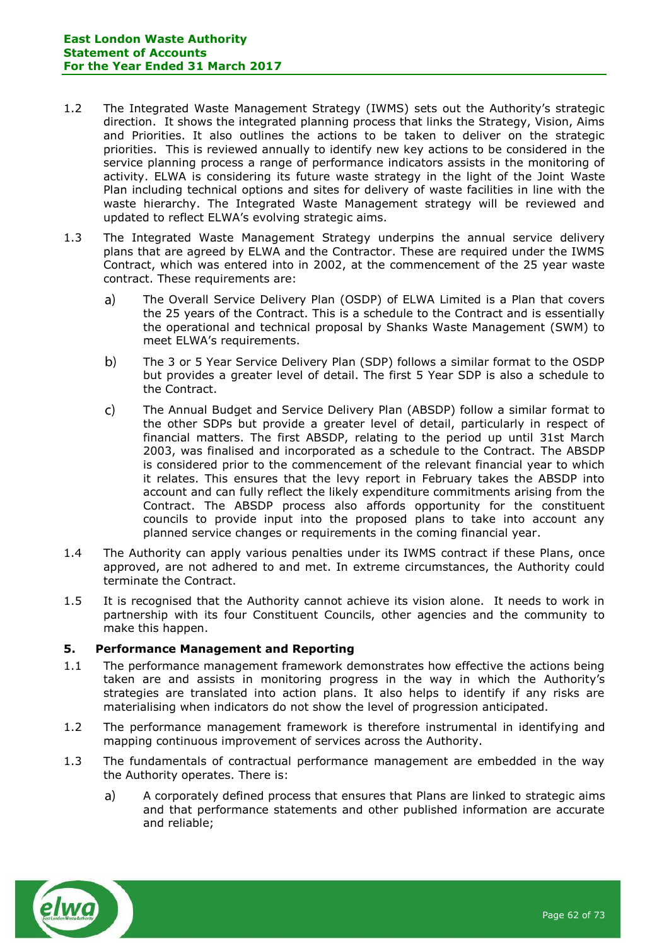- 1.2 The Integrated Waste Management Strategy (IWMS) sets out the Authority's strategic direction. It shows the integrated planning process that links the Strategy, Vision, Aims and Priorities. It also outlines the actions to be taken to deliver on the strategic priorities. This is reviewed annually to identify new key actions to be considered in the service planning process a range of performance indicators assists in the monitoring of activity. ELWA is considering its future waste strategy in the light of the Joint Waste Plan including technical options and sites for delivery of waste facilities in line with the waste hierarchy. The Integrated Waste Management strategy will be reviewed and updated to reflect ELWA's evolving strategic aims.
- 1.3 The Integrated Waste Management Strategy underpins the annual service delivery plans that are agreed by ELWA and the Contractor. These are required under the IWMS Contract, which was entered into in 2002, at the commencement of the 25 year waste contract. These requirements are:
	- $a)$ The Overall Service Delivery Plan (OSDP) of ELWA Limited is a Plan that covers the 25 years of the Contract. This is a schedule to the Contract and is essentially the operational and technical proposal by Shanks Waste Management (SWM) to meet ELWA's requirements.
	- $b)$ The 3 or 5 Year Service Delivery Plan (SDP) follows a similar format to the OSDP but provides a greater level of detail. The first 5 Year SDP is also a schedule to the Contract.
	- $\mathsf{C}$ The Annual Budget and Service Delivery Plan (ABSDP) follow a similar format to the other SDPs but provide a greater level of detail, particularly in respect of financial matters. The first ABSDP, relating to the period up until 31st March 2003, was finalised and incorporated as a schedule to the Contract. The ABSDP is considered prior to the commencement of the relevant financial year to which it relates. This ensures that the levy report in February takes the ABSDP into account and can fully reflect the likely expenditure commitments arising from the Contract. The ABSDP process also affords opportunity for the constituent councils to provide input into the proposed plans to take into account any planned service changes or requirements in the coming financial year.
- 1.4 The Authority can apply various penalties under its IWMS contract if these Plans, once approved, are not adhered to and met. In extreme circumstances, the Authority could terminate the Contract.
- 1.5 It is recognised that the Authority cannot achieve its vision alone. It needs to work in partnership with its four Constituent Councils, other agencies and the community to make this happen.

### **5. Performance Management and Reporting**

- 1.1 The performance management framework demonstrates how effective the actions being taken are and assists in monitoring progress in the way in which the Authority's strategies are translated into action plans. It also helps to identify if any risks are materialising when indicators do not show the level of progression anticipated.
- 1.2 The performance management framework is therefore instrumental in identifying and mapping continuous improvement of services across the Authority.
- 1.3 The fundamentals of contractual performance management are embedded in the way the Authority operates. There is:
	- $\mathsf{a}$ A corporately defined process that ensures that Plans are linked to strategic aims and that performance statements and other published information are accurate and reliable;

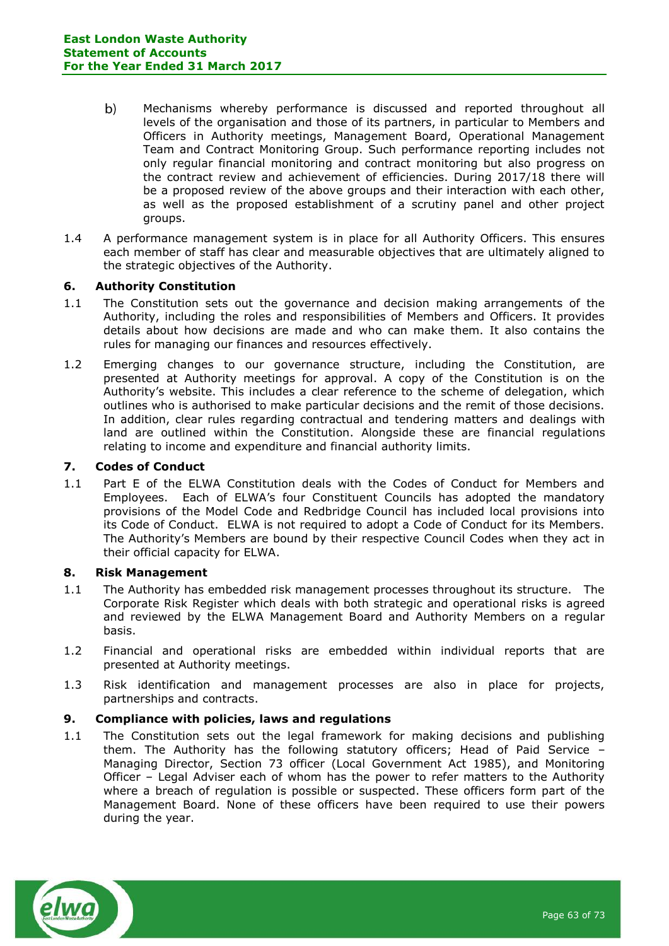- $b)$ Mechanisms whereby performance is discussed and reported throughout all levels of the organisation and those of its partners, in particular to Members and Officers in Authority meetings, Management Board, Operational Management Team and Contract Monitoring Group. Such performance reporting includes not only regular financial monitoring and contract monitoring but also progress on the contract review and achievement of efficiencies. During 2017/18 there will be a proposed review of the above groups and their interaction with each other, as well as the proposed establishment of a scrutiny panel and other project groups.
- 1.4 A performance management system is in place for all Authority Officers. This ensures each member of staff has clear and measurable objectives that are ultimately aligned to the strategic objectives of the Authority.

### **6. Authority Constitution**

- 1.1 The Constitution sets out the governance and decision making arrangements of the Authority, including the roles and responsibilities of Members and Officers. It provides details about how decisions are made and who can make them. It also contains the rules for managing our finances and resources effectively.
- 1.2 Emerging changes to our governance structure, including the Constitution, are presented at Authority meetings for approval. A copy of the Constitution is on the Authority's website. This includes a clear reference to the scheme of delegation, which outlines who is authorised to make particular decisions and the remit of those decisions. In addition, clear rules regarding contractual and tendering matters and dealings with land are outlined within the Constitution. Alongside these are financial regulations relating to income and expenditure and financial authority limits.

### **7. Codes of Conduct**

1.1 Part E of the ELWA Constitution deals with the Codes of Conduct for Members and Employees. Each of ELWA's four Constituent Councils has adopted the mandatory provisions of the Model Code and Redbridge Council has included local provisions into its Code of Conduct. ELWA is not required to adopt a Code of Conduct for its Members. The Authority's Members are bound by their respective Council Codes when they act in their official capacity for ELWA.

# **8. Risk Management**

- 1.1 The Authority has embedded risk management processes throughout its structure. The Corporate Risk Register which deals with both strategic and operational risks is agreed and reviewed by the ELWA Management Board and Authority Members on a regular basis.
- 1.2 Financial and operational risks are embedded within individual reports that are presented at Authority meetings.
- 1.3 Risk identification and management processes are also in place for projects, partnerships and contracts.

### **9. Compliance with policies, laws and regulations**

1.1 The Constitution sets out the legal framework for making decisions and publishing them. The Authority has the following statutory officers; Head of Paid Service – Managing Director, Section 73 officer (Local Government Act 1985), and Monitoring Officer – Legal Adviser each of whom has the power to refer matters to the Authority where a breach of regulation is possible or suspected. These officers form part of the Management Board. None of these officers have been required to use their powers during the year.

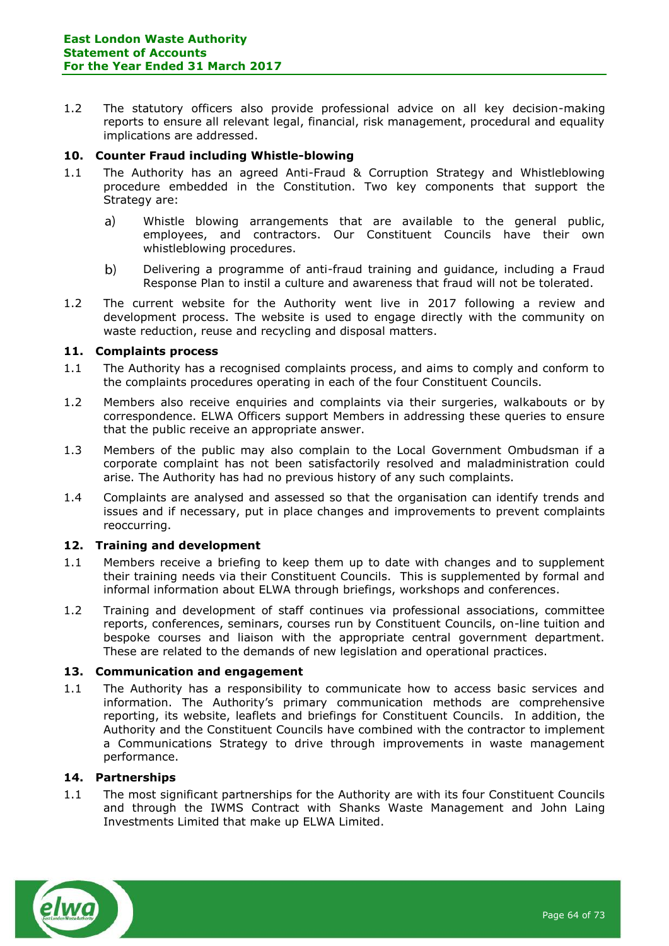1.2 The statutory officers also provide professional advice on all key decision-making reports to ensure all relevant legal, financial, risk management, procedural and equality implications are addressed.

### **10. Counter Fraud including Whistle-blowing**

- 1.1 The Authority has an agreed Anti-Fraud & Corruption Strategy and Whistleblowing procedure embedded in the Constitution. Two key components that support the Strategy are:
	- $a)$ Whistle blowing arrangements that are available to the general public, employees, and contractors. Our Constituent Councils have their own whistleblowing procedures.
	- $b)$ Delivering a programme of anti-fraud training and guidance, including a Fraud Response Plan to instil a culture and awareness that fraud will not be tolerated.
- 1.2 The current website for the Authority went live in 2017 following a review and development process. The website is used to engage directly with the community on waste reduction, reuse and recycling and disposal matters.

### **11. Complaints process**

- 1.1 The Authority has a recognised complaints process, and aims to comply and conform to the complaints procedures operating in each of the four Constituent Councils.
- 1.2 Members also receive enquiries and complaints via their surgeries, walkabouts or by correspondence. ELWA Officers support Members in addressing these queries to ensure that the public receive an appropriate answer.
- 1.3 Members of the public may also complain to the Local Government Ombudsman if a corporate complaint has not been satisfactorily resolved and maladministration could arise. The Authority has had no previous history of any such complaints.
- 1.4 Complaints are analysed and assessed so that the organisation can identify trends and issues and if necessary, put in place changes and improvements to prevent complaints reoccurring.

### **12. Training and development**

- 1.1 Members receive a briefing to keep them up to date with changes and to supplement their training needs via their Constituent Councils. This is supplemented by formal and informal information about ELWA through briefings, workshops and conferences.
- 1.2 Training and development of staff continues via professional associations, committee reports, conferences, seminars, courses run by Constituent Councils, on-line tuition and bespoke courses and liaison with the appropriate central government department. These are related to the demands of new legislation and operational practices.

### **13. Communication and engagement**

1.1 The Authority has a responsibility to communicate how to access basic services and information. The Authority's primary communication methods are comprehensive reporting, its website, leaflets and briefings for Constituent Councils. In addition, the Authority and the Constituent Councils have combined with the contractor to implement a Communications Strategy to drive through improvements in waste management performance.

### **14. Partnerships**

1.1 The most significant partnerships for the Authority are with its four Constituent Councils and through the IWMS Contract with Shanks Waste Management and John Laing Investments Limited that make up ELWA Limited.

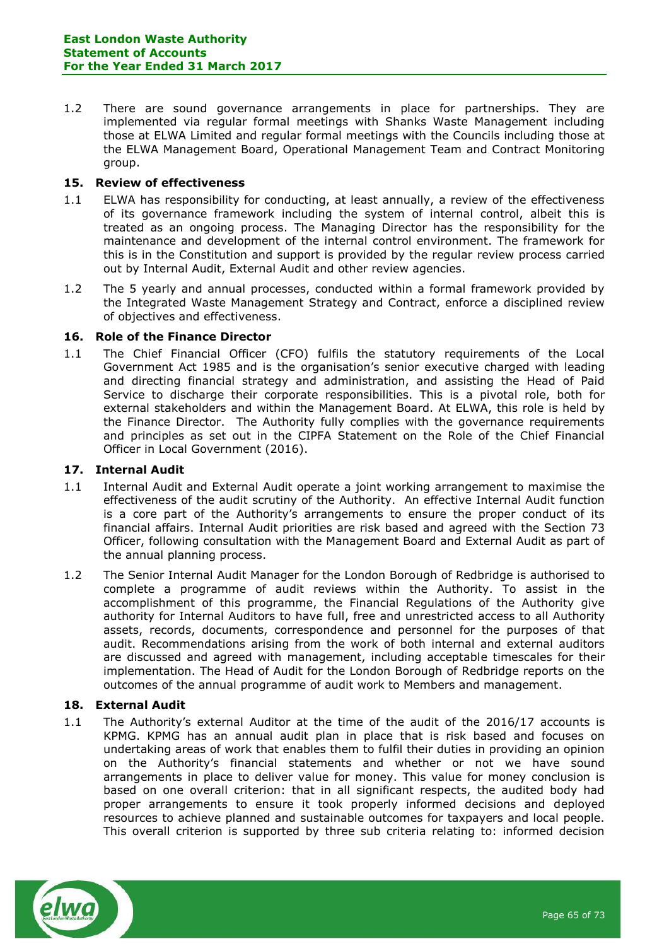1.2 There are sound governance arrangements in place for partnerships. They are implemented via regular formal meetings with Shanks Waste Management including those at ELWA Limited and regular formal meetings with the Councils including those at the ELWA Management Board, Operational Management Team and Contract Monitoring group.

### **15. Review of effectiveness**

- 1.1 ELWA has responsibility for conducting, at least annually, a review of the effectiveness of its governance framework including the system of internal control, albeit this is treated as an ongoing process. The Managing Director has the responsibility for the maintenance and development of the internal control environment. The framework for this is in the Constitution and support is provided by the regular review process carried out by Internal Audit, External Audit and other review agencies.
- 1.2 The 5 yearly and annual processes, conducted within a formal framework provided by the Integrated Waste Management Strategy and Contract, enforce a disciplined review of objectives and effectiveness.

#### **16. Role of the Finance Director**

1.1 The Chief Financial Officer (CFO) fulfils the statutory requirements of the Local Government Act 1985 and is the organisation's senior executive charged with leading and directing financial strategy and administration, and assisting the Head of Paid Service to discharge their corporate responsibilities. This is a pivotal role, both for external stakeholders and within the Management Board. At ELWA, this role is held by the Finance Director. The Authority fully complies with the governance requirements and principles as set out in the CIPFA Statement on the Role of the Chief Financial Officer in Local Government (2016).

#### **17. Internal Audit**

- 1.1 Internal Audit and External Audit operate a joint working arrangement to maximise the effectiveness of the audit scrutiny of the Authority. An effective Internal Audit function is a core part of the Authority's arrangements to ensure the proper conduct of its financial affairs. Internal Audit priorities are risk based and agreed with the Section 73 Officer, following consultation with the Management Board and External Audit as part of the annual planning process.
- 1.2 The Senior Internal Audit Manager for the London Borough of Redbridge is authorised to complete a programme of audit reviews within the Authority. To assist in the accomplishment of this programme, the Financial Regulations of the Authority give authority for Internal Auditors to have full, free and unrestricted access to all Authority assets, records, documents, correspondence and personnel for the purposes of that audit. Recommendations arising from the work of both internal and external auditors are discussed and agreed with management, including acceptable timescales for their implementation. The Head of Audit for the London Borough of Redbridge reports on the outcomes of the annual programme of audit work to Members and management.

#### **18. External Audit**

1.1 The Authority's external Auditor at the time of the audit of the 2016/17 accounts is KPMG. KPMG has an annual audit plan in place that is risk based and focuses on undertaking areas of work that enables them to fulfil their duties in providing an opinion on the Authority's financial statements and whether or not we have sound arrangements in place to deliver value for money. This value for money conclusion is based on one overall criterion: that in all significant respects, the audited body had proper arrangements to ensure it took properly informed decisions and deployed resources to achieve planned and sustainable outcomes for taxpayers and local people. This overall criterion is supported by three sub criteria relating to: informed decision

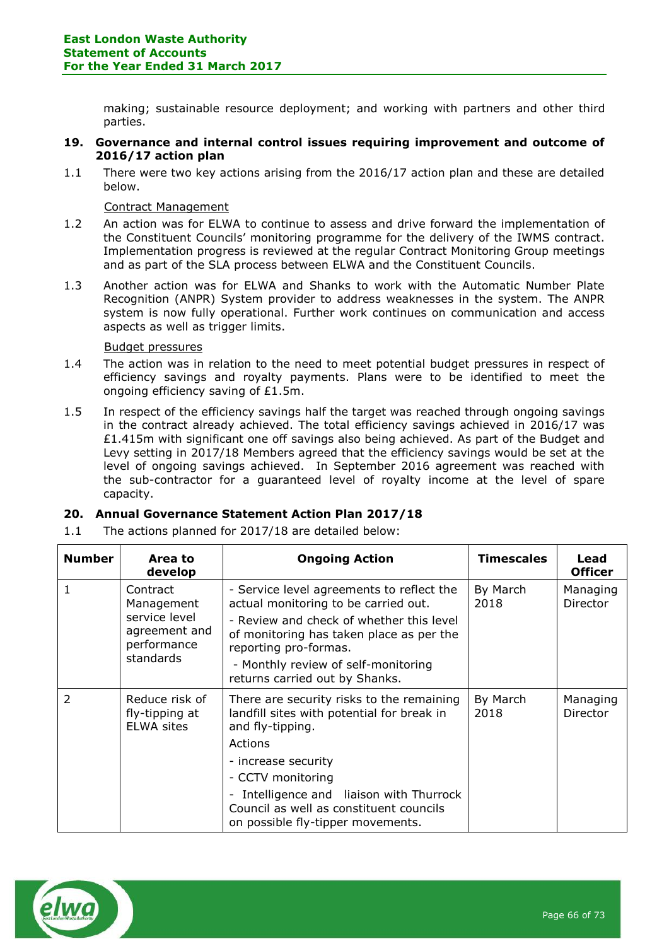making; sustainable resource deployment; and working with partners and other third parties.

- **19. Governance and internal control issues requiring improvement and outcome of 2016/17 action plan**
- 1.1 There were two key actions arising from the 2016/17 action plan and these are detailed below.

### Contract Management

- 1.2 An action was for ELWA to continue to assess and drive forward the implementation of the Constituent Councils' monitoring programme for the delivery of the IWMS contract. Implementation progress is reviewed at the regular Contract Monitoring Group meetings and as part of the SLA process between ELWA and the Constituent Councils.
- 1.3 Another action was for ELWA and Shanks to work with the Automatic Number Plate Recognition (ANPR) System provider to address weaknesses in the system. The ANPR system is now fully operational. Further work continues on communication and access aspects as well as trigger limits.

#### Budget pressures

- 1.4 The action was in relation to the need to meet potential budget pressures in respect of efficiency savings and royalty payments. Plans were to be identified to meet the ongoing efficiency saving of £1.5m.
- 1.5 In respect of the efficiency savings half the target was reached through ongoing savings in the contract already achieved. The total efficiency savings achieved in 2016/17 was  $£1.415m$  with significant one off savings also being achieved. As part of the Budget and Levy setting in 2017/18 Members agreed that the efficiency savings would be set at the level of ongoing savings achieved. In September 2016 agreement was reached with the sub-contractor for a guaranteed level of royalty income at the level of spare capacity.

### **20. Annual Governance Statement Action Plan 2017/18**

1.1 The actions planned for 2017/18 are detailed below:

| <b>Number</b> | Area to<br>develop                                                                   | <b>Ongoing Action</b>                                                                                                                                                                                                                                                                        | <b>Timescales</b> | Lead<br><b>Officer</b> |
|---------------|--------------------------------------------------------------------------------------|----------------------------------------------------------------------------------------------------------------------------------------------------------------------------------------------------------------------------------------------------------------------------------------------|-------------------|------------------------|
|               | Contract<br>Management<br>service level<br>agreement and<br>performance<br>standards | - Service level agreements to reflect the<br>actual monitoring to be carried out.<br>- Review and check of whether this level<br>of monitoring has taken place as per the<br>reporting pro-formas.<br>- Monthly review of self-monitoring<br>returns carried out by Shanks.                  | By March<br>2018  | Managing<br>Director   |
| $\mathcal{P}$ | Reduce risk of<br>fly-tipping at<br><b>ELWA sites</b>                                | There are security risks to the remaining<br>landfill sites with potential for break in<br>and fly-tipping.<br>Actions<br>- increase security<br>- CCTV monitoring<br>Intelligence and liaison with Thurrock<br>Council as well as constituent councils<br>on possible fly-tipper movements. | By March<br>2018  | Managing<br>Director   |

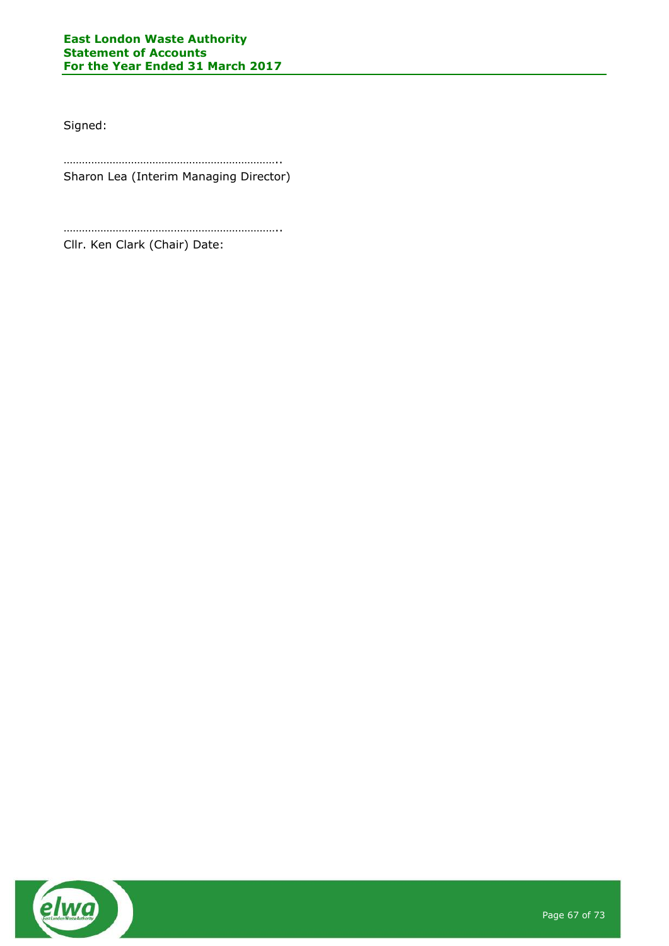Signed:

…………………………………………………………….. Sharon Lea (Interim Managing Director)

……………………………………………………………..

Cllr. Ken Clark (Chair) Date:

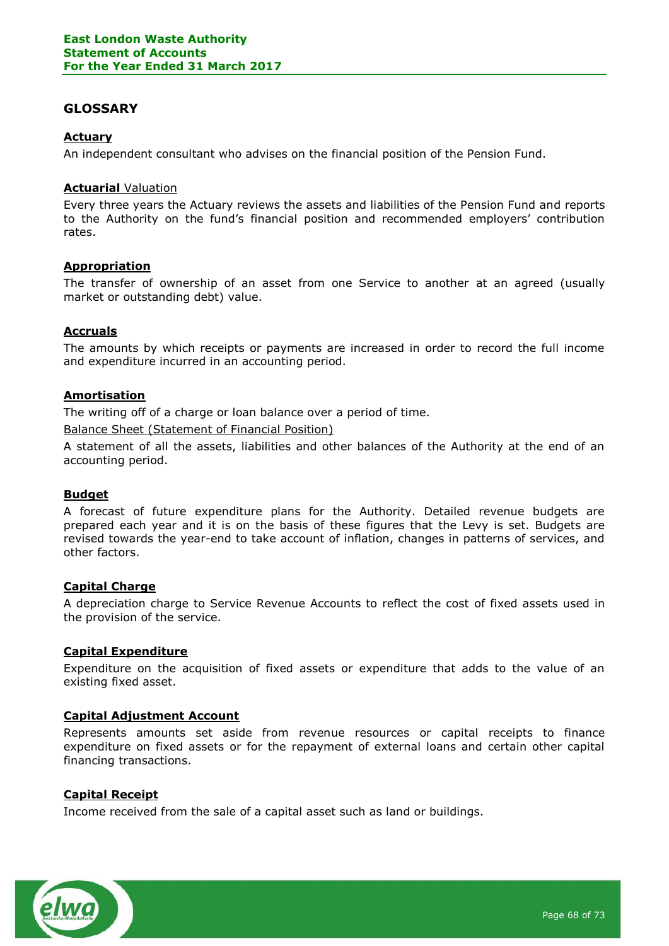# **GLOSSARY**

# **Actuary**

An independent consultant who advises on the financial position of the Pension Fund.

#### **Actuarial** Valuation

Every three years the Actuary reviews the assets and liabilities of the Pension Fund and reports to the Authority on the fund's financial position and recommended employers' contribution rates.

### **Appropriation**

The transfer of ownership of an asset from one Service to another at an agreed (usually market or outstanding debt) value.

### **Accruals**

The amounts by which receipts or payments are increased in order to record the full income and expenditure incurred in an accounting period.

#### **Amortisation**

The writing off of a charge or loan balance over a period of time.

Balance Sheet (Statement of Financial Position)

A statement of all the assets, liabilities and other balances of the Authority at the end of an accounting period.

### **Budget**

A forecast of future expenditure plans for the Authority. Detailed revenue budgets are prepared each year and it is on the basis of these figures that the Levy is set. Budgets are revised towards the year-end to take account of inflation, changes in patterns of services, and other factors.

### **Capital Charge**

A depreciation charge to Service Revenue Accounts to reflect the cost of fixed assets used in the provision of the service.

### **Capital Expenditure**

Expenditure on the acquisition of fixed assets or expenditure that adds to the value of an existing fixed asset.

### **Capital Adjustment Account**

Represents amounts set aside from revenue resources or capital receipts to finance expenditure on fixed assets or for the repayment of external loans and certain other capital financing transactions.

### **Capital Receipt**

Income received from the sale of a capital asset such as land or buildings.

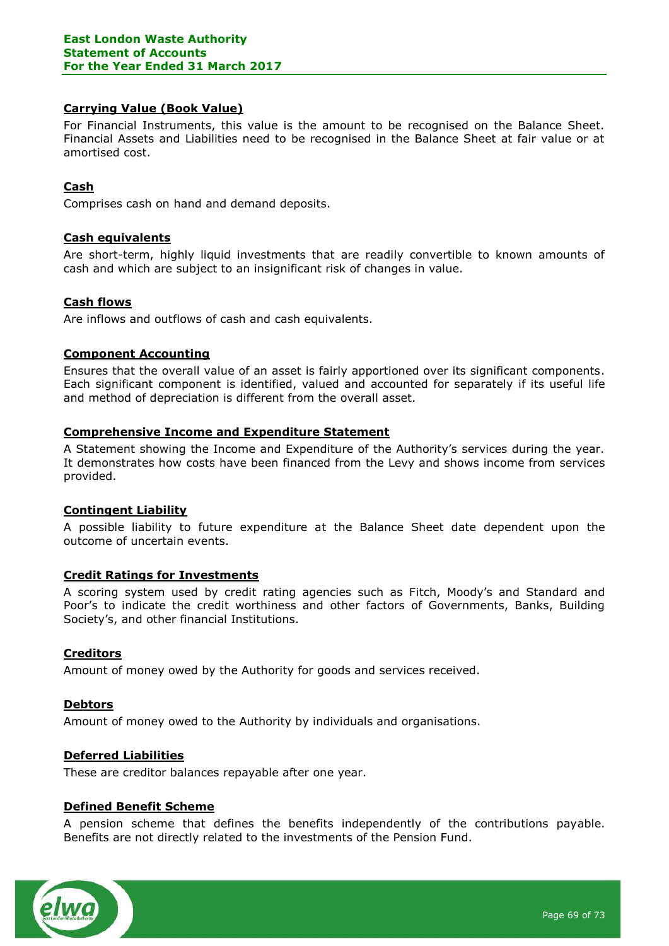### **Carrying Value (Book Value)**

For Financial Instruments, this value is the amount to be recognised on the Balance Sheet. Financial Assets and Liabilities need to be recognised in the Balance Sheet at fair value or at amortised cost.

### **Cash**

Comprises cash on hand and demand deposits.

### **Cash equivalents**

Are short-term, highly liquid investments that are readily convertible to known amounts of cash and which are subject to an insignificant risk of changes in value.

### **Cash flows**

Are inflows and outflows of cash and cash equivalents.

### **Component Accounting**

Ensures that the overall value of an asset is fairly apportioned over its significant components. Each significant component is identified, valued and accounted for separately if its useful life and method of depreciation is different from the overall asset.

### **Comprehensive Income and Expenditure Statement**

A Statement showing the Income and Expenditure of the Authority's services during the year. It demonstrates how costs have been financed from the Levy and shows income from services provided.

### **Contingent Liability**

A possible liability to future expenditure at the Balance Sheet date dependent upon the outcome of uncertain events.

### **Credit Ratings for Investments**

A scoring system used by credit rating agencies such as Fitch, Moody's and Standard and Poor's to indicate the credit worthiness and other factors of Governments, Banks, Building Society's, and other financial Institutions.

### **Creditors**

Amount of money owed by the Authority for goods and services received.

#### **Debtors**

Amount of money owed to the Authority by individuals and organisations.

### **Deferred Liabilities**

These are creditor balances repayable after one year.

### **Defined Benefit Scheme**

A pension scheme that defines the benefits independently of the contributions payable. Benefits are not directly related to the investments of the Pension Fund.

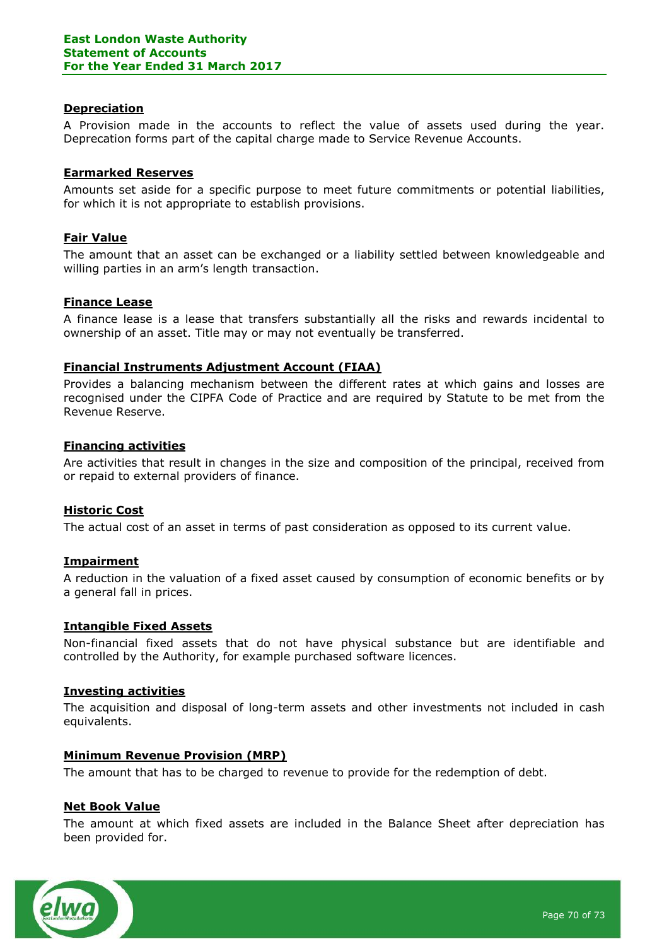### **Depreciation**

A Provision made in the accounts to reflect the value of assets used during the year. Deprecation forms part of the capital charge made to Service Revenue Accounts.

### **Earmarked Reserves**

Amounts set aside for a specific purpose to meet future commitments or potential liabilities, for which it is not appropriate to establish provisions.

### **Fair Value**

The amount that an asset can be exchanged or a liability settled between knowledgeable and willing parties in an arm's length transaction.

### **Finance Lease**

A finance lease is a lease that transfers substantially all the risks and rewards incidental to ownership of an asset. Title may or may not eventually be transferred.

#### **Financial Instruments Adjustment Account (FIAA)**

Provides a balancing mechanism between the different rates at which gains and losses are recognised under the CIPFA Code of Practice and are required by Statute to be met from the Revenue Reserve.

#### **Financing activities**

Are activities that result in changes in the size and composition of the principal, received from or repaid to external providers of finance.

### **Historic Cost**

The actual cost of an asset in terms of past consideration as opposed to its current value.

### **Impairment**

A reduction in the valuation of a fixed asset caused by consumption of economic benefits or by a general fall in prices.

### **Intangible Fixed Assets**

Non-financial fixed assets that do not have physical substance but are identifiable and controlled by the Authority, for example purchased software licences.

#### **Investing activities**

The acquisition and disposal of long-term assets and other investments not included in cash equivalents.

### **Minimum Revenue Provision (MRP)**

The amount that has to be charged to revenue to provide for the redemption of debt.

### **Net Book Value**

The amount at which fixed assets are included in the Balance Sheet after depreciation has been provided for.

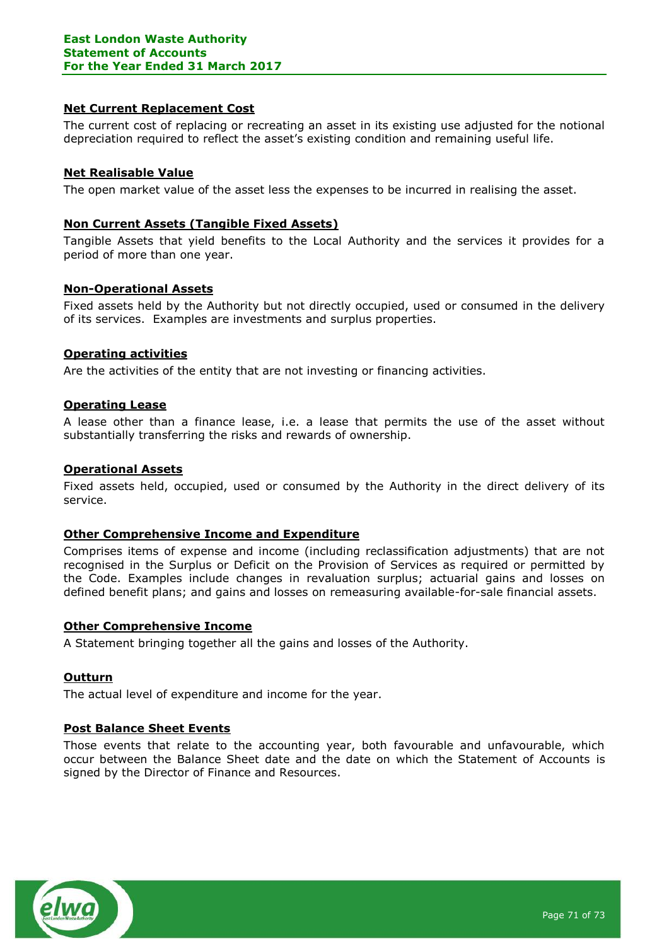### **Net Current Replacement Cost**

The current cost of replacing or recreating an asset in its existing use adjusted for the notional depreciation required to reflect the asset's existing condition and remaining useful life.

### **Net Realisable Value**

The open market value of the asset less the expenses to be incurred in realising the asset.

### **Non Current Assets (Tangible Fixed Assets)**

Tangible Assets that yield benefits to the Local Authority and the services it provides for a period of more than one year.

### **Non-Operational Assets**

Fixed assets held by the Authority but not directly occupied, used or consumed in the delivery of its services. Examples are investments and surplus properties.

### **Operating activities**

Are the activities of the entity that are not investing or financing activities.

### **Operating Lease**

A lease other than a finance lease, i.e. a lease that permits the use of the asset without substantially transferring the risks and rewards of ownership.

### **Operational Assets**

Fixed assets held, occupied, used or consumed by the Authority in the direct delivery of its service.

### **Other Comprehensive Income and Expenditure**

Comprises items of expense and income (including reclassification adjustments) that are not recognised in the Surplus or Deficit on the Provision of Services as required or permitted by the Code. Examples include changes in revaluation surplus; actuarial gains and losses on defined benefit plans; and gains and losses on remeasuring available-for-sale financial assets.

### **Other Comprehensive Income**

A Statement bringing together all the gains and losses of the Authority.

### **Outturn**

The actual level of expenditure and income for the year.

### **Post Balance Sheet Events**

Those events that relate to the accounting year, both favourable and unfavourable, which occur between the Balance Sheet date and the date on which the Statement of Accounts is signed by the Director of Finance and Resources.

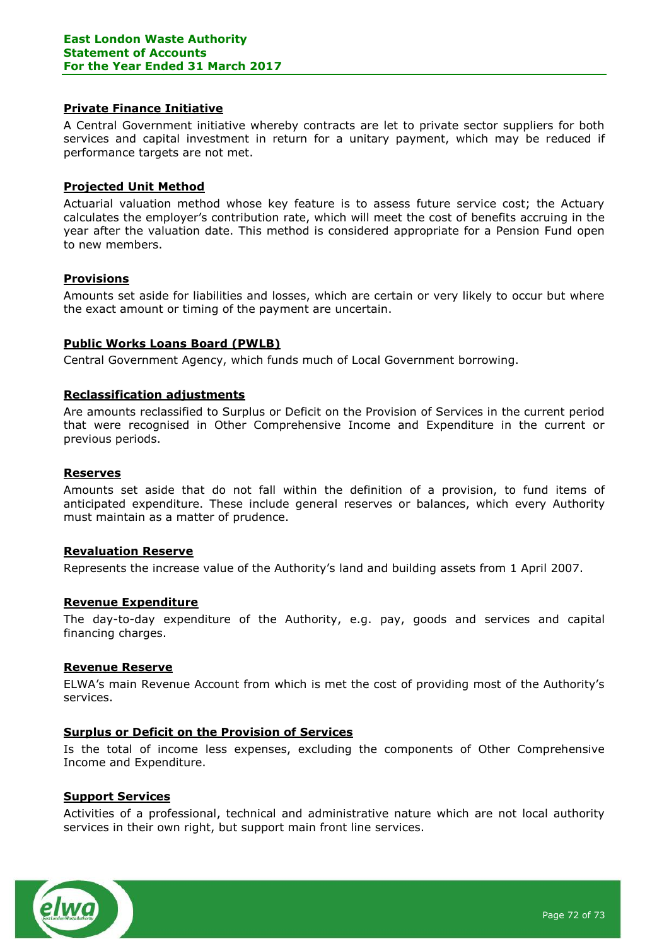#### **Private Finance Initiative**

A Central Government initiative whereby contracts are let to private sector suppliers for both services and capital investment in return for a unitary payment, which may be reduced if performance targets are not met.

#### **Projected Unit Method**

Actuarial valuation method whose key feature is to assess future service cost; the Actuary calculates the employer's contribution rate, which will meet the cost of benefits accruing in the year after the valuation date. This method is considered appropriate for a Pension Fund open to new members.

### **Provisions**

Amounts set aside for liabilities and losses, which are certain or very likely to occur but where the exact amount or timing of the payment are uncertain.

#### **Public Works Loans Board (PWLB)**

Central Government Agency, which funds much of Local Government borrowing.

#### **Reclassification adjustments**

Are amounts reclassified to Surplus or Deficit on the Provision of Services in the current period that were recognised in Other Comprehensive Income and Expenditure in the current or previous periods.

#### **Reserves**

Amounts set aside that do not fall within the definition of a provision, to fund items of anticipated expenditure. These include general reserves or balances, which every Authority must maintain as a matter of prudence.

#### **Revaluation Reserve**

Represents the increase value of the Authority's land and building assets from 1 April 2007.

#### **Revenue Expenditure**

The day-to-day expenditure of the Authority, e.g. pay, goods and services and capital financing charges.

#### **Revenue Reserve**

ELWA's main Revenue Account from which is met the cost of providing most of the Authority's services.

### **Surplus or Deficit on the Provision of Services**

Is the total of income less expenses, excluding the components of Other Comprehensive Income and Expenditure.

#### **Support Services**

Activities of a professional, technical and administrative nature which are not local authority services in their own right, but support main front line services.